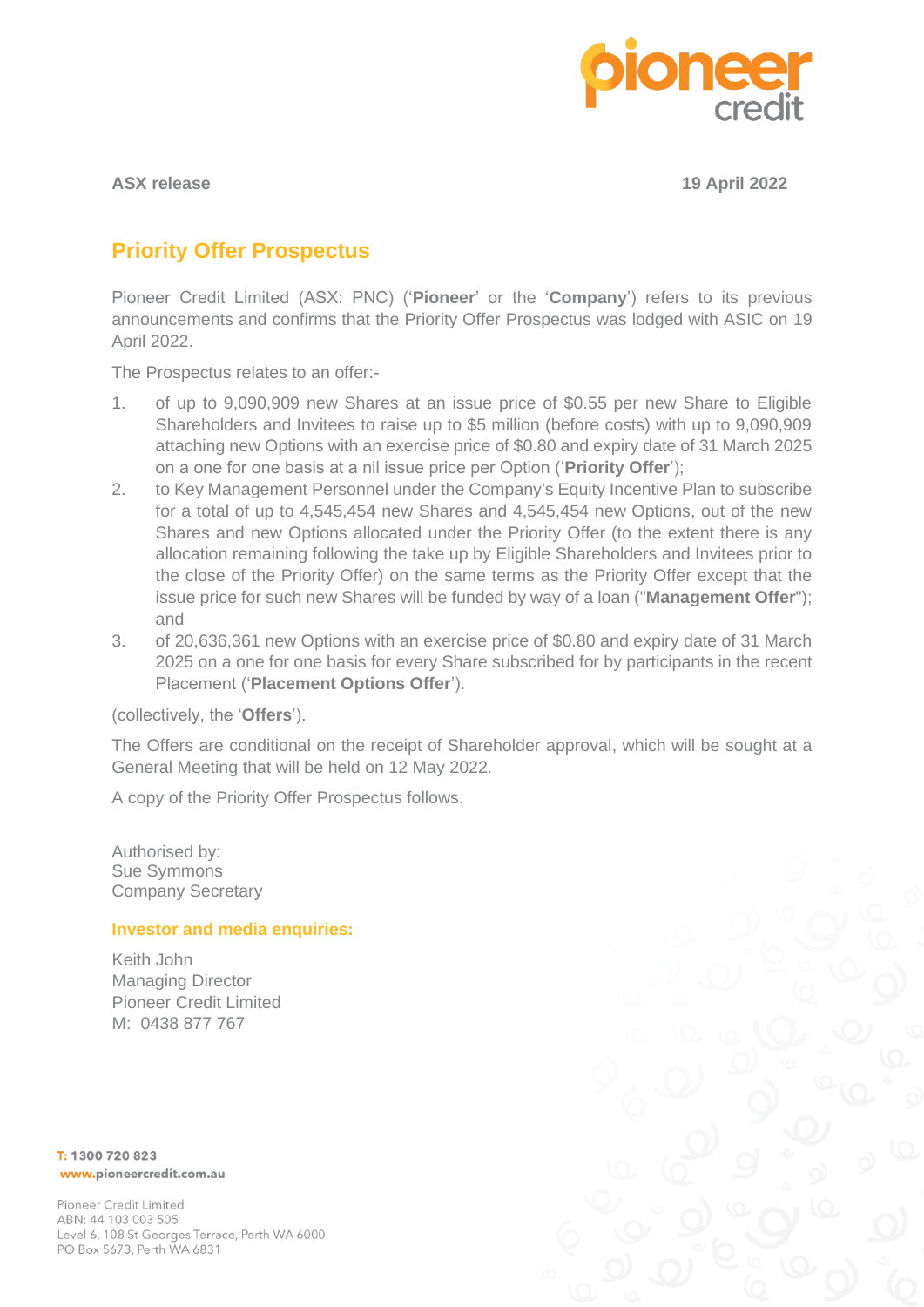

**ASX release 19 April 2022**

# **Priority Offer Prospectus**

Pioneer Credit Limited (ASX: PNC) ('**Pioneer**' or the '**Company**') refers to its previous announcements and confirms that the Priority Offer Prospectus was lodged with ASIC on 19 April 2022.

The Prospectus relates to an offer:-

- 1. of up to 9,090,909 new Shares at an issue price of \$0.55 per new Share to Eligible Shareholders and Invitees to raise up to \$5 million (before costs) with up to 9,090,909 attaching new Options with an exercise price of \$0.80 and expiry date of 31 March 2025 on a one for one basis at a nil issue price per Option ('**Priority Offer**');
- 2. to Key Management Personnel under the Company's Equity Incentive Plan to subscribe for a total of up to 4,545,454 new Shares and 4,545,454 new Options, out of the new Shares and new Options allocated under the Priority Offer (to the extent there is any allocation remaining following the take up by Eligible Shareholders and Invitees prior to the close of the Priority Offer) on the same terms as the Priority Offer except that the issue price for such new Shares will be funded by way of a loan ("**Management Offer**"); and
- 3. of 20,636,361 new Options with an exercise price of \$0.80 and expiry date of 31 March 2025 on a one for one basis for every Share subscribed for by participants in the recent Placement ('**Placement Options Offer**').

(collectively, the '**Offers**').

The Offers are conditional on the receipt of Shareholder approval, which will be sought at a General Meeting that will be held on 12 May 2022.

A copy of the Priority Offer Prospectus follows.

Authorised by: Sue Symmons Company Secretary

# **Investor and media enquiries:**

Keith John Managing Director Pioneer Credit Limited M: 0438 877 767

T: 1300 720 823 www.pioneercredit.com.au

Pioneer Credit Limited ABN: 44 103 003 505 Level 6, 108 St Georges Terrace, Perth WA 6000 PO Box 5673, Perth WA 6831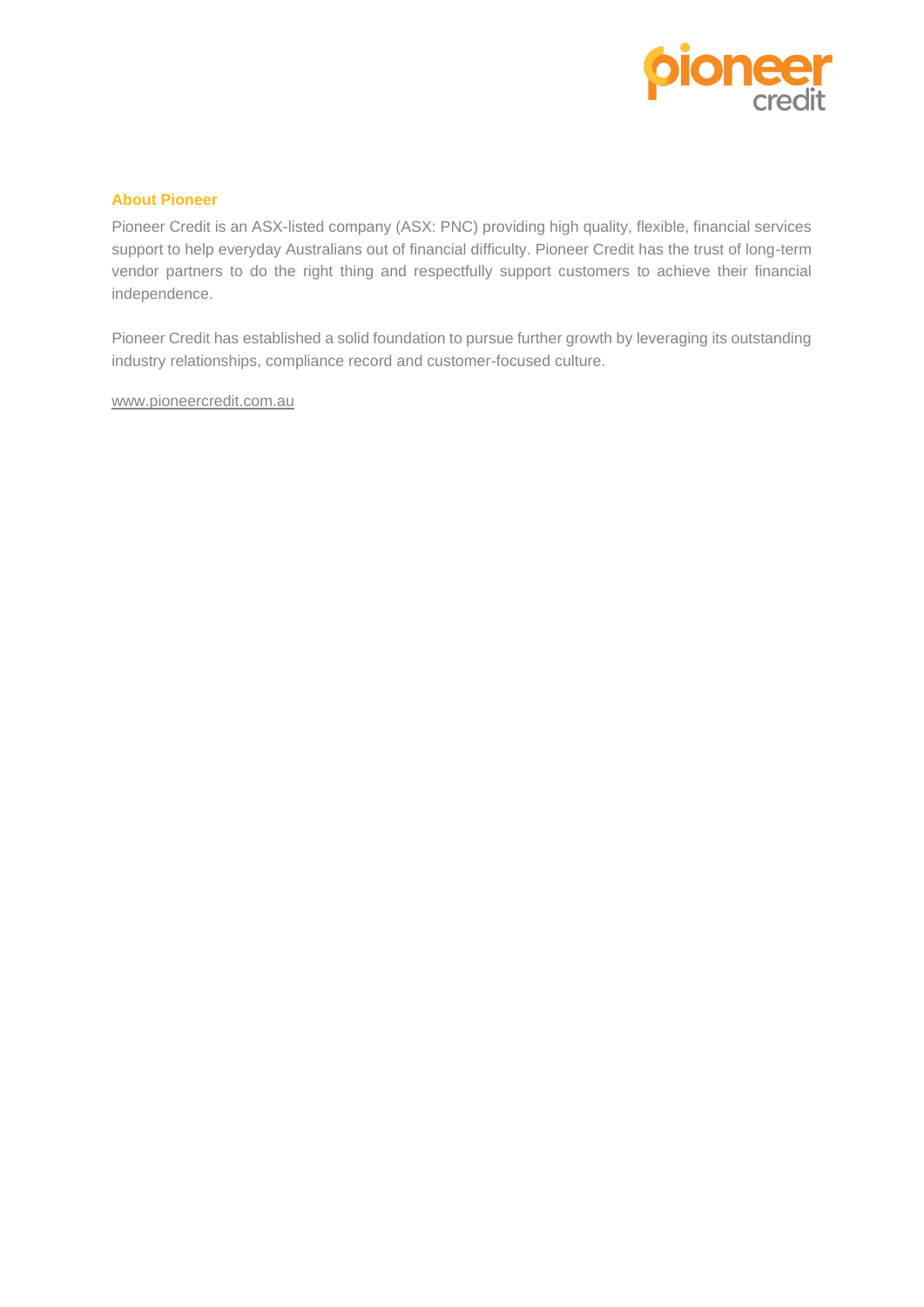

# **About Pioneer**

Pioneer Credit is an ASX-listed company (ASX: PNC) providing high quality, flexible, financial services support to help everyday Australians out of financial difficulty. Pioneer Credit has the trust of long-term vendor partners to do the right thing and respectfully support customers to achieve their financial independence.

Pioneer Credit has established a solid foundation to pursue further growth by leveraging its outstanding industry relationships, compliance record and customer-focused culture.

[www.pioneercredit.com.au](http://www.pioneercredit.com.au/)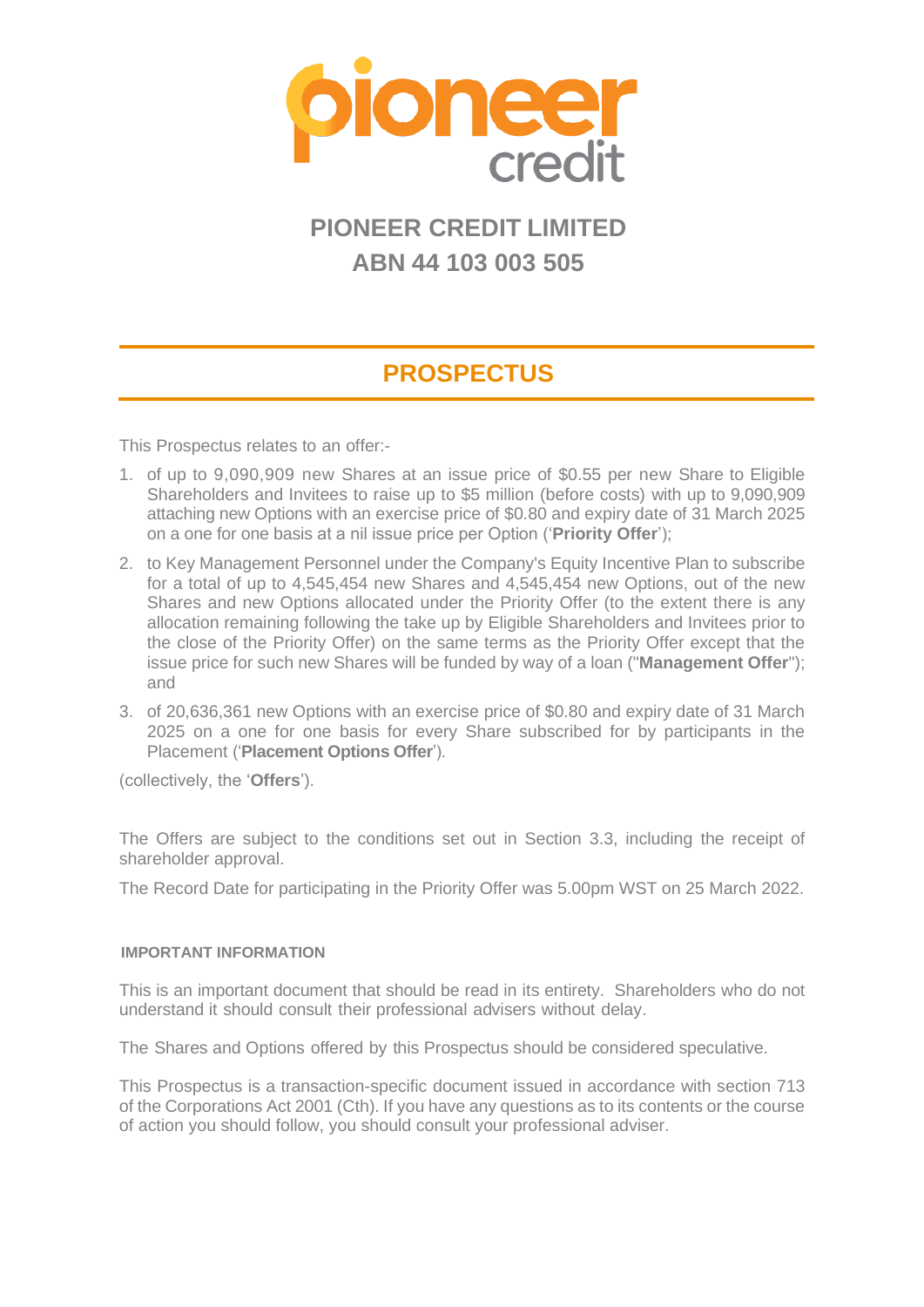

# **PIONEER CREDIT LIMITED ABN 44 103 003 505**

# **PROSPECTUS**

This Prospectus relates to an offer:-

- 1. of up to 9,090,909 new Shares at an issue price of \$0.55 per new Share to Eligible Shareholders and Invitees to raise up to \$5 million (before costs) with up to 9,090,909 attaching new Options with an exercise price of \$0.80 and expiry date of 31 March 2025 on a one for one basis at a nil issue price per Option ('**Priority Offer**');
- 2. to Key Management Personnel under the Company's Equity Incentive Plan to subscribe for a total of up to 4,545,454 new Shares and 4,545,454 new Options, out of the new Shares and new Options allocated under the Priority Offer (to the extent there is any allocation remaining following the take up by Eligible Shareholders and Invitees prior to the close of the Priority Offer) on the same terms as the Priority Offer except that the issue price for such new Shares will be funded by way of a loan ("**Management Offer**"); and
- 3. of 20,636,361 new Options with an exercise price of \$0.80 and expiry date of 31 March 2025 on a one for one basis for every Share subscribed for by participants in the Placement ('**Placement Options Offer**').

(collectively, the '**Offers**').

The Offers are subject to the conditions set out in Section [3.3,](#page-13-0) including the receipt of shareholder approval.

The Record Date for participating in the Priority Offer was 5.00pm WST on 25 March 2022.

#### **IMPORTANT INFORMATION**

This is an important document that should be read in its entirety. Shareholders who do not understand it should consult their professional advisers without delay.

The Shares and Options offered by this Prospectus should be considered speculative.

This Prospectus is a transaction-specific document issued in accordance with section 713 of the Corporations Act 2001 (Cth). If you have any questions as to its contents or the course of action you should follow, you should consult your professional adviser.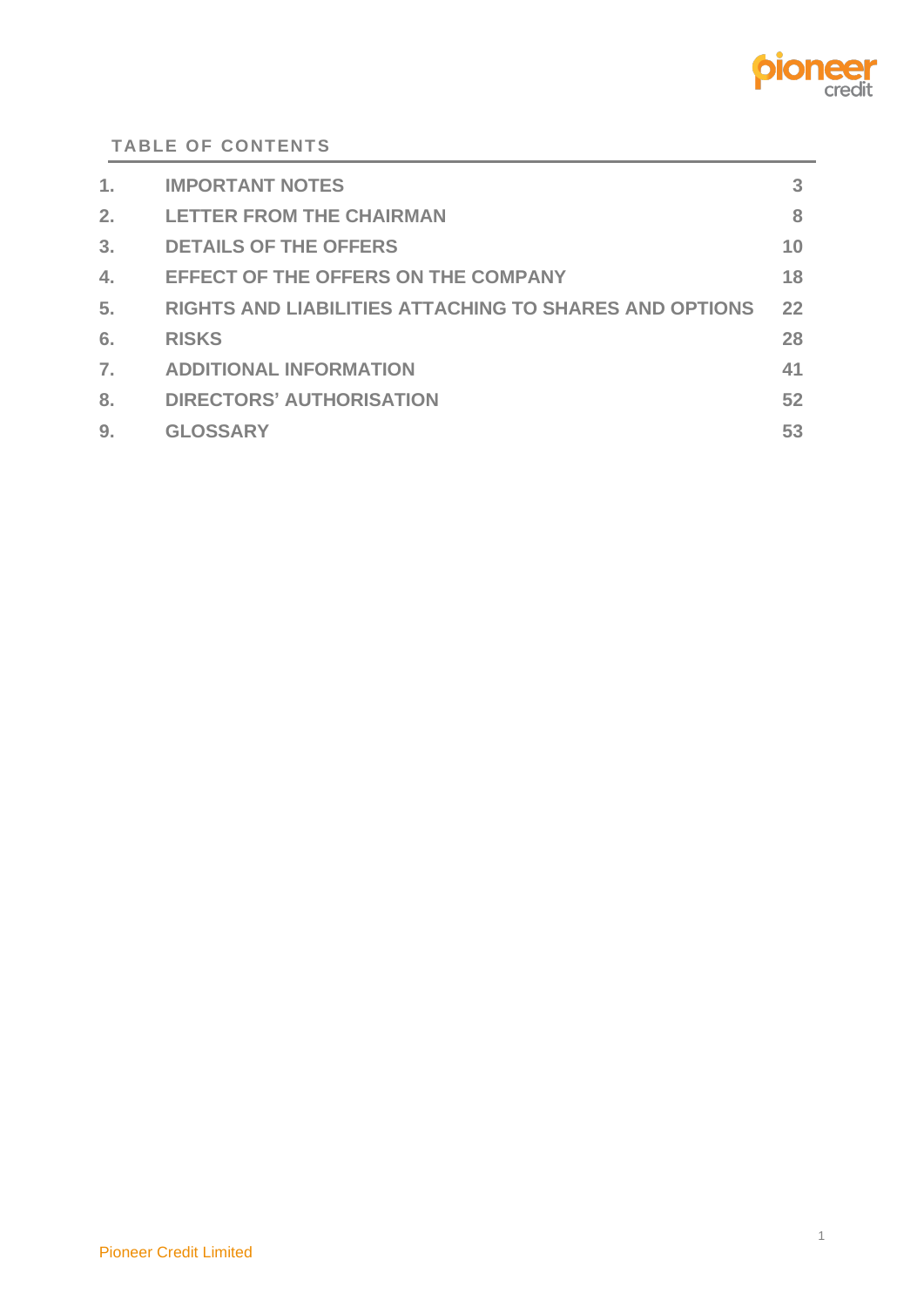

**TABLE OF CONTENTS**

| 1. | <b>IMPORTANT NOTES</b>                                        | 3  |
|----|---------------------------------------------------------------|----|
| 2. | <b>LETTER FROM THE CHAIRMAN</b>                               | 8  |
| 3. | <b>DETAILS OF THE OFFERS</b>                                  | 10 |
| 4. | <b>EFFECT OF THE OFFERS ON THE COMPANY</b>                    | 18 |
| 5. | <b>RIGHTS AND LIABILITIES ATTACHING TO SHARES AND OPTIONS</b> | 22 |
| 6. | <b>RISKS</b>                                                  | 28 |
| 7. | <b>ADDITIONAL INFORMATION</b>                                 | 41 |
| 8. | <b>DIRECTORS' AUTHORISATION</b>                               | 52 |
| 9. | <b>GLOSSARY</b>                                               | 53 |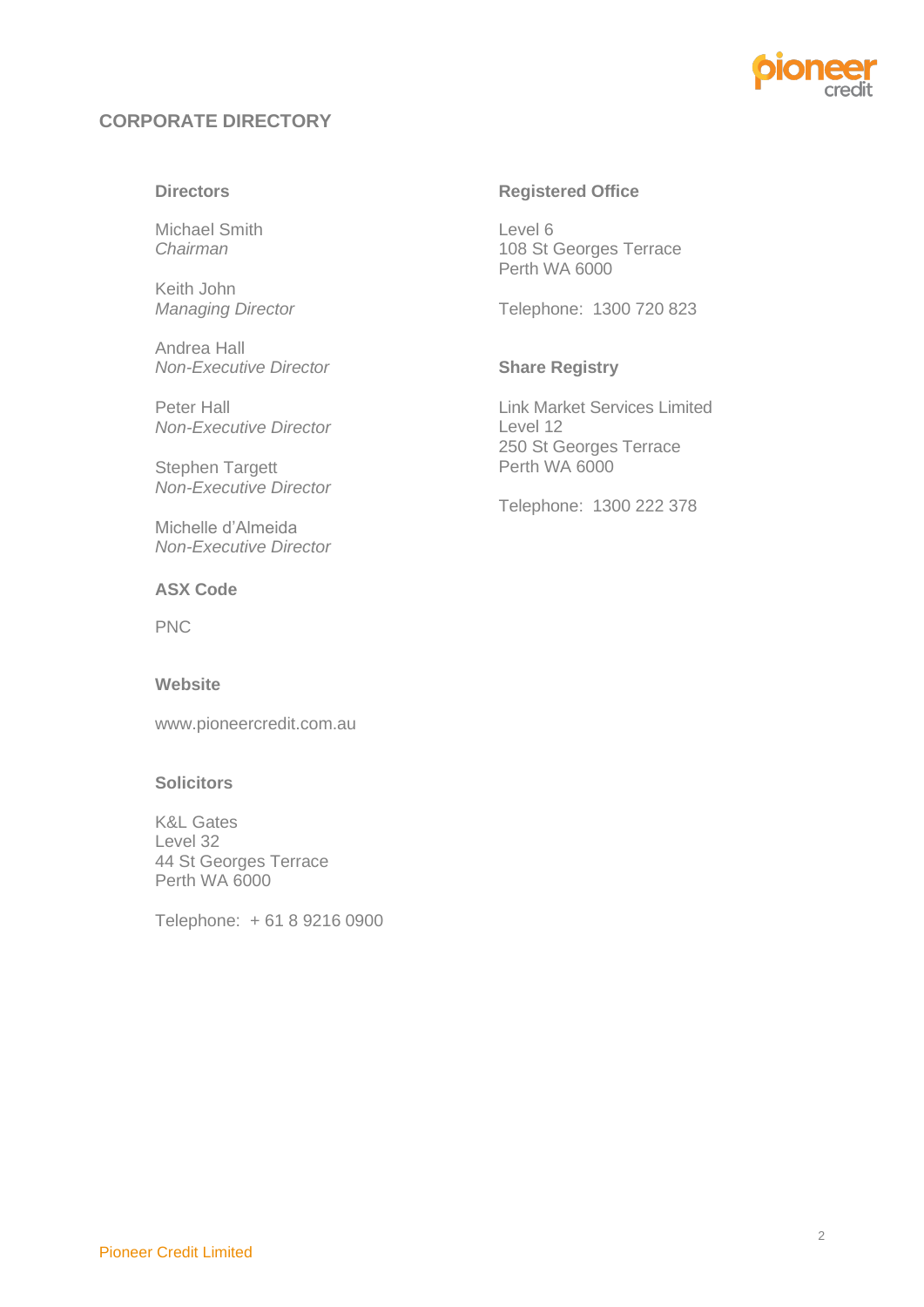

# **CORPORATE DIRECTORY**

#### **Directors**

Michael Smith *Chairman*

Keith John *Managing Director*

Andrea Hall *Non-Executive Director*

Peter Hall *Non-Executive Director*

Stephen Targett *Non-Executive Director*

Michelle d'Almeida *Non-Executive Director*

#### **ASX Code**

PNC

## **Website**

www.pioneercredit.com.au

#### **Solicitors**

K&L Gates Level 32 44 St Georges Terrace Perth WA 6000

Telephone: + 61 8 9216 0900

#### **Registered Office**

Level 6 108 St Georges Terrace Perth WA 6000

Telephone: 1300 720 823

## **Share Registry**

Link Market Services Limited Level 12 250 St Georges Terrace Perth WA 6000

Telephone: 1300 222 378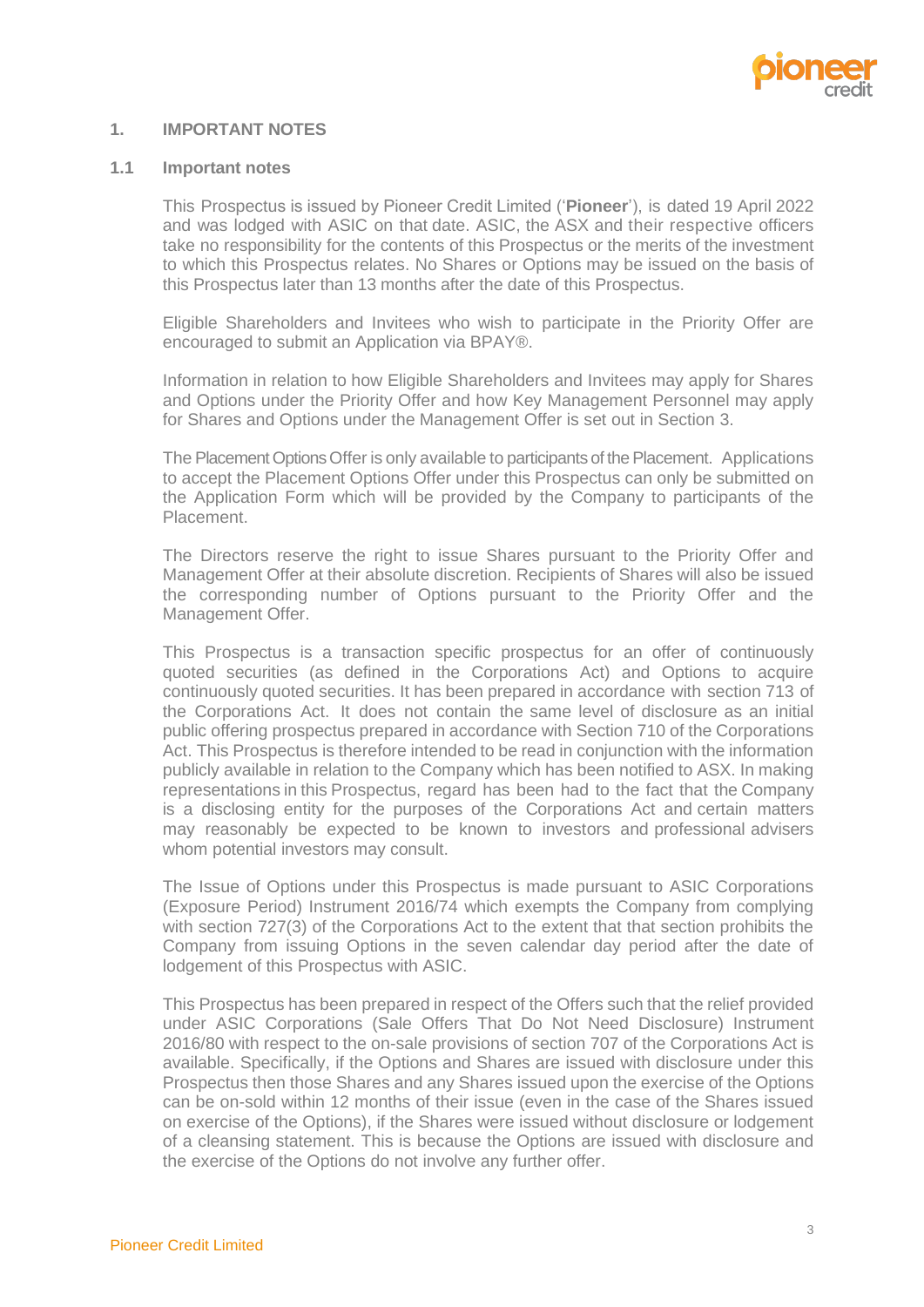

#### <span id="page-5-0"></span>**1. IMPORTANT NOTES**

#### **1.1 Important notes**

This Prospectus is issued by Pioneer Credit Limited ('**Pioneer**'), is dated 19 April 2022 and was lodged with ASIC on that date. ASIC, the ASX and their respective officers take no responsibility for the contents of this Prospectus or the merits of the investment to which this Prospectus relates. No Shares or Options may be issued on the basis of this Prospectus later than 13 months after the date of this Prospectus.

Eligible Shareholders and Invitees who wish to participate in the Priority Offer are encouraged to submit an Application via BPAY®.

Information in relation to how Eligible Shareholders and Invitees may apply for Shares and Options under the Priority Offer and how Key Management Personnel may apply for Shares and Options under the Management Offer is set out in Section [3.](#page-12-0)

The Placement Options Offer is only available to participants of the Placement. Applications to accept the Placement Options Offer under this Prospectus can only be submitted on the Application Form which will be provided by the Company to participants of the Placement.

The Directors reserve the right to issue Shares pursuant to the Priority Offer and Management Offer at their absolute discretion. Recipients of Shares will also be issued the corresponding number of Options pursuant to the Priority Offer and the Management Offer.

This Prospectus is a transaction specific prospectus for an offer of continuously quoted securities (as defined in the Corporations Act) and Options to acquire continuously quoted securities. It has been prepared in accordance with section 713 of the Corporations Act. It does not contain the same level of disclosure as an initial public offering prospectus prepared in accordance with Section 710 of the Corporations Act. This Prospectus is therefore intended to be read in conjunction with the information publicly available in relation to the Company which has been notified to ASX. In making representations in this Prospectus, regard has been had to the fact that the Company is a disclosing entity for the purposes of the Corporations Act and certain matters may reasonably be expected to be known to investors and professional advisers whom potential investors may consult.

The Issue of Options under this Prospectus is made pursuant to ASIC Corporations (Exposure Period) Instrument 2016/74 which exempts the Company from complying with section 727(3) of the Corporations Act to the extent that that section prohibits the Company from issuing Options in the seven calendar day period after the date of lodgement of this Prospectus with ASIC.

This Prospectus has been prepared in respect of the Offers such that the relief provided under ASIC Corporations (Sale Offers That Do Not Need Disclosure) Instrument 2016/80 with respect to the on-sale provisions of section 707 of the Corporations Act is available. Specifically, if the Options and Shares are issued with disclosure under this Prospectus then those Shares and any Shares issued upon the exercise of the Options can be on-sold within 12 months of their issue (even in the case of the Shares issued on exercise of the Options), if the Shares were issued without disclosure or lodgement of a cleansing statement. This is because the Options are issued with disclosure and the exercise of the Options do not involve any further offer.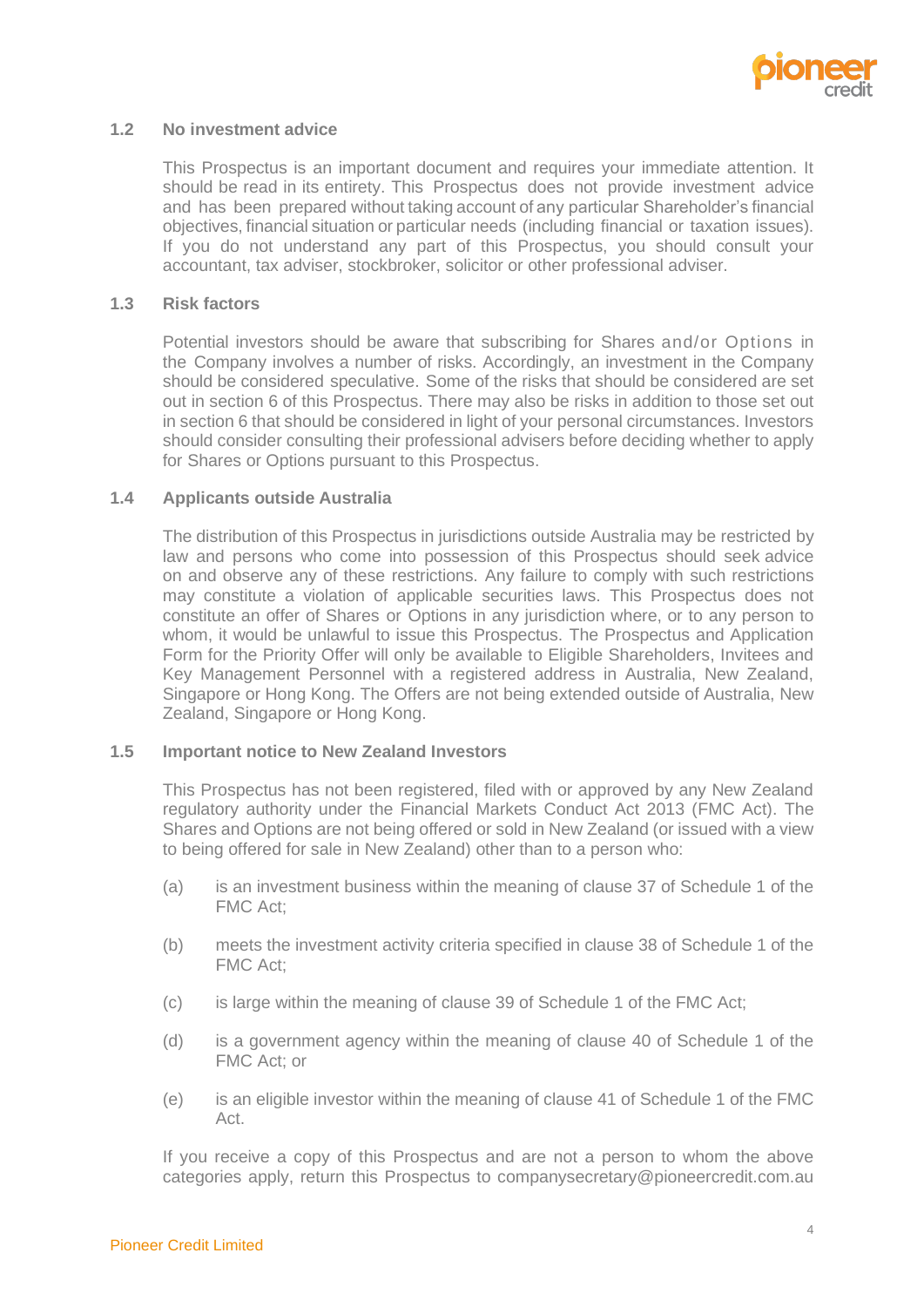

#### **1.2 No investment advice**

This Prospectus is an important document and requires your immediate attention. It should be read in its entirety. This Prospectus does not provide investment advice and has been prepared without taking account of any particular Shareholder's financial objectives, financial situation or particular needs (including financial or taxation issues). If you do not understand any part of this Prospectus, you should consult your accountant, tax adviser, stockbroker, solicitor or other professional adviser.

#### **1.3 Risk factors**

Potential investors should be aware that subscribing for Shares and/or Options in the Company involves a number of risks. Accordingly, an investment in the Company should be considered speculative. Some of the risks that should be considered are set out in section [6](#page-30-0) of this Prospectus. There may also be risks in addition to those set out in section [6](#page-30-0) that should be considered in light of your personal circumstances. Investors should consider consulting their professional advisers before deciding whether to apply for Shares or Options pursuant to this Prospectus.

#### **1.4 Applicants outside Australia**

The distribution of this Prospectus in jurisdictions outside Australia may be restricted by law and persons who come into possession of this Prospectus should seek advice on and observe any of these restrictions. Any failure to comply with such restrictions may constitute a violation of applicable securities laws. This Prospectus does not constitute an offer of Shares or Options in any jurisdiction where, or to any person to whom, it would be unlawful to issue this Prospectus. The Prospectus and Application Form for the Priority Offer will only be available to Eligible Shareholders, Invitees and Key Management Personnel with a registered address in Australia, New Zealand, Singapore or Hong Kong. The Offers are not being extended outside of Australia, New Zealand, Singapore or Hong Kong.

#### **1.5 Important notice to New Zealand Investors**

This Prospectus has not been registered, filed with or approved by any New Zealand regulatory authority under the Financial Markets Conduct Act 2013 (FMC Act). The Shares and Options are not being offered or sold in New Zealand (or issued with a view to being offered for sale in New Zealand) other than to a person who:

- (a) is an investment business within the meaning of clause 37 of Schedule 1 of the FMC Act;
- (b) meets the investment activity criteria specified in clause 38 of Schedule 1 of the FMC Act;
- (c) is large within the meaning of clause 39 of Schedule 1 of the FMC Act;
- (d) is a government agency within the meaning of clause 40 of Schedule 1 of the FMC Act; or
- (e) is an eligible investor within the meaning of clause 41 of Schedule 1 of the FMC Act.

If you receive a copy of this Prospectus and are not a person to whom the above categories apply, return this Prospectus to companysecretary@pioneercredit.com.au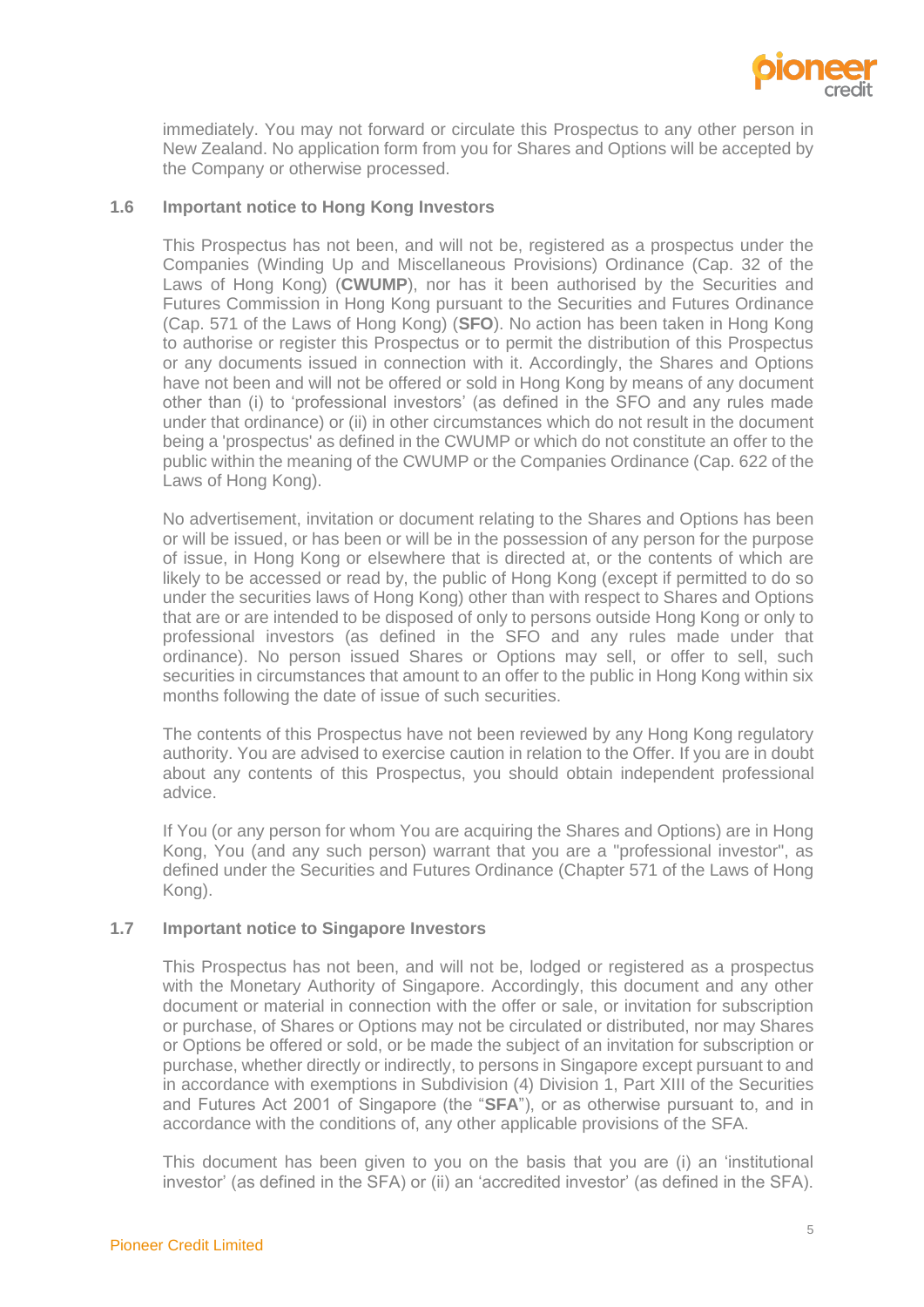

immediately. You may not forward or circulate this Prospectus to any other person in New Zealand. No application form from you for Shares and Options will be accepted by the Company or otherwise processed.

#### **1.6 Important notice to Hong Kong Investors**

This Prospectus has not been, and will not be, registered as a prospectus under the Companies (Winding Up and Miscellaneous Provisions) Ordinance (Cap. 32 of the Laws of Hong Kong) (**CWUMP**), nor has it been authorised by the Securities and Futures Commission in Hong Kong pursuant to the Securities and Futures Ordinance (Cap. 571 of the Laws of Hong Kong) (**SFO**). No action has been taken in Hong Kong to authorise or register this Prospectus or to permit the distribution of this Prospectus or any documents issued in connection with it. Accordingly, the Shares and Options have not been and will not be offered or sold in Hong Kong by means of any document other than (i) to 'professional investors' (as defined in the SFO and any rules made under that ordinance) or (ii) in other circumstances which do not result in the document being a 'prospectus' as defined in the CWUMP or which do not constitute an offer to the public within the meaning of the CWUMP or the Companies Ordinance (Cap. 622 of the Laws of Hong Kong).

No advertisement, invitation or document relating to the Shares and Options has been or will be issued, or has been or will be in the possession of any person for the purpose of issue, in Hong Kong or elsewhere that is directed at, or the contents of which are likely to be accessed or read by, the public of Hong Kong (except if permitted to do so under the securities laws of Hong Kong) other than with respect to Shares and Options that are or are intended to be disposed of only to persons outside Hong Kong or only to professional investors (as defined in the SFO and any rules made under that ordinance). No person issued Shares or Options may sell, or offer to sell, such securities in circumstances that amount to an offer to the public in Hong Kong within six months following the date of issue of such securities.

The contents of this Prospectus have not been reviewed by any Hong Kong regulatory authority. You are advised to exercise caution in relation to the Offer. If you are in doubt about any contents of this Prospectus, you should obtain independent professional advice.

If You (or any person for whom You are acquiring the Shares and Options) are in Hong Kong, You (and any such person) warrant that you are a "professional investor", as defined under the Securities and Futures Ordinance (Chapter 571 of the Laws of Hong Kong).

#### **1.7 Important notice to Singapore Investors**

This Prospectus has not been, and will not be, lodged or registered as a prospectus with the Monetary Authority of Singapore. Accordingly, this document and any other document or material in connection with the offer or sale, or invitation for subscription or purchase, of Shares or Options may not be circulated or distributed, nor may Shares or Options be offered or sold, or be made the subject of an invitation for subscription or purchase, whether directly or indirectly, to persons in Singapore except pursuant to and in accordance with exemptions in Subdivision (4) Division 1, Part XIII of the Securities and Futures Act 2001 of Singapore (the "**SFA**"), or as otherwise pursuant to, and in accordance with the conditions of, any other applicable provisions of the SFA.

This document has been given to you on the basis that you are (i) an 'institutional investor' (as defined in the SFA) or (ii) an 'accredited investor' (as defined in the SFA).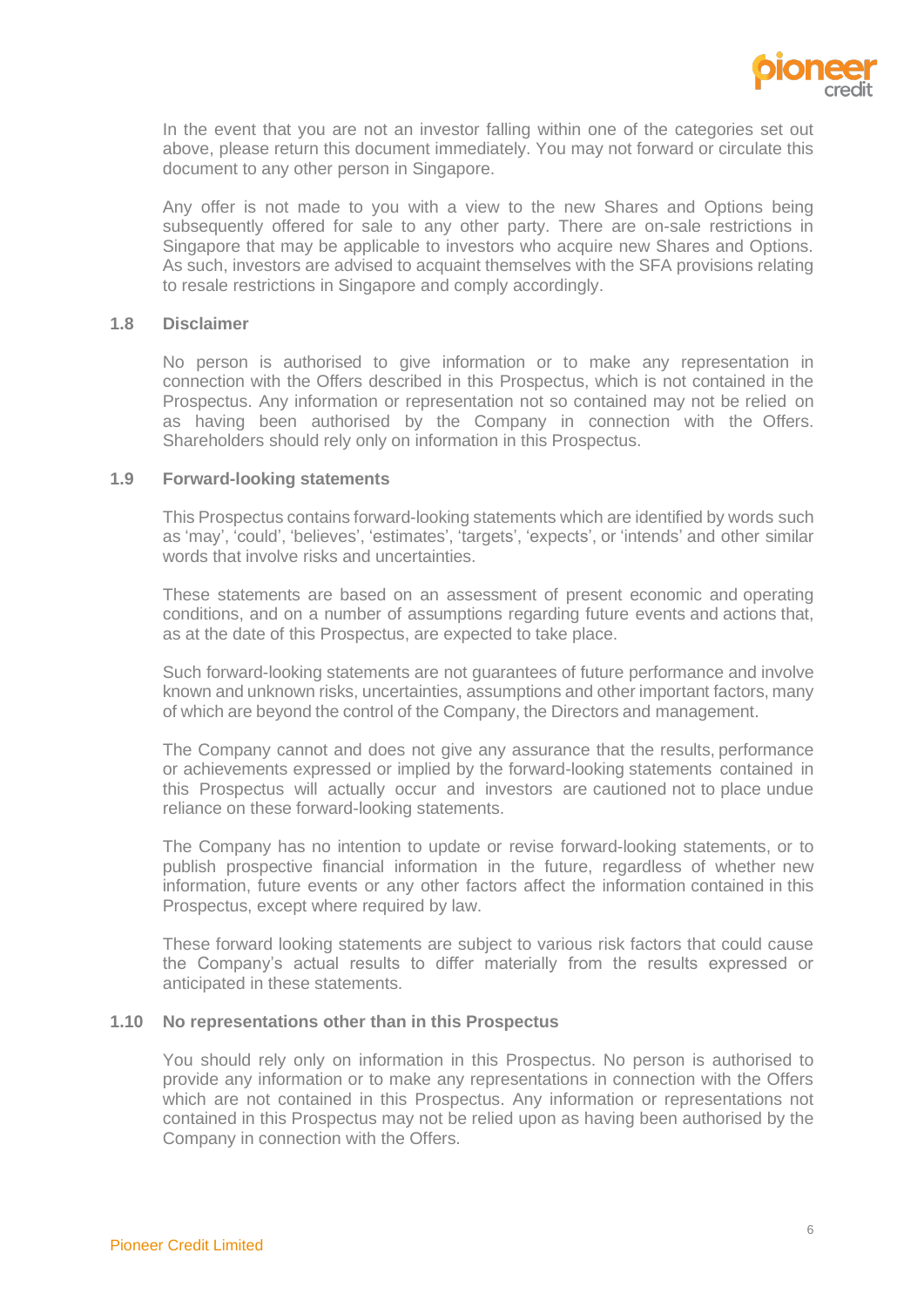

In the event that you are not an investor falling within one of the categories set out above, please return this document immediately. You may not forward or circulate this document to any other person in Singapore.

Any offer is not made to you with a view to the new Shares and Options being subsequently offered for sale to any other party. There are on-sale restrictions in Singapore that may be applicable to investors who acquire new Shares and Options. As such, investors are advised to acquaint themselves with the SFA provisions relating to resale restrictions in Singapore and comply accordingly.

#### **1.8 Disclaimer**

No person is authorised to give information or to make any representation in connection with the Offers described in this Prospectus, which is not contained in the Prospectus. Any information or representation not so contained may not be relied on as having been authorised by the Company in connection with the Offers. Shareholders should rely only on information in this Prospectus.

#### **1.9 Forward-looking statements**

This Prospectus contains forward-looking statements which are identified by words such as 'may', 'could', 'believes', 'estimates', 'targets', 'expects', or 'intends' and other similar words that involve risks and uncertainties.

These statements are based on an assessment of present economic and operating conditions, and on a number of assumptions regarding future events and actions that, as at the date of this Prospectus, are expected to take place.

Such forward-looking statements are not guarantees of future performance and involve known and unknown risks, uncertainties, assumptions and other important factors, many of which are beyond the control of the Company, the Directors and management.

The Company cannot and does not give any assurance that the results, performance or achievements expressed or implied by the forward-looking statements contained in this Prospectus will actually occur and investors are cautioned not to place undue reliance on these forward-looking statements.

The Company has no intention to update or revise forward-looking statements, or to publish prospective financial information in the future, regardless of whether new information, future events or any other factors affect the information contained in this Prospectus, except where required by law.

These forward looking statements are subject to various risk factors that could cause the Company's actual results to differ materially from the results expressed or anticipated in these statements.

#### **1.10 No representations other than in this Prospectus**

You should rely only on information in this Prospectus. No person is authorised to provide any information or to make any representations in connection with the Offers which are not contained in this Prospectus. Any information or representations not contained in this Prospectus may not be relied upon as having been authorised by the Company in connection with the Offers.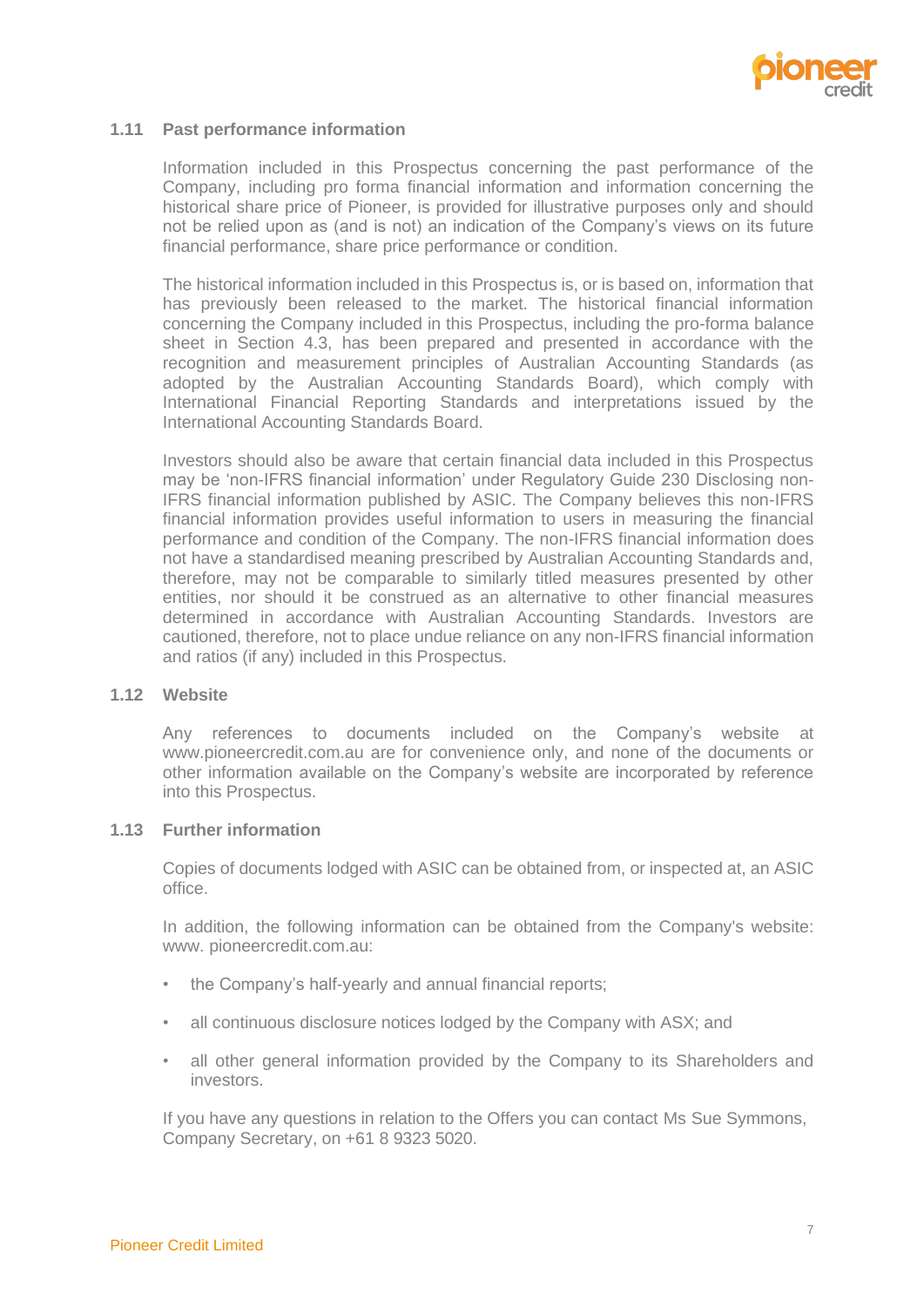

#### **1.11 Past performance information**

Information included in this Prospectus concerning the past performance of the Company, including pro forma financial information and information concerning the historical share price of Pioneer, is provided for illustrative purposes only and should not be relied upon as (and is not) an indication of the Company's views on its future financial performance, share price performance or condition.

The historical information included in this Prospectus is, or is based on, information that has previously been released to the market. The historical financial information concerning the Company included in this Prospectus, including the pro-forma balance sheet in Section 4.3, has been prepared and presented in accordance with the recognition and measurement principles of Australian Accounting Standards (as adopted by the Australian Accounting Standards Board), which comply with International Financial Reporting Standards and interpretations issued by the International Accounting Standards Board.

Investors should also be aware that certain financial data included in this Prospectus may be 'non-IFRS financial information' under Regulatory Guide 230 Disclosing non-IFRS financial information published by ASIC. The Company believes this non-IFRS financial information provides useful information to users in measuring the financial performance and condition of the Company. The non-IFRS financial information does not have a standardised meaning prescribed by Australian Accounting Standards and, therefore, may not be comparable to similarly titled measures presented by other entities, nor should it be construed as an alternative to other financial measures determined in accordance with Australian Accounting Standards. Investors are cautioned, therefore, not to place undue reliance on any non-IFRS financial information and ratios (if any) included in this Prospectus.

#### **1.12 Website**

Any references to documents included on the Company's website [at](https://pioneercredit.com.au/)  [www.pioneercredit.com.au](http://www.pioneercredit.com.au/) are for convenience only, and none of the documents or other information available on the Company's website are incorporated by reference into this Prospectus.

#### **1.13 Further information**

Copies of documents lodged with ASIC can be obtained from, or inspected at, an ASIC office.

In addition, the following information can be obtained from the Company's website: www. pioneercredit.com.au:

- the Company's half-yearly and annual financial reports;
- all continuous disclosure notices lodged by the Company with ASX; and
- all other general information provided by the Company to its Shareholders and investors.

If you have any questions in relation to the Offers you can contact Ms Sue Symmons, Company Secretary, on +61 8 9323 5020.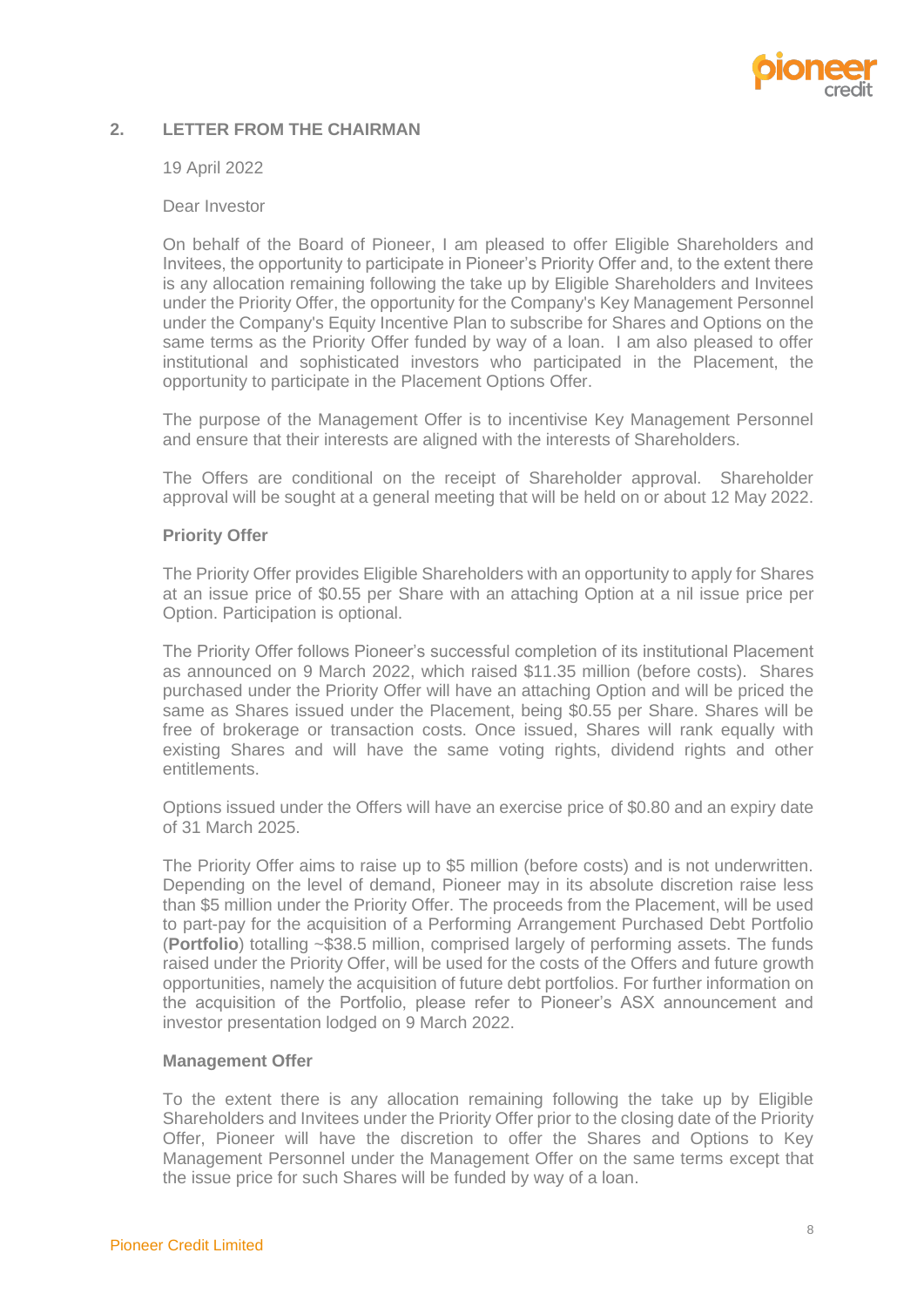

# <span id="page-10-0"></span>**2. LETTER FROM THE CHAIRMAN**

#### 19 April 2022

#### Dear Investor

On behalf of the Board of Pioneer, I am pleased to offer Eligible Shareholders and Invitees, the opportunity to participate in Pioneer's Priority Offer and, to the extent there is any allocation remaining following the take up by Eligible Shareholders and Invitees under the Priority Offer, the opportunity for the Company's Key Management Personnel under the Company's Equity Incentive Plan to subscribe for Shares and Options on the same terms as the Priority Offer funded by way of a loan. I am also pleased to offer institutional and sophisticated investors who participated in the Placement, the opportunity to participate in the Placement Options Offer.

The purpose of the Management Offer is to incentivise Key Management Personnel and ensure that their interests are aligned with the interests of Shareholders.

The Offers are conditional on the receipt of Shareholder approval. Shareholder approval will be sought at a general meeting that will be held on or about 12 May 2022.

#### **Priority Offer**

The Priority Offer provides Eligible Shareholders with an opportunity to apply for Shares at an issue price of \$0.55 per Share with an attaching Option at a nil issue price per Option. Participation is optional.

The Priority Offer follows Pioneer's successful completion of its institutional Placement as announced on 9 March 2022, which raised \$11.35 million (before costs). Shares purchased under the Priority Offer will have an attaching Option and will be priced the same as Shares issued under the Placement, being \$0.55 per Share. Shares will be free of brokerage or transaction costs. Once issued, Shares will rank equally with existing Shares and will have the same voting rights, dividend rights and other entitlements.

Options issued under the Offers will have an exercise price of \$0.80 and an expiry date of 31 March 2025.

The Priority Offer aims to raise up to \$5 million (before costs) and is not underwritten. Depending on the level of demand, Pioneer may in its absolute discretion raise less than \$5 million under the Priority Offer. The proceeds from the Placement, will be used to part-pay for the acquisition of a Performing Arrangement Purchased Debt Portfolio (**Portfolio**) totalling ~\$38.5 million, comprised largely of performing assets. The funds raised under the Priority Offer, will be used for the costs of the Offers and future growth opportunities, namely the acquisition of future debt portfolios. For further information on the acquisition of the Portfolio, please refer to Pioneer's ASX announcement and investor presentation lodged on 9 March 2022.

# **Management Offer**

To the extent there is any allocation remaining following the take up by Eligible Shareholders and Invitees under the Priority Offer prior to the closing date of the Priority Offer, Pioneer will have the discretion to offer the Shares and Options to Key Management Personnel under the Management Offer on the same terms except that the issue price for such Shares will be funded by way of a loan.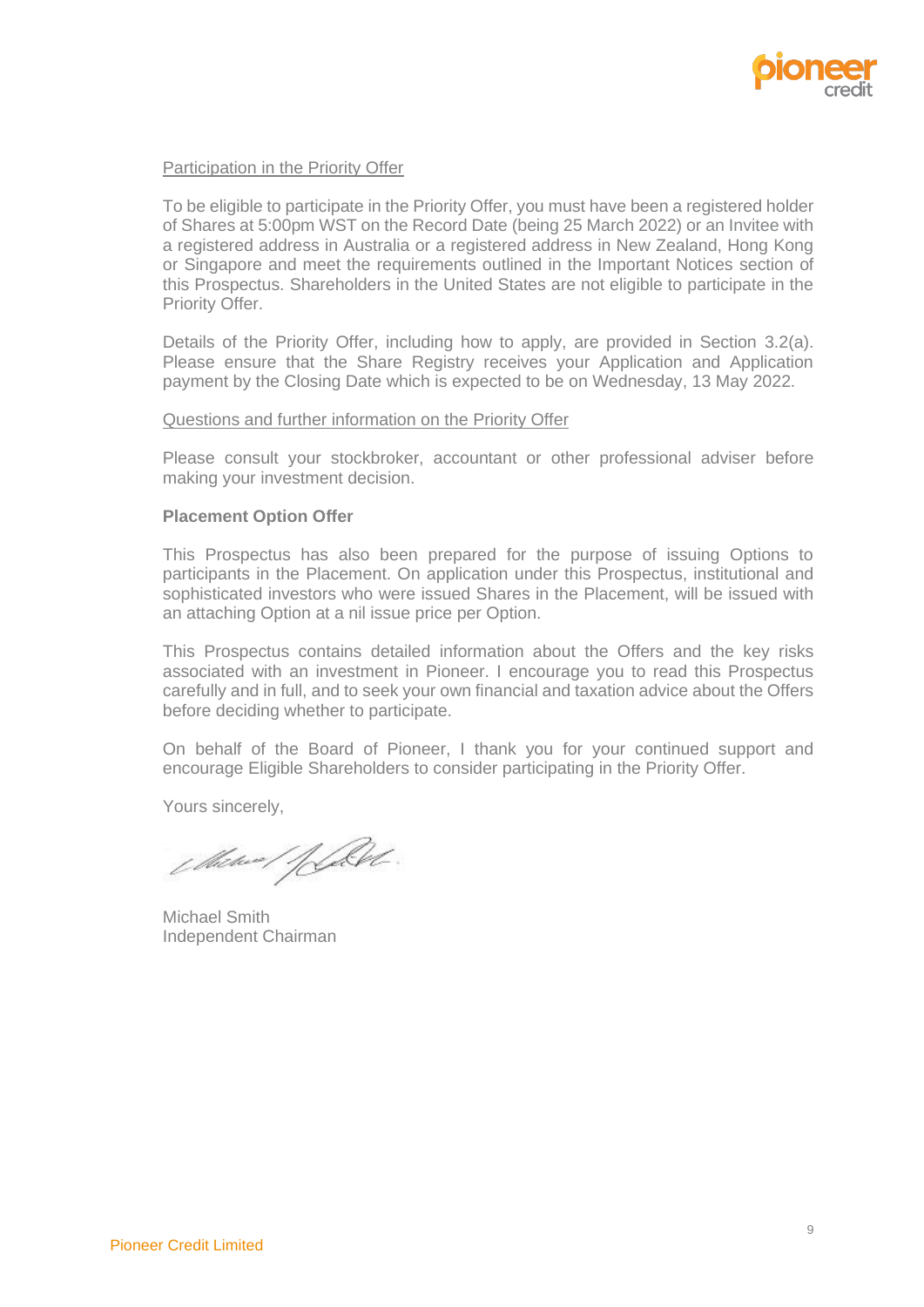

#### Participation in the Priority Offer

To be eligible to participate in the Priority Offer, you must have been a registered holder of Shares at 5:00pm WST on the Record Date (being 25 March 2022) or an Invitee with a registered address in Australia or a registered address in New Zealand, Hong Kong or Singapore and meet the requirements outlined in the Important Notices section of this Prospectus. Shareholders in the United States are not eligible to participate in the Priority Offer.

Details of the Priority Offer, including how to apply, are provided in Section [3.2\(a\).](#page-12-1) Please ensure that the Share Registry receives your Application and Application payment by the Closing Date which is expected to be on Wednesday, 13 May 2022.

#### Questions and further information on the Priority Offer

Please consult your stockbroker, accountant or other professional adviser before making your investment decision.

#### **Placement Option Offer**

This Prospectus has also been prepared for the purpose of issuing Options to participants in the Placement. On application under this Prospectus, institutional and sophisticated investors who were issued Shares in the Placement, will be issued with an attaching Option at a nil issue price per Option.

This Prospectus contains detailed information about the Offers and the key risks associated with an investment in Pioneer. I encourage you to read this Prospectus carefully and in full, and to seek your own financial and taxation advice about the Offers before deciding whether to participate.

On behalf of the Board of Pioneer, I thank you for your continued support and encourage Eligible Shareholders to consider participating in the Priority Offer.

Yours sincerely,

Mitwee/filet

Michael Smith Independent Chairman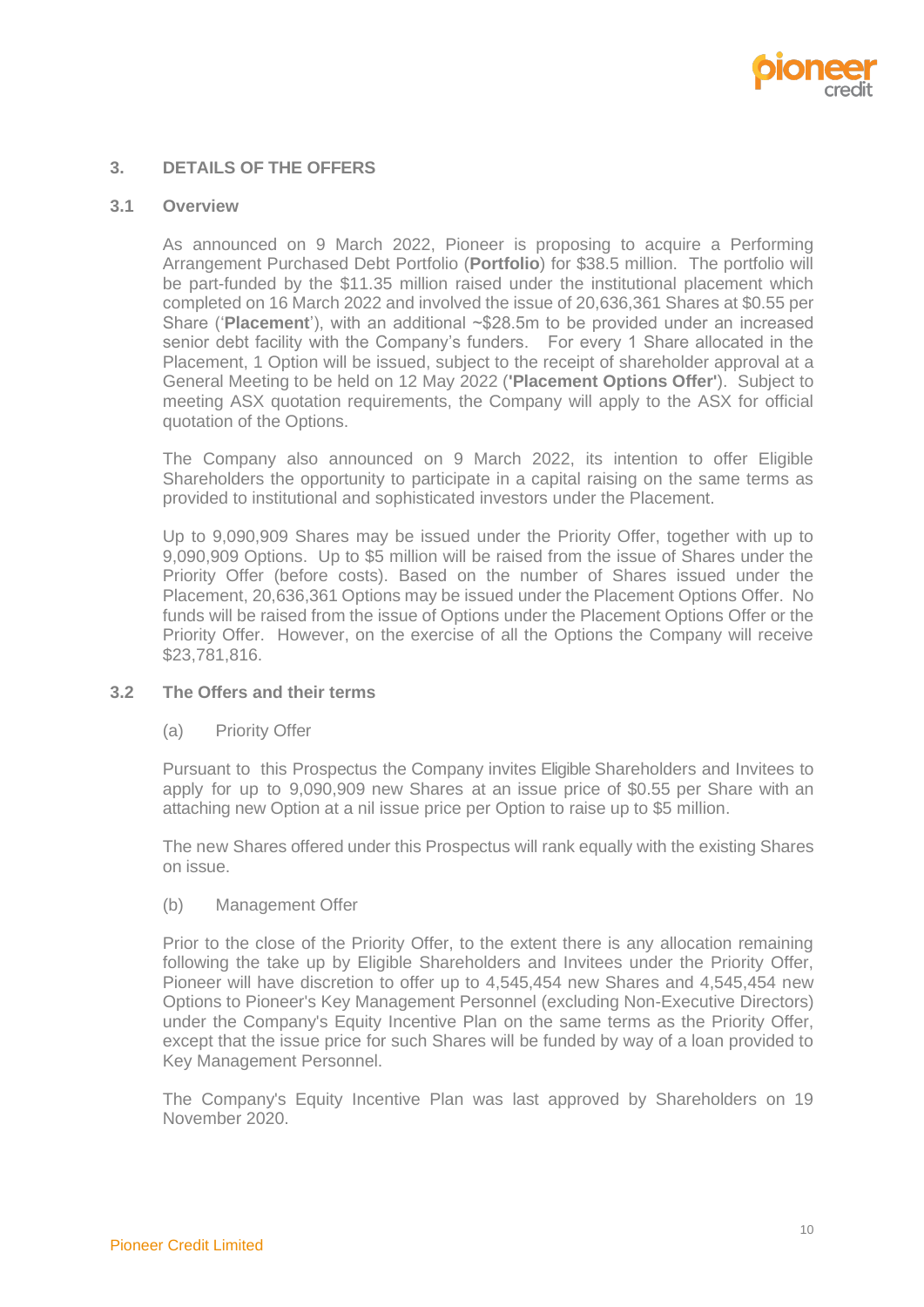

# <span id="page-12-0"></span>**3. DETAILS OF THE OFFERS**

#### <span id="page-12-3"></span>**3.1 Overview**

As announced on 9 March 2022, Pioneer is proposing to acquire a Performing Arrangement Purchased Debt Portfolio (**Portfolio**) for \$38.5 million. The portfolio will be part-funded by the \$11.35 million raised under the institutional placement which completed on 16 March 2022 and involved the issue of 20,636,361 Shares at \$0.55 per Share ('**Placement**'), with an additional ~\$28.5m to be provided under an increased senior debt facility with the Company's funders. For every 1 Share allocated in the Placement, 1 Option will be issued, subject to the receipt of shareholder approval at a General Meeting to be held on 12 May 2022 (**'Placement Options Offer'**). Subject to meeting ASX quotation requirements, the Company will apply to the ASX for official quotation of the Options.

The Company also announced on 9 March 2022, its intention to offer Eligible Shareholders the opportunity to participate in a capital raising on the same terms as provided to institutional and sophisticated investors under the Placement.

Up to 9,090,909 Shares may be issued under the Priority Offer, together with up to 9,090,909 Options. Up to \$5 million will be raised from the issue of Shares under the Priority Offer (before costs). Based on the number of Shares issued under the Placement, 20,636,361 Options may be issued under the Placement Options Offer. No funds will be raised from the issue of Options under the Placement Options Offer or the Priority Offer. However, on the exercise of all the Options the Company will receive \$23,781,816.

#### <span id="page-12-1"></span>**3.2 The Offers and their terms**

(a) Priority Offer

Pursuant to this Prospectus the Company invites Eligible Shareholders and Invitees to apply for up to 9,090,909 new Shares at an issue price of \$0.55 per Share with an attaching new Option at a nil issue price per Option to raise up to \$5 million.

The new Shares offered under this Prospectus will rank equally with the existing Shares on issue.

<span id="page-12-2"></span>(b) Management Offer

Prior to the close of the Priority Offer, to the extent there is any allocation remaining following the take up by Eligible Shareholders and Invitees under the Priority Offer, Pioneer will have discretion to offer up to 4,545,454 new Shares and 4,545,454 new Options to Pioneer's Key Management Personnel (excluding Non-Executive Directors) under the Company's Equity Incentive Plan on the same terms as the Priority Offer, except that the issue price for such Shares will be funded by way of a loan provided to Key Management Personnel.

The Company's Equity Incentive Plan was last approved by Shareholders on 19 November 2020.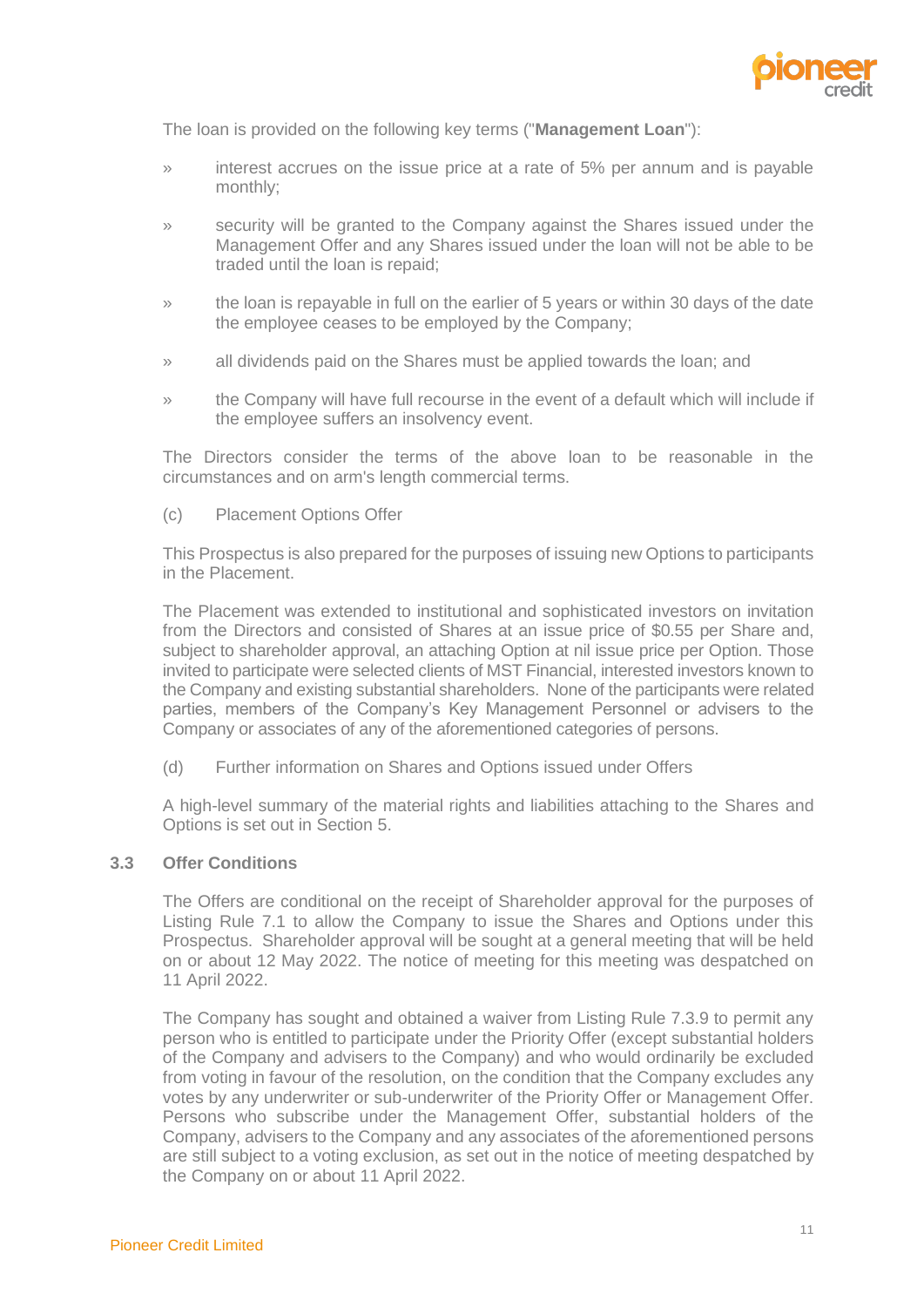

The loan is provided on the following key terms ("**Management Loan**"):

- » interest accrues on the issue price at a rate of 5% per annum and is payable monthly;
- » security will be granted to the Company against the Shares issued under the Management Offer and any Shares issued under the loan will not be able to be traded until the loan is repaid;
- » the loan is repayable in full on the earlier of 5 years or within 30 days of the date the employee ceases to be employed by the Company;
- » all dividends paid on the Shares must be applied towards the loan; and
- » the Company will have full recourse in the event of a default which will include if the employee suffers an insolvency event.

The Directors consider the terms of the above loan to be reasonable in the circumstances and on arm's length commercial terms.

(c) Placement Options Offer

This Prospectus is also prepared for the purposes of issuing new Options to participants in the Placement.

The Placement was extended to institutional and sophisticated investors on invitation from the Directors and consisted of Shares at an issue price of \$0.55 per Share and, subject to shareholder approval, an attaching Option at nil issue price per Option. Those invited to participate were selected clients of MST Financial, interested investors known to the Company and existing substantial shareholders. None of the participants were related parties, members of the Company's Key Management Personnel or advisers to the Company or associates of any of the aforementioned categories of persons.

(d) Further information on Shares and Options issued under Offers

A high-level summary of the material rights and liabilities attaching to the Shares and Options is set out in Section 5.

#### <span id="page-13-0"></span>**3.3 Offer Conditions**

The Offers are conditional on the receipt of Shareholder approval for the purposes of Listing Rule 7.1 to allow the Company to issue the Shares and Options under this Prospectus. Shareholder approval will be sought at a general meeting that will be held on or about 12 May 2022. The notice of meeting for this meeting was despatched on 11 April 2022.

The Company has sought and obtained a waiver from Listing Rule 7.3.9 to permit any person who is entitled to participate under the Priority Offer (except substantial holders of the Company and advisers to the Company) and who would ordinarily be excluded from voting in favour of the resolution, on the condition that the Company excludes any votes by any underwriter or sub-underwriter of the Priority Offer or Management Offer. Persons who subscribe under the Management Offer, substantial holders of the Company, advisers to the Company and any associates of the aforementioned persons are still subject to a voting exclusion, as set out in the notice of meeting despatched by the Company on or about 11 April 2022.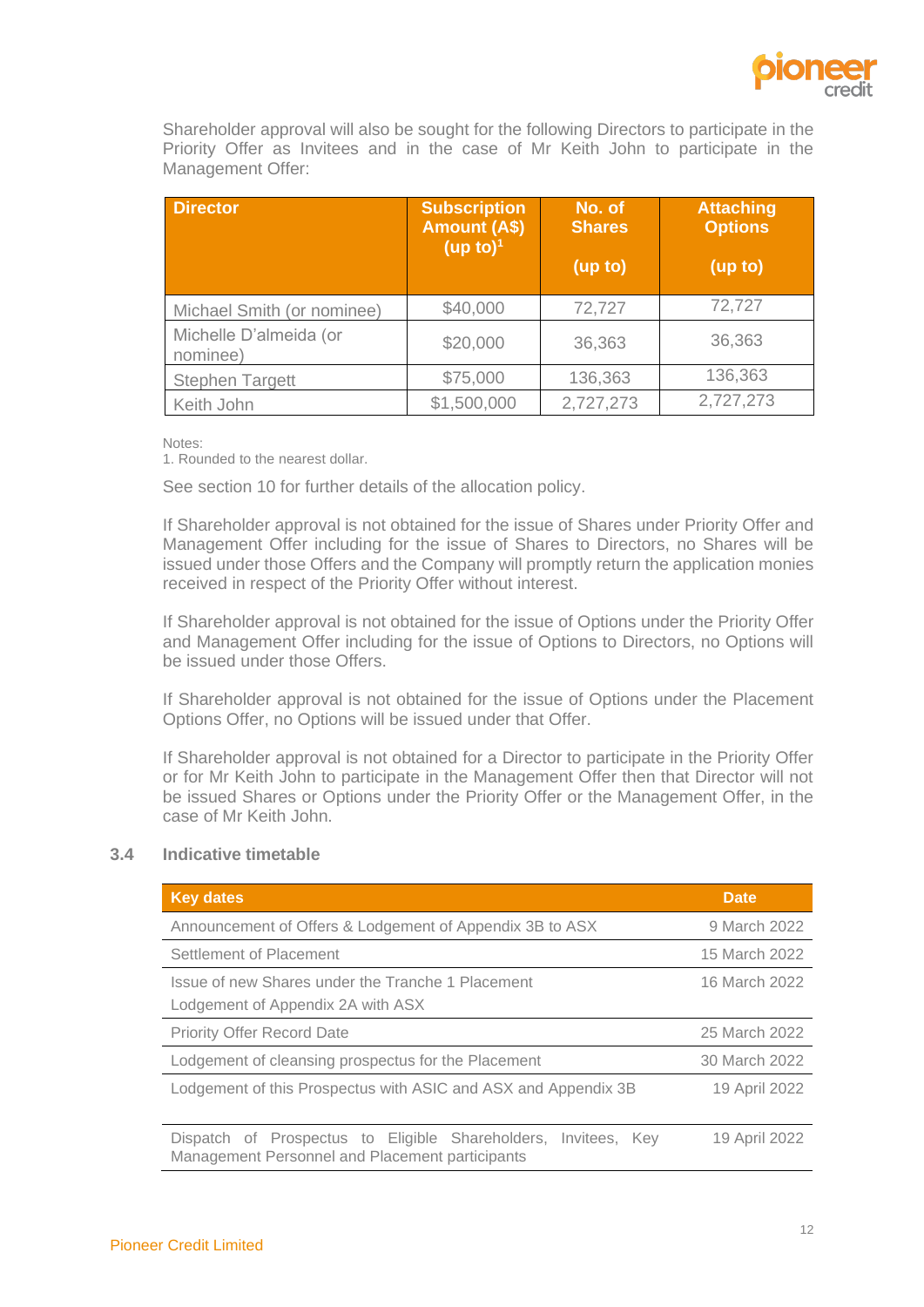

Shareholder approval will also be sought for the following Directors to participate in the Priority Offer as Invitees and in the case of Mr Keith John to participate in the Management Offer:

| <b>Director</b>                    | <b>Subscription</b><br><b>Amount (A\$)</b><br>(up to) <sup>1</sup> | No. of<br><b>Shares</b> | Attaching<br><b>Options</b> |
|------------------------------------|--------------------------------------------------------------------|-------------------------|-----------------------------|
|                                    |                                                                    | (up to)                 | (up to)                     |
| Michael Smith (or nominee)         | \$40,000                                                           | 72,727                  | 72,727                      |
| Michelle D'almeida (or<br>nominee) | \$20,000                                                           | 36,363                  | 36,363                      |
| <b>Stephen Targett</b>             | \$75,000                                                           | 136,363                 | 136,363                     |
| Keith John                         | \$1,500,000                                                        | 2,727,273               | 2,727,273                   |

Notes:

1. Rounded to the nearest dollar.

See section 10 for further details of the allocation policy.

If Shareholder approval is not obtained for the issue of Shares under Priority Offer and Management Offer including for the issue of Shares to Directors, no Shares will be issued under those Offers and the Company will promptly return the application monies received in respect of the Priority Offer without interest.

If Shareholder approval is not obtained for the issue of Options under the Priority Offer and Management Offer including for the issue of Options to Directors, no Options will be issued under those Offers.

If Shareholder approval is not obtained for the issue of Options under the Placement Options Offer, no Options will be issued under that Offer.

If Shareholder approval is not obtained for a Director to participate in the Priority Offer or for Mr Keith John to participate in the Management Offer then that Director will not be issued Shares or Options under the Priority Offer or the Management Offer, in the case of Mr Keith John.

# **3.4 Indicative timetable**

| <b>Key dates</b>                                                                                                  | <b>Date</b>   |
|-------------------------------------------------------------------------------------------------------------------|---------------|
| Announcement of Offers & Lodgement of Appendix 3B to ASX                                                          | 9 March 2022  |
| Settlement of Placement                                                                                           | 15 March 2022 |
| Issue of new Shares under the Tranche 1 Placement<br>Lodgement of Appendix 2A with ASX                            | 16 March 2022 |
| <b>Priority Offer Record Date</b>                                                                                 | 25 March 2022 |
| Lodgement of cleansing prospectus for the Placement                                                               | 30 March 2022 |
| Lodgement of this Prospectus with ASIC and ASX and Appendix 3B                                                    | 19 April 2022 |
| Dispatch of Prospectus to Eligible Shareholders, Invitees, Key<br>Management Personnel and Placement participants | 19 April 2022 |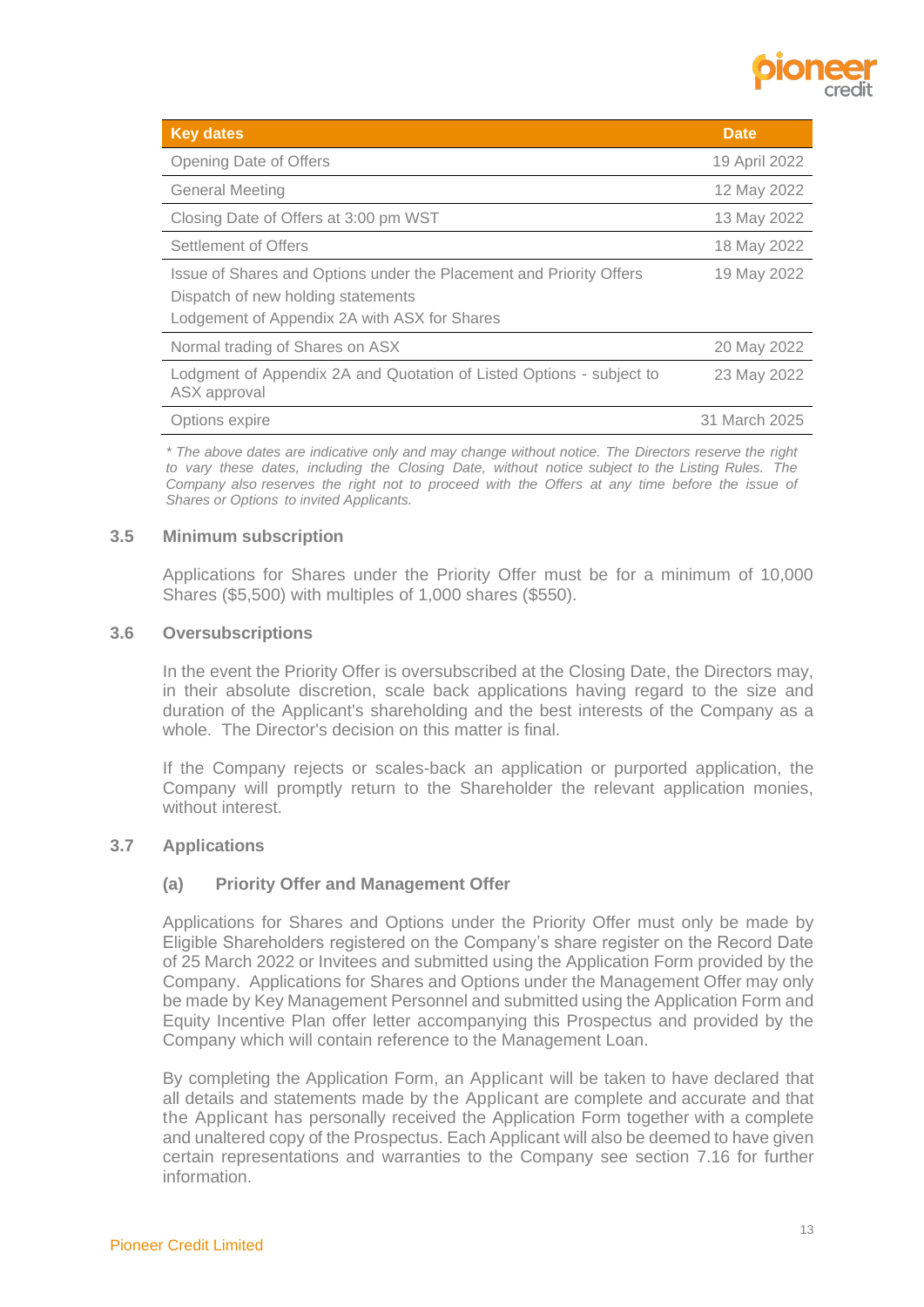

| <b>Key dates</b>                                                                                          | <b>Date</b>   |
|-----------------------------------------------------------------------------------------------------------|---------------|
| Opening Date of Offers                                                                                    | 19 April 2022 |
| <b>General Meeting</b>                                                                                    | 12 May 2022   |
| Closing Date of Offers at 3:00 pm WST                                                                     | 13 May 2022   |
| Settlement of Offers                                                                                      | 18 May 2022   |
| Issue of Shares and Options under the Placement and Priority Offers<br>Dispatch of new holding statements | 19 May 2022   |
| Lodgement of Appendix 2A with ASX for Shares                                                              |               |
| Normal trading of Shares on ASX                                                                           | 20 May 2022   |
| Lodgment of Appendix 2A and Quotation of Listed Options - subject to<br>ASX approval                      | 23 May 2022   |
| Options expire                                                                                            | 31 March 2025 |

*\* The above dates are indicative only and may change without notice. The Directors reserve the right to vary these dates, including the Closing Date, without notice subject to the Listing Rules. The Company also reserves the right not to proceed with the Offers at any time before the issue of Shares or Options to invited Applicants.*

## **3.5 Minimum subscription**

Applications for Shares under the Priority Offer must be for a minimum of 10,000 Shares (\$5,500) with multiples of 1,000 shares (\$550).

#### **3.6 Oversubscriptions**

In the event the Priority Offer is oversubscribed at the Closing Date, the Directors may, in their absolute discretion, scale back applications having regard to the size and duration of the Applicant's shareholding and the best interests of the Company as a whole. The Director's decision on this matter is final.

If the Company rejects or scales-back an application or purported application, the Company will promptly return to the Shareholder the relevant application monies, without interest.

#### **3.7 Applications**

#### **(a) Priority Offer and Management Offer**

Applications for Shares and Options under the Priority Offer must only be made by Eligible Shareholders registered on the Company's share register on the Record Date of 25 March 2022 or Invitees and submitted using the Application Form provided by the Company. Applications for Shares and Options under the Management Offer may only be made by Key Management Personnel and submitted using the Application Form and Equity Incentive Plan offer letter accompanying this Prospectus and provided by the Company which will contain reference to the Management Loan.

By completing the Application Form, an Applicant will be taken to have declared that all details and statements made by the Applicant are complete and accurate and that the Applicant has personally received the Application Form together with a complete and unaltered copy of the Prospectus. Each Applicant will also be deemed to have given certain representations and warranties to the Company see section [7.16](#page-52-0) for further information.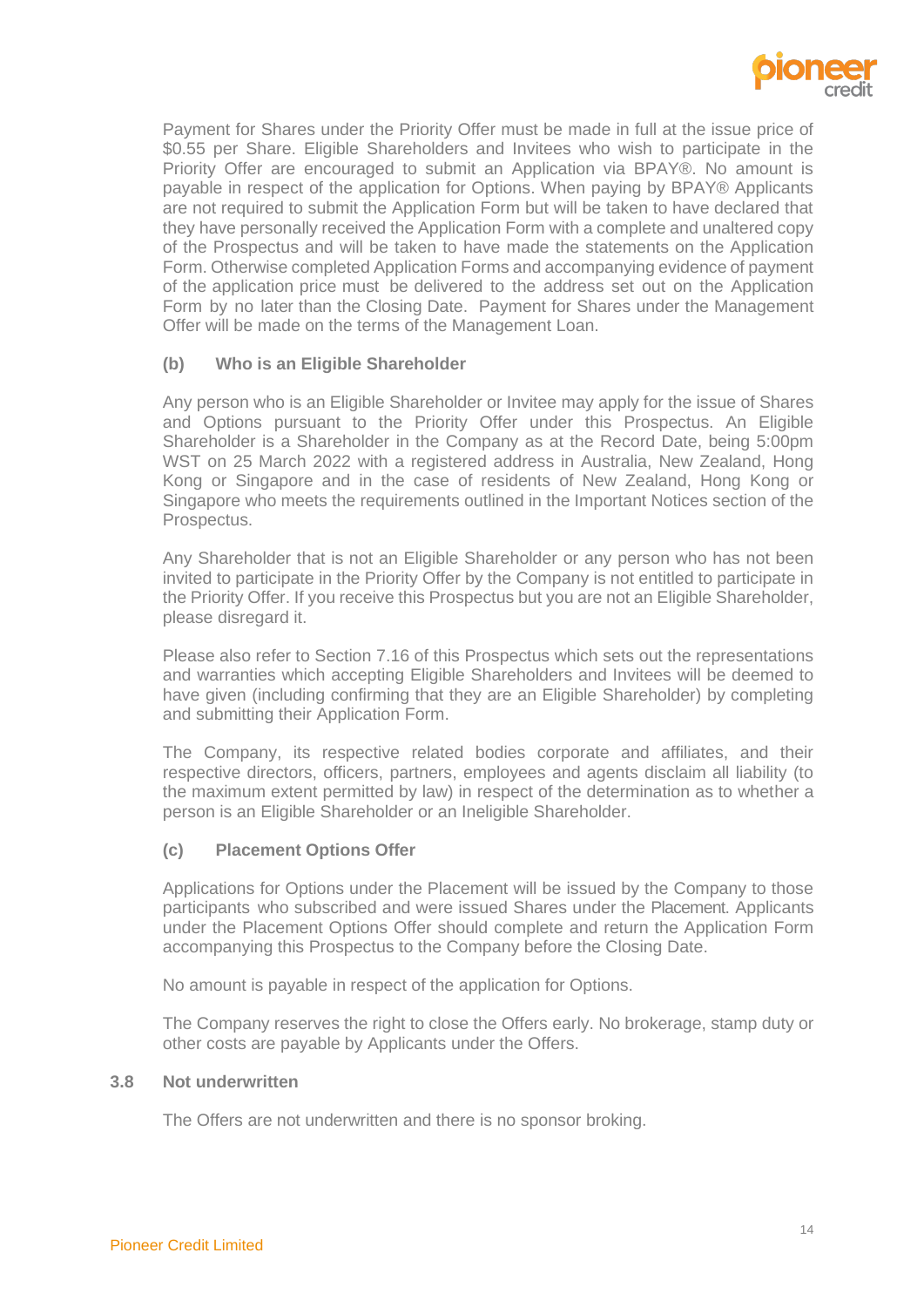

Payment for Shares under the Priority Offer must be made in full at the issue price of \$0.55 per Share. Eligible Shareholders and Invitees who wish to participate in the Priority Offer are encouraged to submit an Application via BPAY®. No amount is payable in respect of the application for Options. When paying by BPAY® Applicants are not required to submit the Application Form but will be taken to have declared that they have personally received the Application Form with a complete and unaltered copy of the Prospectus and will be taken to have made the statements on the Application Form. Otherwise completed Application Forms and accompanying evidence of payment of the application price must be delivered to the address set out on the Application Form by no later than the Closing Date. Payment for Shares under the Management Offer will be made on the terms of the Management Loan.

# **(b) Who is an Eligible Shareholder**

Any person who is an Eligible Shareholder or Invitee may apply for the issue of Shares and Options pursuant to the Priority Offer under this Prospectus. An Eligible Shareholder is a Shareholder in the Company as at the Record Date, being 5:00pm WST on 25 March 2022 with a registered address in Australia, New Zealand, Hong Kong or Singapore and in the case of residents of New Zealand, Hong Kong or Singapore who meets the requirements outlined in the Important Notices section of the Prospectus.

Any Shareholder that is not an Eligible Shareholder or any person who has not been invited to participate in the Priority Offer by the Company is not entitled to participate in the Priority Offer. If you receive this Prospectus but you are not an Eligible Shareholder, please disregard it.

Please also refer to Section [7.16](#page-52-0) of this Prospectus which sets out the representations and warranties which accepting Eligible Shareholders and Invitees will be deemed to have given (including confirming that they are an Eligible Shareholder) by completing and submitting their Application Form.

The Company, its respective related bodies corporate and affiliates, and their respective directors, officers, partners, employees and agents disclaim all liability (to the maximum extent permitted by law) in respect of the determination as to whether a person is an Eligible Shareholder or an Ineligible Shareholder.

# **(c) Placement Options Offer**

Applications for Options under the Placement will be issued by the Company to those participants who subscribed and were issued Shares under the Placement. Applicants under the Placement Options Offer should complete and return the Application Form accompanying this Prospectus to the Company before the Closing Date.

No amount is payable in respect of the application for Options.

The Company reserves the right to close the Offers early. No brokerage, stamp duty or other costs are payable by Applicants under the Offers.

#### **3.8 Not underwritten**

The Offers are not underwritten and there is no sponsor broking.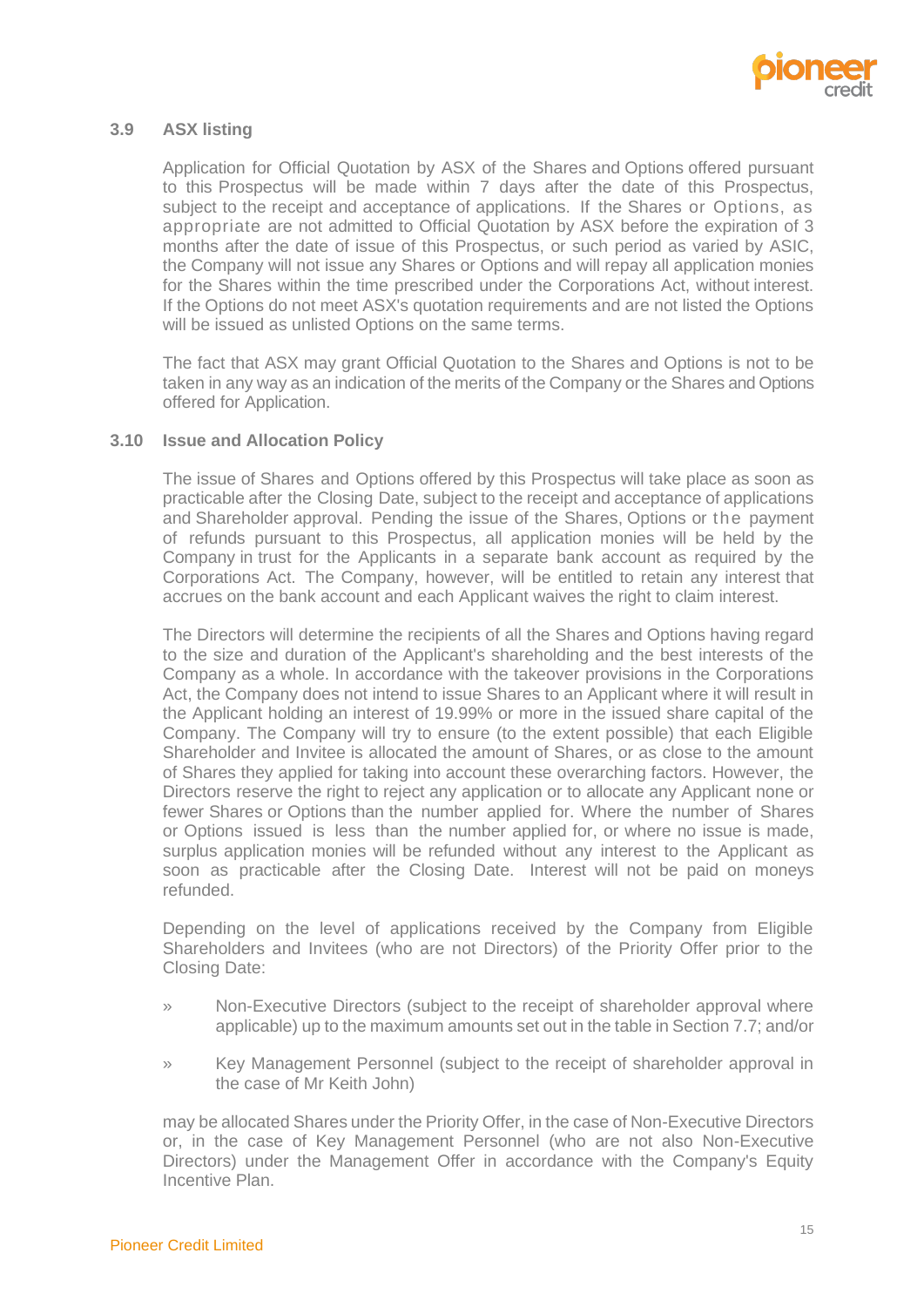

# **3.9 ASX listing**

Application for Official Quotation by ASX of the Shares and Options offered pursuant to this Prospectus will be made within 7 days after the date of this Prospectus, subject to the receipt and acceptance of applications. If the Shares or Options, as appropriate are not admitted to Official Quotation by ASX before the expiration of 3 months after the date of issue of this Prospectus, or such period as varied by ASIC, the Company will not issue any Shares or Options and will repay all application monies for the Shares within the time prescribed under the Corporations Act, without interest. If the Options do not meet ASX's quotation requirements and are not listed the Options will be issued as unlisted Options on the same terms.

The fact that ASX may grant Official Quotation to the Shares and Options is not to be taken in any way as an indication of the merits of the Company or the Shares and Options offered for Application.

## **3.10 Issue and Allocation Policy**

The issue of Shares and Options offered by this Prospectus will take place as soon as practicable after the Closing Date, subject to the receipt and acceptance of applications and Shareholder approval. Pending the issue of the Shares, Options or the payment of refunds pursuant to this Prospectus, all application monies will be held by the Company in trust for the Applicants in a separate bank account as required by the Corporations Act. The Company, however, will be entitled to retain any interest that accrues on the bank account and each Applicant waives the right to claim interest.

The Directors will determine the recipients of all the Shares and Options having regard to the size and duration of the Applicant's shareholding and the best interests of the Company as a whole. In accordance with the takeover provisions in the Corporations Act, the Company does not intend to issue Shares to an Applicant where it will result in the Applicant holding an interest of 19.99% or more in the issued share capital of the Company. The Company will try to ensure (to the extent possible) that each Eligible Shareholder and Invitee is allocated the amount of Shares, or as close to the amount of Shares they applied for taking into account these overarching factors. However, the Directors reserve the right to reject any application or to allocate any Applicant none or fewer Shares or Options than the number applied for. Where the number of Shares or Options issued is less than the number applied for, or where no issue is made, surplus application monies will be refunded without any interest to the Applicant as soon as practicable after the Closing Date. Interest will not be paid on moneys refunded.

Depending on the level of applications received by the Company from Eligible Shareholders and Invitees (who are not Directors) of the Priority Offer prior to the Closing Date:

- » Non-Executive Directors (subject to the receipt of shareholder approval where applicable) up to the maximum amounts set out in the table in Sectio[n 7.7;](#page-47-0) and/or
- » Key Management Personnel (subject to the receipt of shareholder approval in the case of Mr Keith John)

may be allocated Shares under the Priority Offer, in the case of Non-Executive Directors or, in the case of Key Management Personnel (who are not also Non-Executive Directors) under the Management Offer in accordance with the Company's Equity Incentive Plan.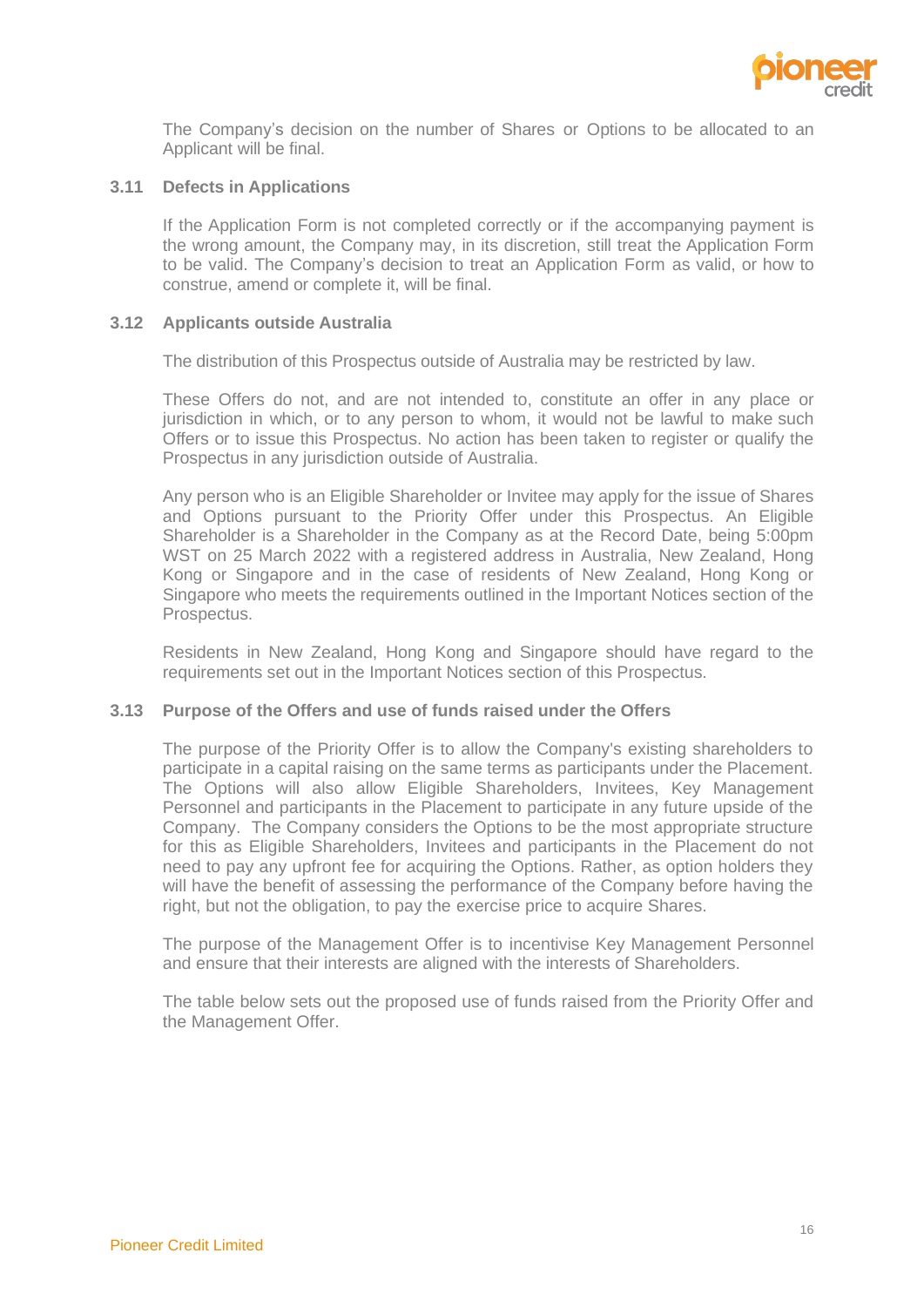

The Company's decision on the number of Shares or Options to be allocated to an Applicant will be final.

#### **3.11 Defects in Applications**

If the Application Form is not completed correctly or if the accompanying payment is the wrong amount, the Company may, in its discretion, still treat the Application Form to be valid. The Company's decision to treat an Application Form as valid, or how to construe, amend or complete it, will be final.

#### **3.12 Applicants outside Australia**

The distribution of this Prospectus outside of Australia may be restricted by law.

These Offers do not, and are not intended to, constitute an offer in any place or jurisdiction in which, or to any person to whom, it would not be lawful to make such Offers or to issue this Prospectus. No action has been taken to register or qualify the Prospectus in any jurisdiction outside of Australia.

Any person who is an Eligible Shareholder or Invitee may apply for the issue of Shares and Options pursuant to the Priority Offer under this Prospectus. An Eligible Shareholder is a Shareholder in the Company as at the Record Date, being 5:00pm WST on 25 March 2022 with a registered address in Australia, New Zealand, Hong Kong or Singapore and in the case of residents of New Zealand, Hong Kong or Singapore who meets the requirements outlined in the Important Notices section of the Prospectus.

Residents in New Zealand, Hong Kong and Singapore should have regard to the requirements set out in the Important Notices section of this Prospectus.

#### **3.13 Purpose of the Offers and use of funds raised under the Offers**

The purpose of the Priority Offer is to allow the Company's existing shareholders to participate in a capital raising on the same terms as participants under the Placement. The Options will also allow Eligible Shareholders, Invitees, Key Management Personnel and participants in the Placement to participate in any future upside of the Company. The Company considers the Options to be the most appropriate structure for this as Eligible Shareholders, Invitees and participants in the Placement do not need to pay any upfront fee for acquiring the Options. Rather, as option holders they will have the benefit of assessing the performance of the Company before having the right, but not the obligation, to pay the exercise price to acquire Shares.

The purpose of the Management Offer is to incentivise Key Management Personnel and ensure that their interests are aligned with the interests of Shareholders.

The table below sets out the proposed use of funds raised from the Priority Offer and the Management Offer.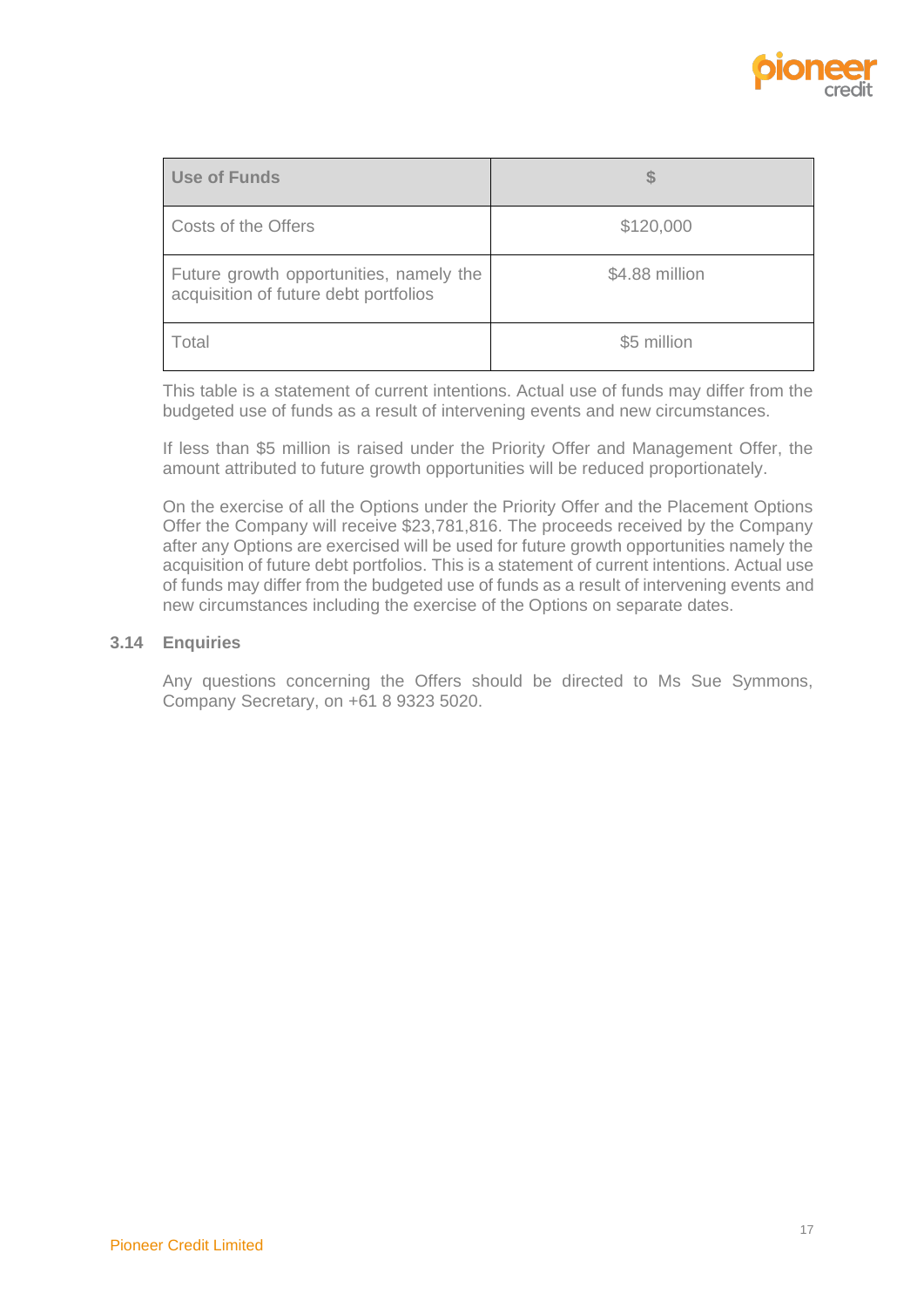

| Use of Funds                                                                     |                |
|----------------------------------------------------------------------------------|----------------|
| Costs of the Offers                                                              | \$120,000      |
| Future growth opportunities, namely the<br>acquisition of future debt portfolios | \$4.88 million |
| Total                                                                            | \$5 million    |

This table is a statement of current intentions. Actual use of funds may differ from the budgeted use of funds as a result of intervening events and new circumstances.

If less than \$5 million is raised under the Priority Offer and Management Offer, the amount attributed to future growth opportunities will be reduced proportionately.

On the exercise of all the Options under the Priority Offer and the Placement Options Offer the Company will receive \$23,781,816. The proceeds received by the Company after any Options are exercised will be used for future growth opportunities namely the acquisition of future debt portfolios. This is a statement of current intentions. Actual use of funds may differ from the budgeted use of funds as a result of intervening events and new circumstances including the exercise of the Options on separate dates.

#### **3.14 Enquiries**

Any questions concerning the Offers should be directed to Ms Sue Symmons, Company Secretary, on +61 8 9323 5020.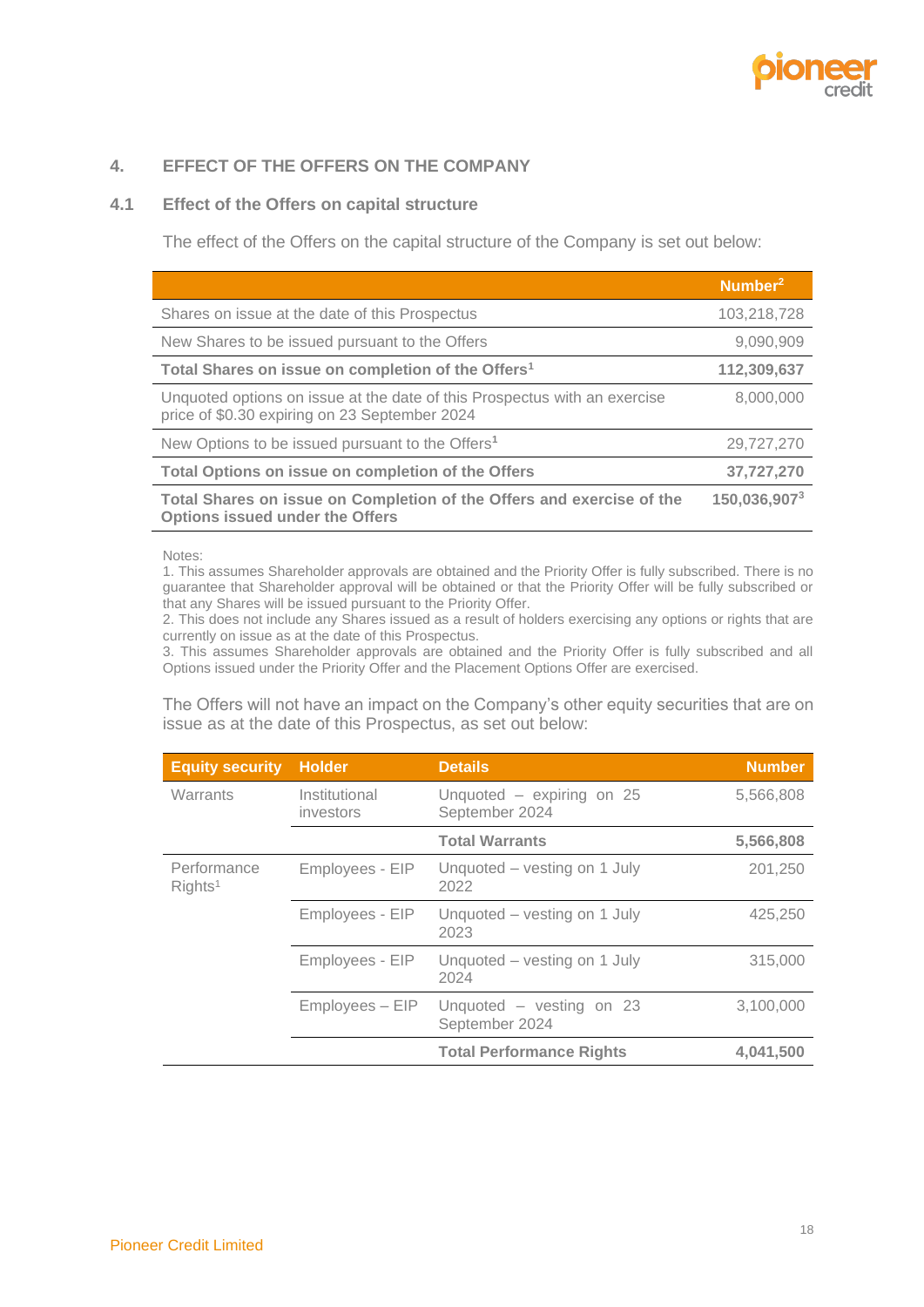

# <span id="page-20-0"></span>**4. EFFECT OF THE OFFERS ON THE COMPANY**

### <span id="page-20-1"></span>**4.1 Effect of the Offers on capital structure**

The effect of the Offers on the capital structure of the Company is set out below:

|                                                                                                                            | Number <sup>2</sup> |
|----------------------------------------------------------------------------------------------------------------------------|---------------------|
| Shares on issue at the date of this Prospectus                                                                             | 103,218,728         |
| New Shares to be issued pursuant to the Offers                                                                             | 9,090,909           |
| Total Shares on issue on completion of the Offers <sup>1</sup>                                                             | 112,309,637         |
| Unquoted options on issue at the date of this Prospectus with an exercise<br>price of \$0.30 expiring on 23 September 2024 | 8.000.000           |
| New Options to be issued pursuant to the Offers <sup>1</sup>                                                               | 29,727,270          |
| Total Options on issue on completion of the Offers                                                                         | 37,727,270          |
| Total Shares on issue on Completion of the Offers and exercise of the<br><b>Options issued under the Offers</b>            | 150,036,9073        |

Notes:

1. This assumes Shareholder approvals are obtained and the Priority Offer is fully subscribed. There is no guarantee that Shareholder approval will be obtained or that the Priority Offer will be fully subscribed or that any Shares will be issued pursuant to the Priority Offer.

2. This does not include any Shares issued as a result of holders exercising any options or rights that are currently on issue as at the date of this Prospectus.

3. This assumes Shareholder approvals are obtained and the Priority Offer is fully subscribed and all Options issued under the Priority Offer and the Placement Options Offer are exercised.

The Offers will not have an impact on the Company's other equity securities that are on issue as at the date of this Prospectus, as set out below:

| <b>Equity security</b>             | <b>Holder</b>              | <b>Details</b>                              | <b>Number</b> |
|------------------------------------|----------------------------|---------------------------------------------|---------------|
| Warrants                           | Institutional<br>investors | Unquoted – expiring on 25<br>September 2024 | 5,566,808     |
|                                    |                            | <b>Total Warrants</b>                       | 5,566,808     |
| Performance<br>RightS <sup>1</sup> | Employees - EIP            | Unquoted – vesting on 1 July<br>2022        | 201,250       |
|                                    | Employees - EIP            | Unquoted – vesting on 1 July<br>2023        | 425,250       |
|                                    | Employees - EIP            | Unquoted – vesting on 1 July<br>2024        | 315,000       |
|                                    | Employees - EIP            | Unquoted - vesting on 23<br>September 2024  | 3,100,000     |
|                                    |                            | <b>Total Performance Rights</b>             | 4,041,500     |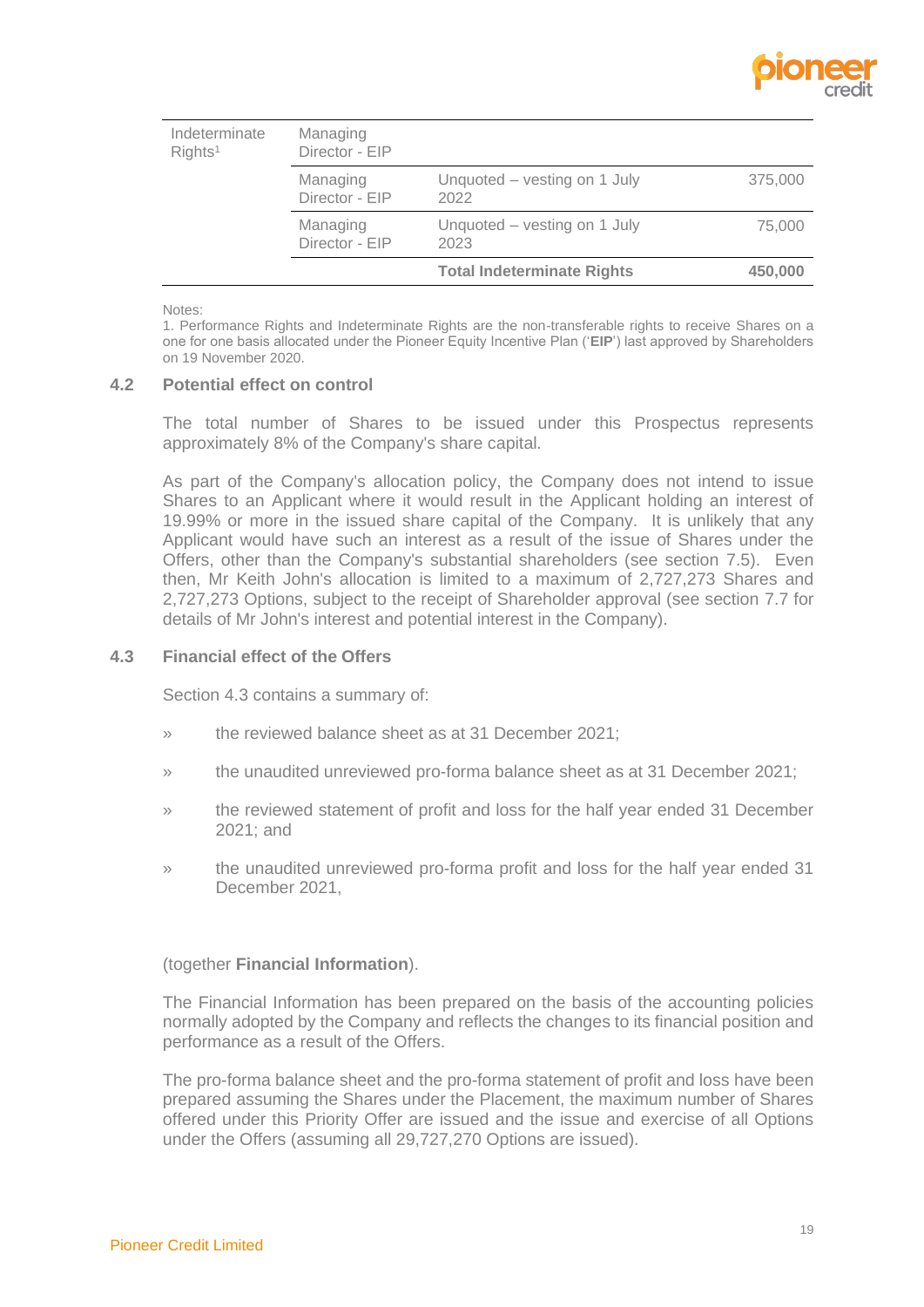

|                                      |                            | <b>Total Indeterminate Rights</b>    | 450,000 |
|--------------------------------------|----------------------------|--------------------------------------|---------|
|                                      | Managing<br>Director - EIP | Unquoted – vesting on 1 July<br>2023 | 75,000  |
|                                      | Managing<br>Director - EIP | Unquoted – vesting on 1 July<br>2022 | 375,000 |
| Indeterminate<br>RightS <sup>1</sup> | Managing<br>Director - EIP |                                      |         |

Notes:

1. Performance Rights and Indeterminate Rights are the non-transferable rights to receive Shares on a one for one basis allocated under the Pioneer Equity Incentive Plan ('**EIP**') last approved by Shareholders on 19 November 2020.

#### **4.2 Potential effect on control**

The total number of Shares to be issued under this Prospectus represents approximately 8% of the Company's share capital.

As part of the Company's allocation policy, the Company does not intend to issue Shares to an Applicant where it would result in the Applicant holding an interest of 19.99% or more in the issued share capital of the Company. It is unlikely that any Applicant would have such an interest as a result of the issue of Shares under the Offers, other than the Company's substantial shareholders (see section [7.5\)](#page-47-1). Even then, Mr Keith John's allocation is limited to a maximum of 2,727,273 Shares and 2,727,273 Options, subject to the receipt of Shareholder approval (see section [7.7](#page-47-0) for details of Mr John's interest and potential interest in the Company).

#### **4.3 Financial effect of the Offers**

Section 4.3 contains a summary of:

- » the reviewed balance sheet as at 31 December 2021;
- » the unaudited unreviewed pro-forma balance sheet as at 31 December 2021;
- » the reviewed statement of profit and loss for the half year ended 31 December 2021; and
- » the unaudited unreviewed pro-forma profit and loss for the half year ended 31 December 2021,

#### (together **Financial Information**).

The Financial Information has been prepared on the basis of the accounting policies normally adopted by the Company and reflects the changes to its financial position and performance as a result of the Offers.

The pro-forma balance sheet and the pro-forma statement of profit and loss have been prepared assuming the Shares under the Placement, the maximum number of Shares offered under this Priority Offer are issued and the issue and exercise of all Options under the Offers (assuming all 29,727,270 Options are issued).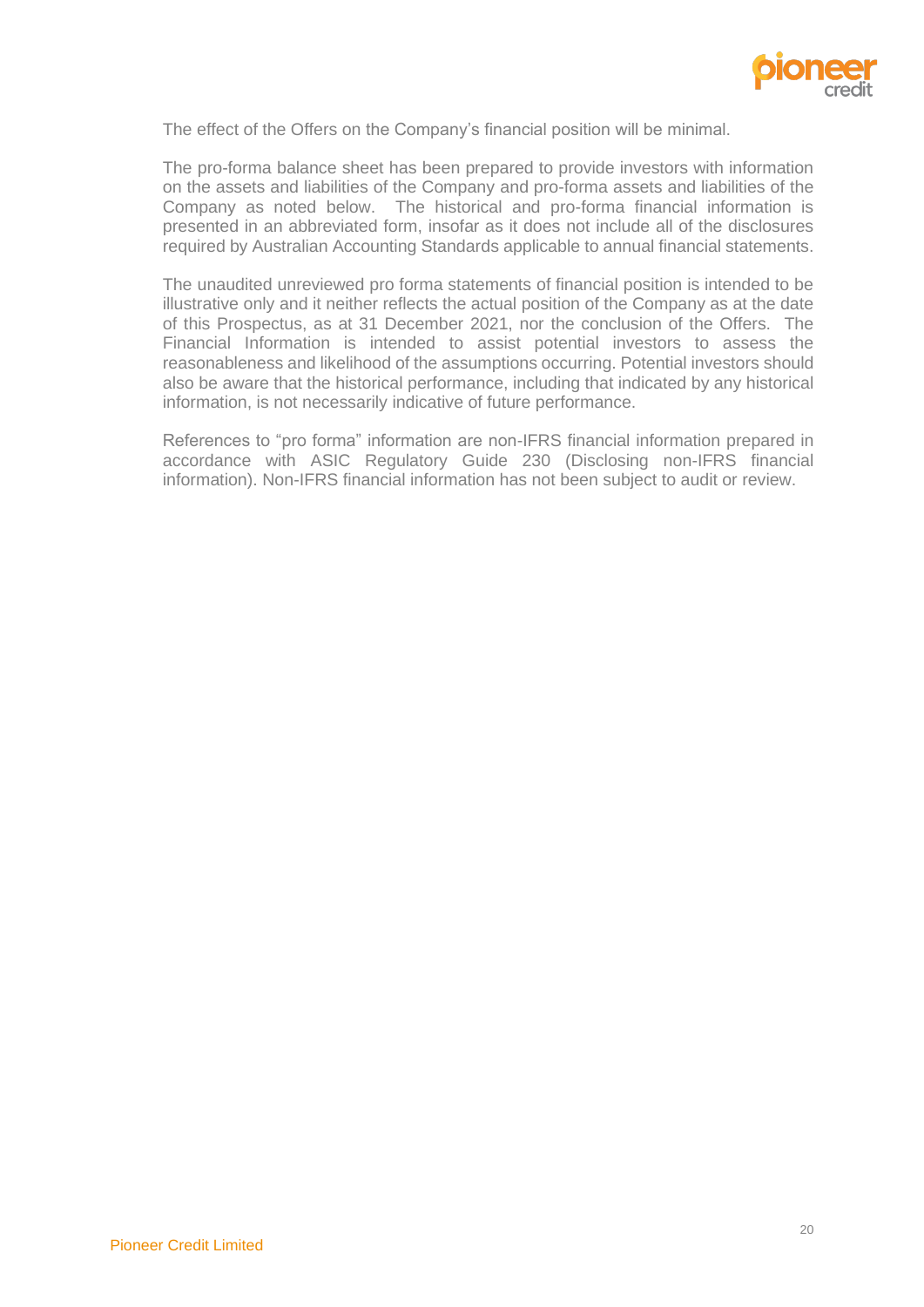

The effect of the Offers on the Company's financial position will be minimal.

The pro-forma balance sheet has been prepared to provide investors with information on the assets and liabilities of the Company and pro-forma assets and liabilities of the Company as noted below. The historical and pro-forma financial information is presented in an abbreviated form, insofar as it does not include all of the disclosures required by Australian Accounting Standards applicable to annual financial statements.

The unaudited unreviewed pro forma statements of financial position is intended to be illustrative only and it neither reflects the actual position of the Company as at the date of this Prospectus, as at 31 December 2021, nor the conclusion of the Offers. The Financial Information is intended to assist potential investors to assess the reasonableness and likelihood of the assumptions occurring. Potential investors should also be aware that the historical performance, including that indicated by any historical information, is not necessarily indicative of future performance.

References to "pro forma" information are non-IFRS financial information prepared in accordance with ASIC Regulatory Guide 230 (Disclosing non-IFRS financial information). Non-IFRS financial information has not been subject to audit or review.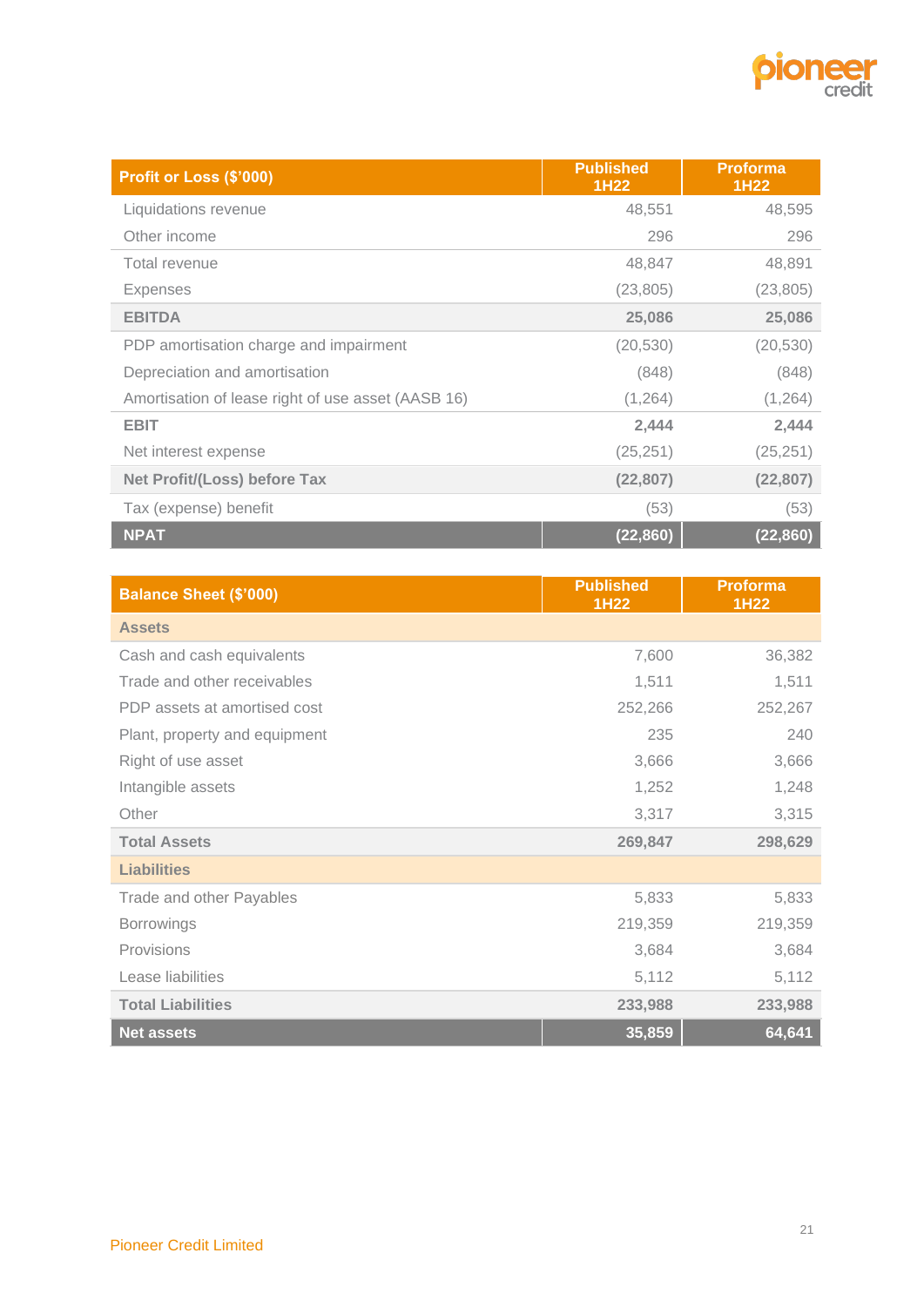

| Profit or Loss (\$'000)                            | <b>Published</b><br>1H22 | <b>Proforma</b><br>1H22 |
|----------------------------------------------------|--------------------------|-------------------------|
| Liquidations revenue                               | 48,551                   | 48,595                  |
| Other income                                       | 296                      | 296                     |
| Total revenue                                      | 48,847                   | 48,891                  |
| <b>Expenses</b>                                    | (23, 805)                | (23, 805)               |
| <b>EBITDA</b>                                      | 25,086                   | 25,086                  |
| PDP amortisation charge and impairment             | (20, 530)                | (20, 530)               |
| Depreciation and amortisation                      | (848)                    | (848)                   |
| Amortisation of lease right of use asset (AASB 16) | (1, 264)                 | (1, 264)                |
| <b>EBIT</b>                                        | 2,444                    | 2,444                   |
| Net interest expense                               | (25, 251)                | (25, 251)               |
| <b>Net Profit/(Loss) before Tax</b>                | (22, 807)                | (22, 807)               |
| Tax (expense) benefit                              | (53)                     | (53)                    |
| <b>NPAT</b>                                        | (22, 860)                | (22, 860)               |

| <b>Balance Sheet (\$'000)</b> | <b>Published</b><br>1H22 | <b>Proforma</b><br><b>1H22</b> |
|-------------------------------|--------------------------|--------------------------------|
| <b>Assets</b>                 |                          |                                |
| Cash and cash equivalents     | 7,600                    | 36,382                         |
| Trade and other receivables   | 1,511                    | 1,511                          |
| PDP assets at amortised cost  | 252,266                  | 252,267                        |
| Plant, property and equipment | 235                      | 240                            |
| Right of use asset            | 3,666                    | 3,666                          |
| Intangible assets             | 1,252                    | 1,248                          |
| Other                         | 3,317                    | 3,315                          |
| <b>Total Assets</b>           | 269,847                  | 298,629                        |
| <b>Liabilities</b>            |                          |                                |
| Trade and other Payables      | 5,833                    | 5,833                          |
| <b>Borrowings</b>             | 219,359                  | 219,359                        |
| Provisions                    | 3,684                    | 3,684                          |
| Lease liabilities             | 5,112                    | 5,112                          |
| <b>Total Liabilities</b>      | 233,988                  | 233,988                        |
| <b>Net assets</b>             | 35,859                   | 64,641                         |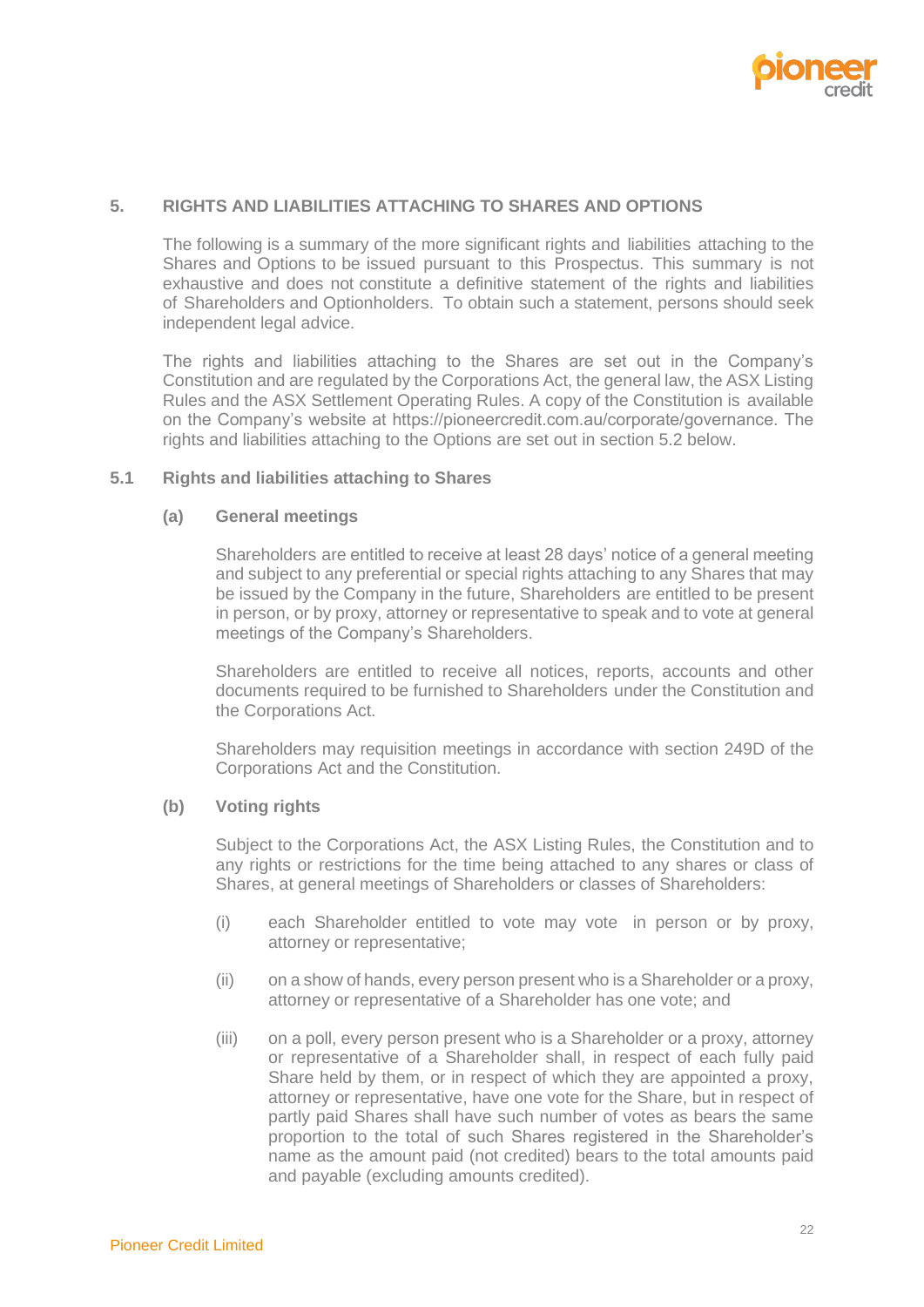

#### <span id="page-24-0"></span>**5. RIGHTS AND LIABILITIES ATTACHING TO SHARES AND OPTIONS**

The following is a summary of the more significant rights and liabilities attaching to the Shares and Options to be issued pursuant to this Prospectus. This summary is not exhaustive and does not constitute a definitive statement of the rights and liabilities of Shareholders and Optionholders. To obtain such a statement, persons should seek independent legal advice.

The rights and liabilities attaching to the Shares are set out in the Company's Constitution and are regulated by the Corporations Act, the general law, the ASX Listing Rules and the ASX Settlement Operating Rules. A copy of the Constitution is available on the Company's website at https://pioneercredit.com.au/corporate/governance. The rights and liabilities attaching to the Options are set out in section 5.2 below.

#### **5.1 Rights and liabilities attaching to Shares**

#### **(a) General meetings**

Shareholders are entitled to receive at least 28 days' notice of a general meeting and subject to any preferential or special rights attaching to any Shares that may be issued by the Company in the future, Shareholders are entitled to be present in person, or by proxy, attorney or representative to speak and to vote at general meetings of the Company's Shareholders.

Shareholders are entitled to receive all notices, reports, accounts and other documents required to be furnished to Shareholders under the Constitution and the Corporations Act.

Shareholders may requisition meetings in accordance with section 249D of the Corporations Act and the Constitution.

#### **(b) Voting rights**

Subject to the Corporations Act, the ASX Listing Rules, the Constitution and to any rights or restrictions for the time being attached to any shares or class of Shares, at general meetings of Shareholders or classes of Shareholders:

- (i) each Shareholder entitled to vote may vote in person or by proxy, attorney or representative;
- (ii) on a show of hands, every person present who is a Shareholder or a proxy, attorney or representative of a Shareholder has one vote; and
- (iii) on a poll, every person present who is a Shareholder or a proxy, attorney or representative of a Shareholder shall, in respect of each fully paid Share held by them, or in respect of which they are appointed a proxy, attorney or representative, have one vote for the Share, but in respect of partly paid Shares shall have such number of votes as bears the same proportion to the total of such Shares registered in the Shareholder's name as the amount paid (not credited) bears to the total amounts paid and payable (excluding amounts credited).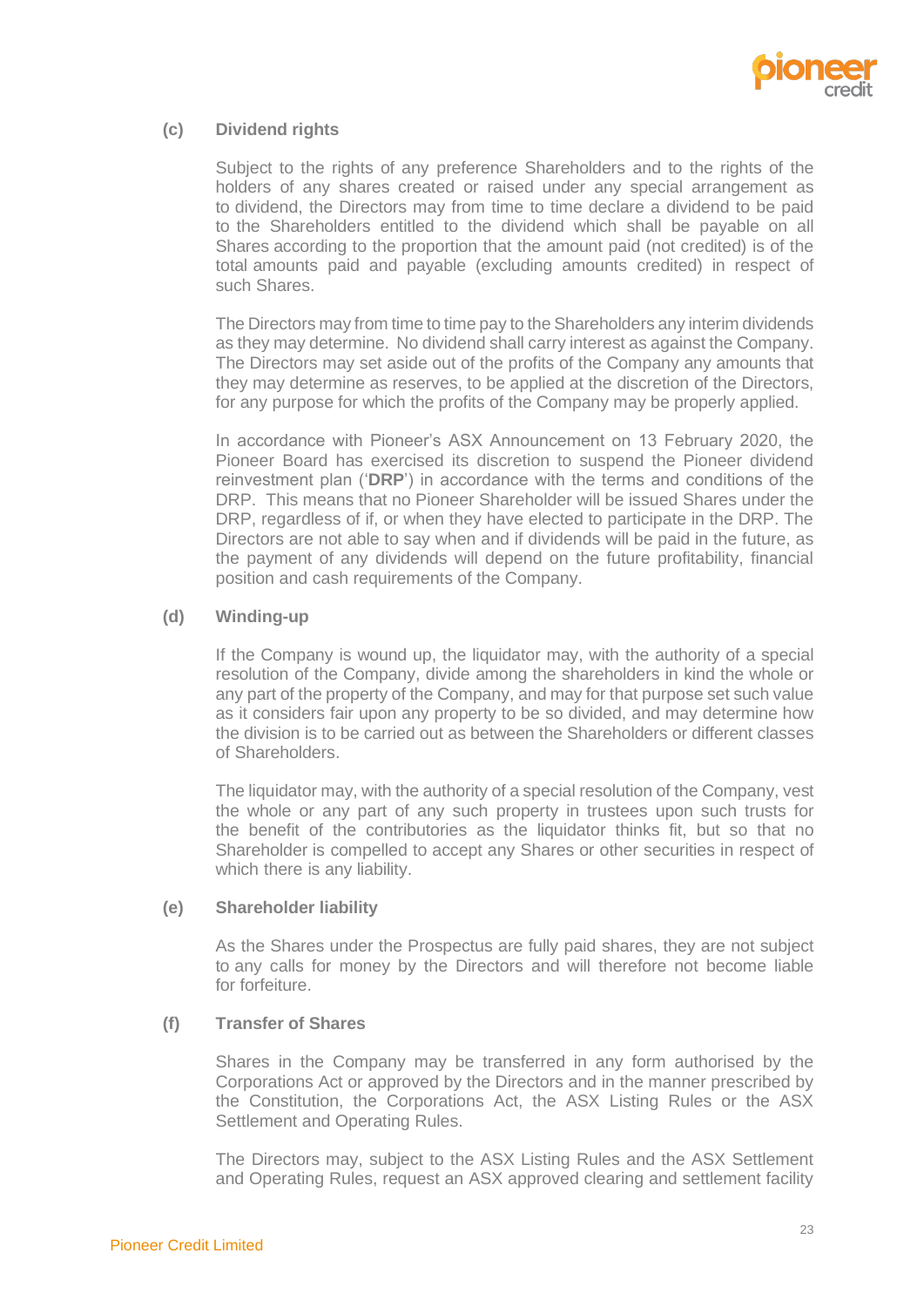

## **(c) Dividend rights**

Subject to the rights of any preference Shareholders and to the rights of the holders of any shares created or raised under any special arrangement as to dividend, the Directors may from time to time declare a dividend to be paid to the Shareholders entitled to the dividend which shall be payable on all Shares according to the proportion that the amount paid (not credited) is of the total amounts paid and payable (excluding amounts credited) in respect of such Shares.

The Directors may from time to time pay to the Shareholders any interim dividends as they may determine. No dividend shall carry interest as against the Company. The Directors may set aside out of the profits of the Company any amounts that they may determine as reserves, to be applied at the discretion of the Directors, for any purpose for which the profits of the Company may be properly applied.

In accordance with Pioneer's ASX Announcement on 13 February 2020, the Pioneer Board has exercised its discretion to suspend the Pioneer dividend reinvestment plan ('**DRP**') in accordance with the terms and conditions of the DRP. This means that no Pioneer Shareholder will be issued Shares under the DRP, regardless of if, or when they have elected to participate in the DRP. The Directors are not able to say when and if dividends will be paid in the future, as the payment of any dividends will depend on the future profitability, financial position and cash requirements of the Company.

## **(d) Winding-up**

If the Company is wound up, the liquidator may, with the authority of a special resolution of the Company, divide among the shareholders in kind the whole or any part of the property of the Company, and may for that purpose set such value as it considers fair upon any property to be so divided, and may determine how the division is to be carried out as between the Shareholders or different classes of Shareholders.

The liquidator may, with the authority of a special resolution of the Company, vest the whole or any part of any such property in trustees upon such trusts for the benefit of the contributories as the liquidator thinks fit, but so that no Shareholder is compelled to accept any Shares or other securities in respect of which there is any liability.

#### **(e) Shareholder liability**

As the Shares under the Prospectus are fully paid shares, they are not subject to any calls for money by the Directors and will therefore not become liable for forfeiture.

# **(f) Transfer of Shares**

Shares in the Company may be transferred in any form authorised by the Corporations Act or approved by the Directors and in the manner prescribed by the Constitution, the Corporations Act, the ASX Listing Rules or the ASX Settlement and Operating Rules.

The Directors may, subject to the ASX Listing Rules and the ASX Settlement and Operating Rules, request an ASX approved clearing and settlement facility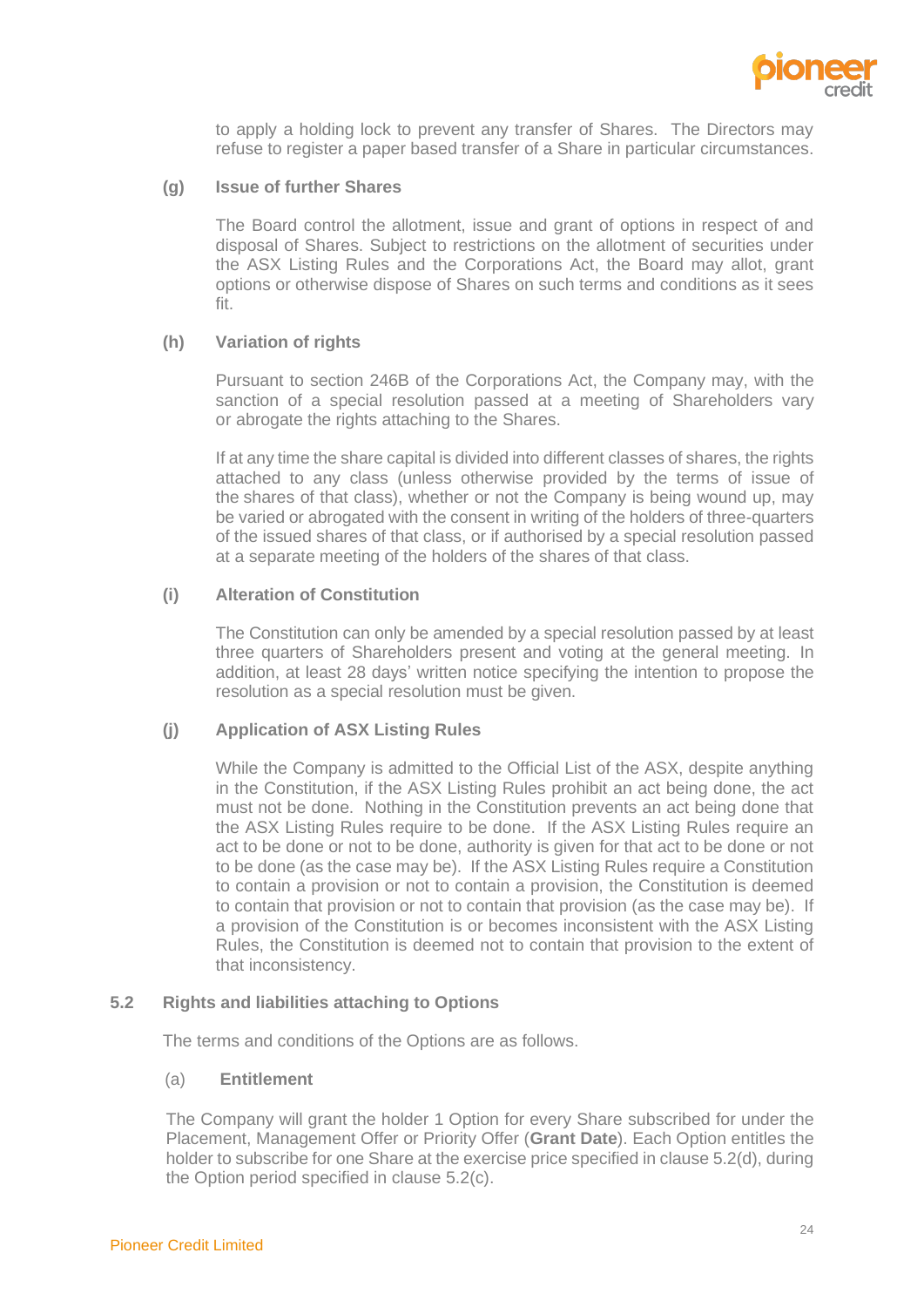

to apply a holding lock to prevent any transfer of Shares. The Directors may refuse to register a paper based transfer of a Share in particular circumstances.

#### **(g) Issue of further Shares**

The Board control the allotment, issue and grant of options in respect of and disposal of Shares. Subject to restrictions on the allotment of securities under the ASX Listing Rules and the Corporations Act, the Board may allot, grant options or otherwise dispose of Shares on such terms and conditions as it sees fit.

# **(h) Variation of rights**

Pursuant to section 246B of the Corporations Act, the Company may, with the sanction of a special resolution passed at a meeting of Shareholders vary or abrogate the rights attaching to the Shares.

If at any time the share capital is divided into different classes of shares, the rights attached to any class (unless otherwise provided by the terms of issue of the shares of that class), whether or not the Company is being wound up, may be varied or abrogated with the consent in writing of the holders of three-quarters of the issued shares of that class, or if authorised by a special resolution passed at a separate meeting of the holders of the shares of that class.

# **(i) Alteration of Constitution**

The Constitution can only be amended by a special resolution passed by at least three quarters of Shareholders present and voting at the general meeting. In addition, at least 28 days' written notice specifying the intention to propose the resolution as a special resolution must be given.

# **(j) Application of ASX Listing Rules**

While the Company is admitted to the Official List of the ASX, despite anything in the Constitution, if the ASX Listing Rules prohibit an act being done, the act must not be done. Nothing in the Constitution prevents an act being done that the ASX Listing Rules require to be done. If the ASX Listing Rules require an act to be done or not to be done, authority is given for that act to be done or not to be done (as the case may be). If the ASX Listing Rules require a Constitution to contain a provision or not to contain a provision, the Constitution is deemed to contain that provision or not to contain that provision (as the case may be). If a provision of the Constitution is or becomes inconsistent with the ASX Listing Rules, the Constitution is deemed not to contain that provision to the extent of that inconsistency.

# **5.2 Rights and liabilities attaching to Options**

The terms and conditions of the Options are as follows.

# (a) **Entitlement**

The Company will grant the holder 1 Option for every Share subscribed for under the Placement, Management Offer or Priority Offer (**Grant Date**). Each Option entitles the holder to subscribe for one Share at the exercise price specified in clause 5.2(d), during the Option period specified in clause 5.2(c).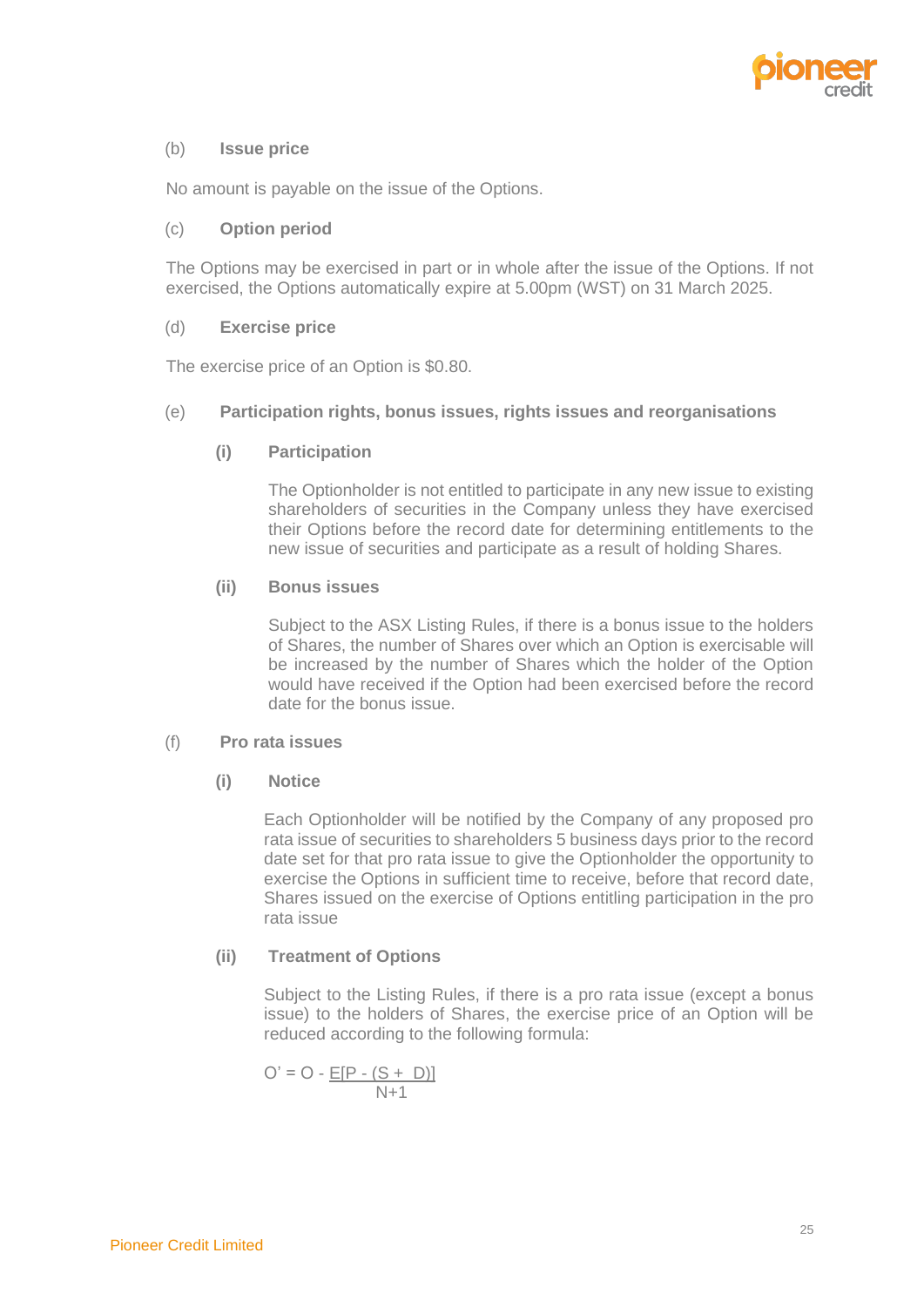

## (b) **Issue price**

No amount is payable on the issue of the Options.

#### (c) **Option period**

The Options may be exercised in part or in whole after the issue of the Options. If not exercised, the Options automatically expire at 5.00pm (WST) on 31 March 2025.

## (d) **Exercise price**

The exercise price of an Option is \$0.80.

## (e) **Participation rights, bonus issues, rights issues and reorganisations**

## **(i) Participation**

The Optionholder is not entitled to participate in any new issue to existing shareholders of securities in the Company unless they have exercised their Options before the record date for determining entitlements to the new issue of securities and participate as a result of holding Shares.

## **(ii) Bonus issues**

Subject to the ASX Listing Rules, if there is a bonus issue to the holders of Shares, the number of Shares over which an Option is exercisable will be increased by the number of Shares which the holder of the Option would have received if the Option had been exercised before the record date for the bonus issue.

### (f) **Pro rata issues**

# **(i) Notice**

Each Optionholder will be notified by the Company of any proposed pro rata issue of securities to shareholders 5 business days prior to the record date set for that pro rata issue to give the Optionholder the opportunity to exercise the Options in sufficient time to receive, before that record date, Shares issued on the exercise of Options entitling participation in the pro rata issue

# **(ii) Treatment of Options**

Subject to the Listing Rules, if there is a pro rata issue (except a bonus issue) to the holders of Shares, the exercise price of an Option will be reduced according to the following formula:

$$
O' = O - \frac{E[P - (S + D)]}{N + 1}
$$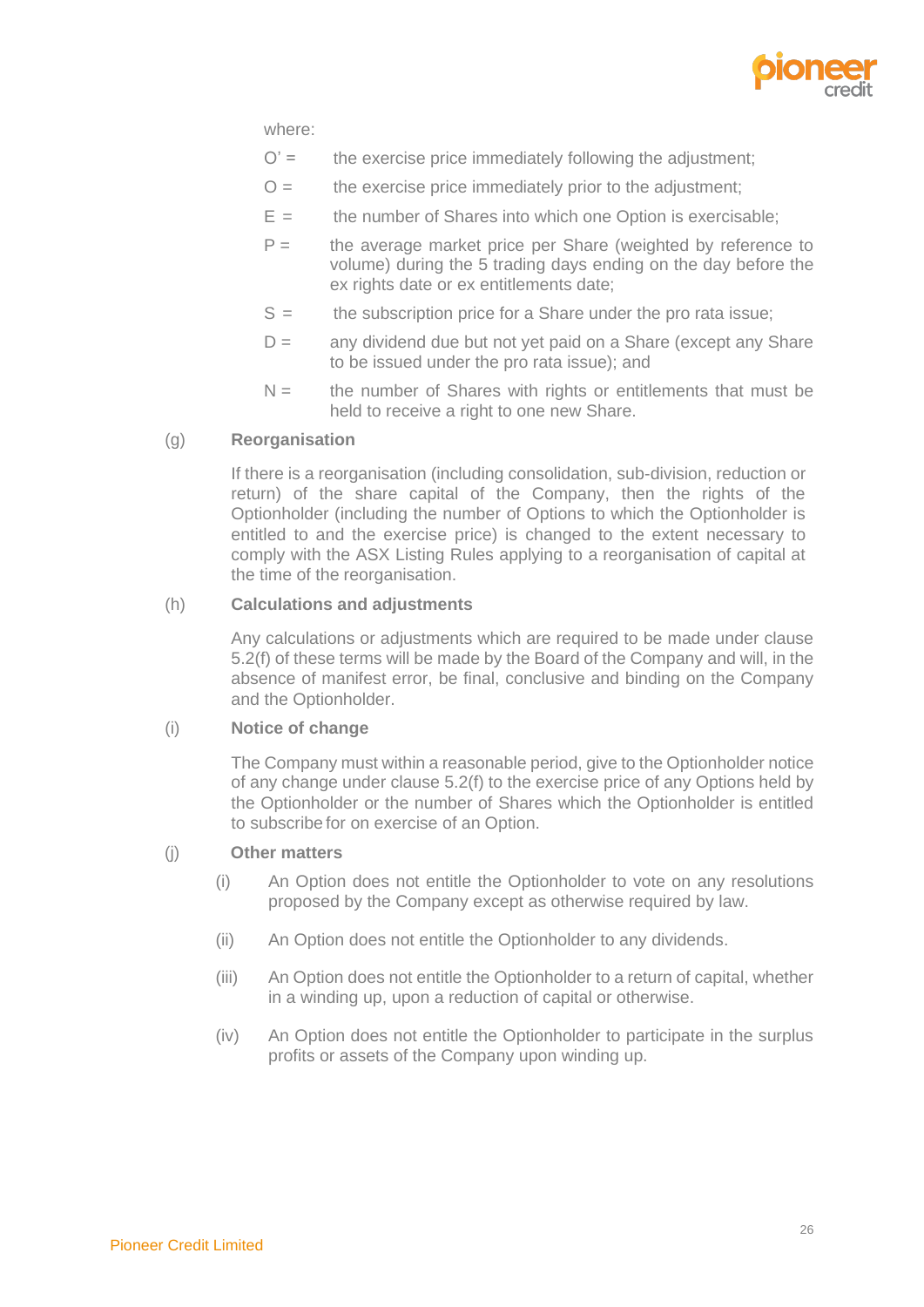

where:

- $O' =$  the exercise price immediately following the adjustment;
- $O =$  the exercise price immediately prior to the adjustment;
- $E =$  the number of Shares into which one Option is exercisable;
- $P =$  the average market price per Share (weighted by reference to volume) during the 5 trading days ending on the day before the ex rights date or ex entitlements date;
- $S =$  the subscription price for a Share under the pro rata issue;
- $D =$  any dividend due but not yet paid on a Share (except any Share to be issued under the pro rata issue); and
- $N =$  the number of Shares with rights or entitlements that must be held to receive a right to one new Share.

#### (g) **Reorganisation**

If there is a reorganisation (including consolidation, sub-division, reduction or return) of the share capital of the Company, then the rights of the Optionholder (including the number of Options to which the Optionholder is entitled to and the exercise price) is changed to the extent necessary to comply with the ASX Listing Rules applying to a reorganisation of capital at the time of the reorganisation.

#### (h) **Calculations and adjustments**

Any calculations or adjustments which are required to be made under clause 5.2(f) of these terms will be made by the Board of the Company and will, in the absence of manifest error, be final, conclusive and binding on the Company and the Optionholder.

#### (i) **Notice of change**

The Company must within a reasonable period, give to the Optionholder notice of any change under clause 5.2(f) to the exercise price of any Options held by the Optionholder or the number of Shares which the Optionholder is entitled to subscribe for on exercise of an Option.

# (j) **Other matters**

- (i) An Option does not entitle the Optionholder to vote on any resolutions proposed by the Company except as otherwise required by law.
- (ii) An Option does not entitle the Optionholder to any dividends.
- (iii) An Option does not entitle the Optionholder to a return of capital, whether in a winding up, upon a reduction of capital or otherwise.
- (iv) An Option does not entitle the Optionholder to participate in the surplus profits or assets of the Company upon winding up.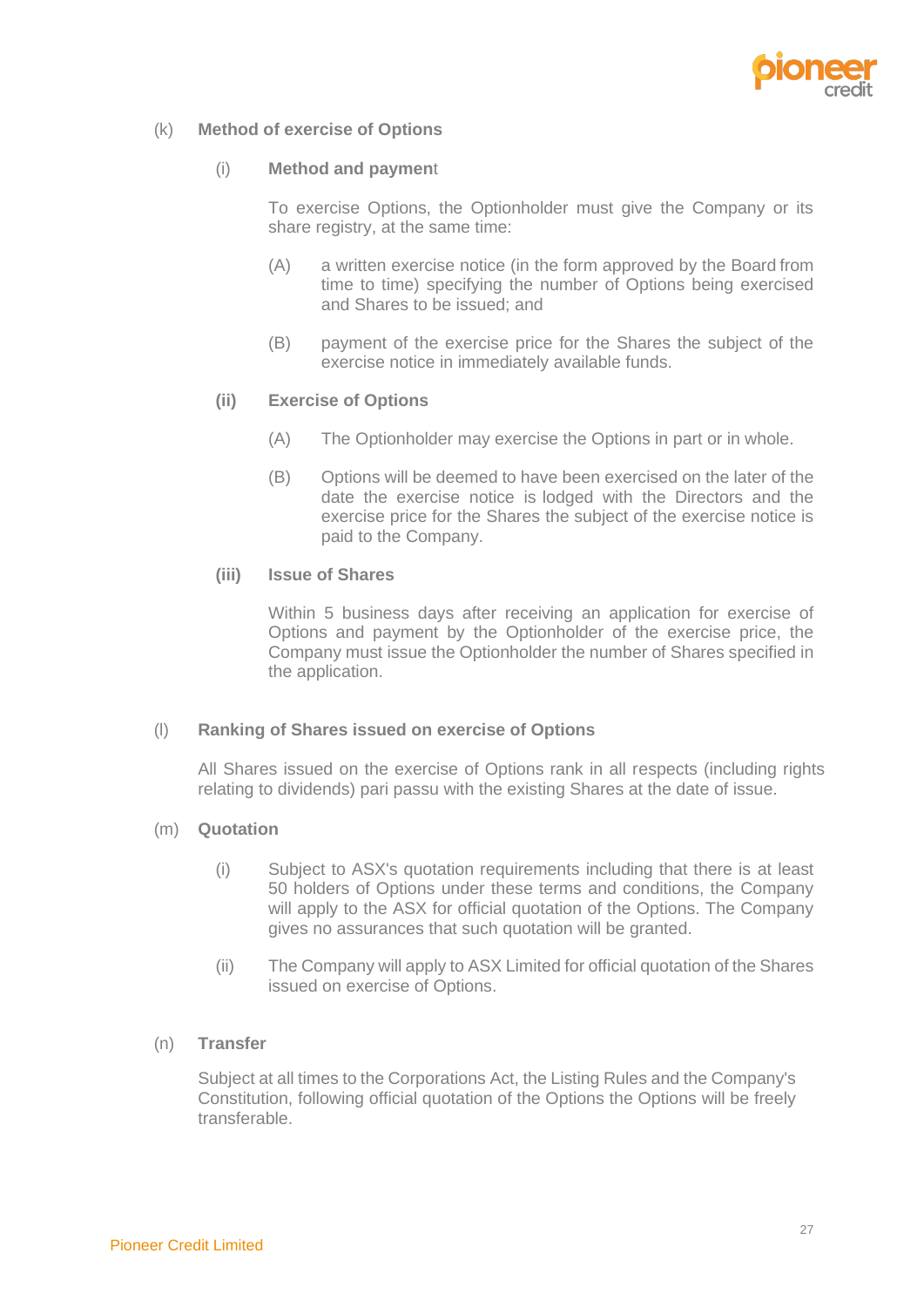

# (k) **Method of exercise of Options**

#### (i) **Method and paymen**t

To exercise Options, the Optionholder must give the Company or its share registry, at the same time:

- (A) a written exercise notice (in the form approved by the Board from time to time) specifying the number of Options being exercised and Shares to be issued; and
- (B) payment of the exercise price for the Shares the subject of the exercise notice in immediately available funds.

## **(ii) Exercise of Options**

- (A) The Optionholder may exercise the Options in part or in whole.
- (B) Options will be deemed to have been exercised on the later of the date the exercise notice is lodged with the Directors and the exercise price for the Shares the subject of the exercise notice is paid to the Company.

# **(iii) Issue of Shares**

Within 5 business days after receiving an application for exercise of Options and payment by the Optionholder of the exercise price, the Company must issue the Optionholder the number of Shares specified in the application.

#### (l) **Ranking of Shares issued on exercise of Options**

All Shares issued on the exercise of Options rank in all respects (including rights relating to dividends) pari passu with the existing Shares at the date of issue.

#### (m) **Quotation**

- (i) Subject to ASX's quotation requirements including that there is at least 50 holders of Options under these terms and conditions, the Company will apply to the ASX for official quotation of the Options. The Company gives no assurances that such quotation will be granted.
- (ii) The Company will apply to ASX Limited for official quotation of the Shares issued on exercise of Options.

# (n) **Transfer**

Subject at all times to the Corporations Act, the Listing Rules and the Company's Constitution, following official quotation of the Options the Options will be freely transferable.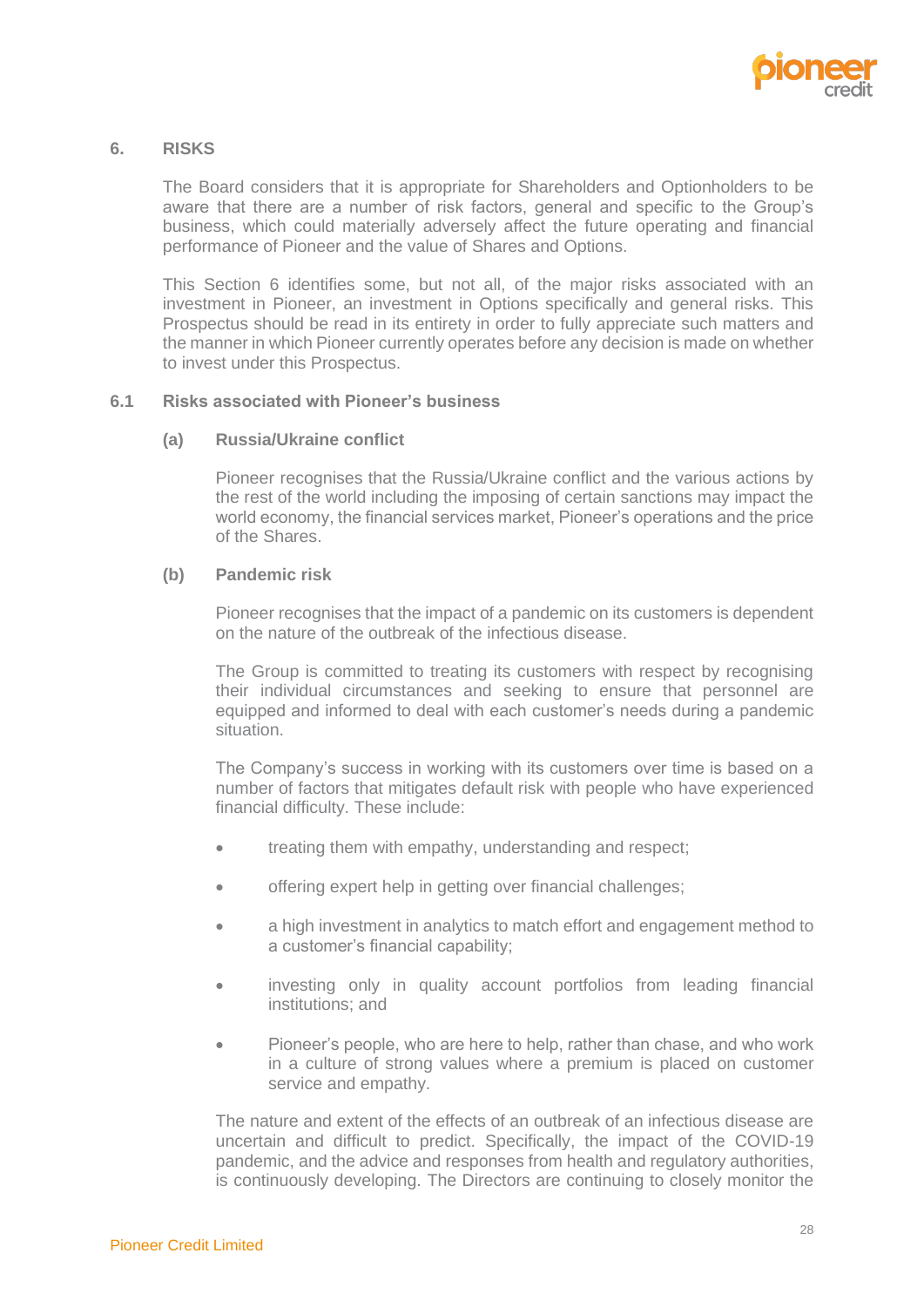

#### <span id="page-30-0"></span>**6. RISKS**

The Board considers that it is appropriate for Shareholders and Optionholders to be aware that there are a number of risk factors, general and specific to the Group's business, which could materially adversely affect the future operating and financial performance of Pioneer and the value of Shares and Options.

This Section [6](#page-30-0) identifies some, but not all, of the major risks associated with an investment in Pioneer, an investment in Options specifically and general risks. This Prospectus should be read in its entirety in order to fully appreciate such matters and the manner in which Pioneer currently operates before any decision is made on whether to invest under this Prospectus.

#### **6.1 Risks associated with Pioneer's business**

#### **(a) Russia/Ukraine conflict**

Pioneer recognises that the Russia/Ukraine conflict and the various actions by the rest of the world including the imposing of certain sanctions may impact the world economy, the financial services market, Pioneer's operations and the price of the Shares.

#### **(b) Pandemic risk**

Pioneer recognises that the impact of a pandemic on its customers is dependent on the nature of the outbreak of the infectious disease.

The Group is committed to treating its customers with respect by recognising their individual circumstances and seeking to ensure that personnel are equipped and informed to deal with each customer's needs during a pandemic situation.

The Company's success in working with its customers over time is based on a number of factors that mitigates default risk with people who have experienced financial difficulty. These include:

- treating them with empathy, understanding and respect;
- offering expert help in getting over financial challenges;
- a high investment in analytics to match effort and engagement method to a customer's financial capability;
- investing only in quality account portfolios from leading financial institutions; and
- Pioneer's people, who are here to help, rather than chase, and who work in a culture of strong values where a premium is placed on customer service and empathy.

The nature and extent of the effects of an outbreak of an infectious disease are uncertain and difficult to predict. Specifically, the impact of the COVID-19 pandemic, and the advice and responses from health and regulatory authorities, is continuously developing. The Directors are continuing to closely monitor the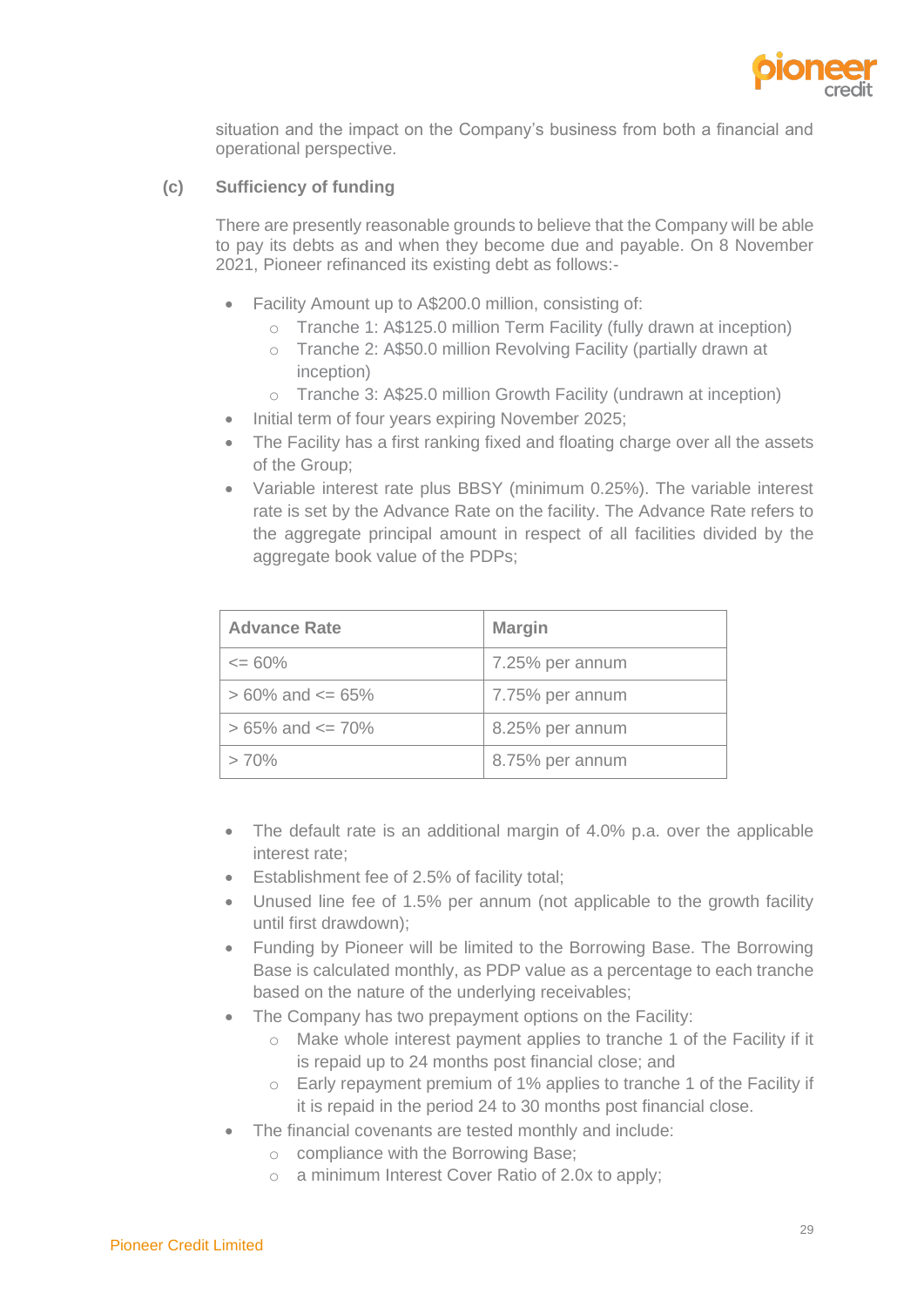

situation and the impact on the Company's business from both a financial and operational perspective.

# **(c) Sufficiency of funding**

There are presently reasonable grounds to believe that the Company will be able to pay its debts as and when they become due and payable. On 8 November 2021, Pioneer refinanced its existing debt as follows:-

- Facility Amount up to A\$200.0 million, consisting of:
	- o Tranche 1: A\$125.0 million Term Facility (fully drawn at inception)
	- o Tranche 2: A\$50.0 million Revolving Facility (partially drawn at inception)
	- o Tranche 3: A\$25.0 million Growth Facility (undrawn at inception)
- Initial term of four years expiring November 2025;
- The Facility has a first ranking fixed and floating charge over all the assets of the Group;
- Variable interest rate plus BBSY (minimum 0.25%). The variable interest rate is set by the Advance Rate on the facility. The Advance Rate refers to the aggregate principal amount in respect of all facilities divided by the aggregate book value of the PDPs;

| <b>Advance Rate</b>      | <b>Margin</b>   |
|--------------------------|-----------------|
| $\epsilon = 60\%$        | 7.25% per annum |
| $> 60\%$ and $\leq 65\%$ | 7.75% per annum |
| $> 65\%$ and $\leq 70\%$ | 8.25% per annum |
| >70%                     | 8.75% per annum |

- The default rate is an additional margin of 4.0% p.a. over the applicable interest rate;
- Establishment fee of 2.5% of facility total;
- Unused line fee of 1.5% per annum (not applicable to the growth facility until first drawdown);
- Funding by Pioneer will be limited to the Borrowing Base. The Borrowing Base is calculated monthly, as PDP value as a percentage to each tranche based on the nature of the underlying receivables;
- The Company has two prepayment options on the Facility:
	- o Make whole interest payment applies to tranche 1 of the Facility if it is repaid up to 24 months post financial close; and
	- o Early repayment premium of 1% applies to tranche 1 of the Facility if it is repaid in the period 24 to 30 months post financial close.
- The financial covenants are tested monthly and include:
	- o compliance with the Borrowing Base;
	- o a minimum Interest Cover Ratio of 2.0x to apply;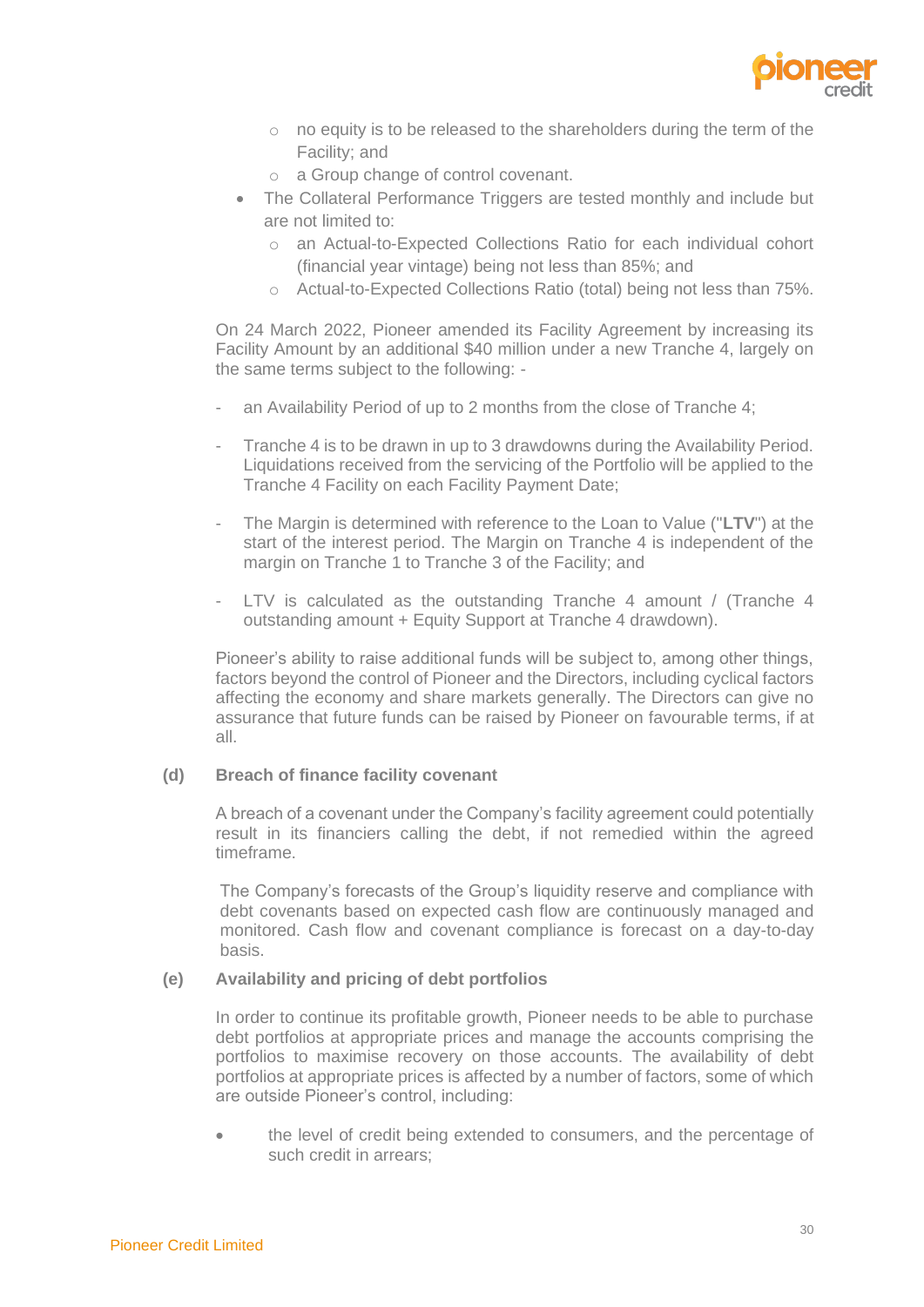

- o no equity is to be released to the shareholders during the term of the Facility; and
- o a Group change of control covenant.
- The Collateral Performance Triggers are tested monthly and include but are not limited to:
	- o an Actual-to-Expected Collections Ratio for each individual cohort (financial year vintage) being not less than 85%; and
	- o Actual-to-Expected Collections Ratio (total) being not less than 75%.

On 24 March 2022, Pioneer amended its Facility Agreement by increasing its Facility Amount by an additional \$40 million under a new Tranche 4, largely on the same terms subject to the following: -

- an Availability Period of up to 2 months from the close of Tranche 4;
- Tranche 4 is to be drawn in up to 3 drawdowns during the Availability Period. Liquidations received from the servicing of the Portfolio will be applied to the Tranche 4 Facility on each Facility Payment Date;
- The Margin is determined with reference to the Loan to Value ("**LTV**") at the start of the interest period. The Margin on Tranche 4 is independent of the margin on Tranche 1 to Tranche 3 of the Facility; and
- LTV is calculated as the outstanding Tranche 4 amount / (Tranche 4 outstanding amount + Equity Support at Tranche 4 drawdown).

Pioneer's ability to raise additional funds will be subject to, among other things, factors beyond the control of Pioneer and the Directors, including cyclical factors affecting the economy and share markets generally. The Directors can give no assurance that future funds can be raised by Pioneer on favourable terms, if at all.

#### **(d) Breach of finance facility covenant**

A breach of a covenant under the Company's facility agreement could potentially result in its financiers calling the debt, if not remedied within the agreed timeframe.

The Company's forecasts of the Group's liquidity reserve and compliance with debt covenants based on expected cash flow are continuously managed and monitored. Cash flow and covenant compliance is forecast on a day-to-day basis.

# **(e) Availability and pricing of debt portfolios**

In order to continue its profitable growth, Pioneer needs to be able to purchase debt portfolios at appropriate prices and manage the accounts comprising the portfolios to maximise recovery on those accounts. The availability of debt portfolios at appropriate prices is affected by a number of factors, some of which are outside Pioneer's control, including:

• the level of credit being extended to consumers, and the percentage of such credit in arrears;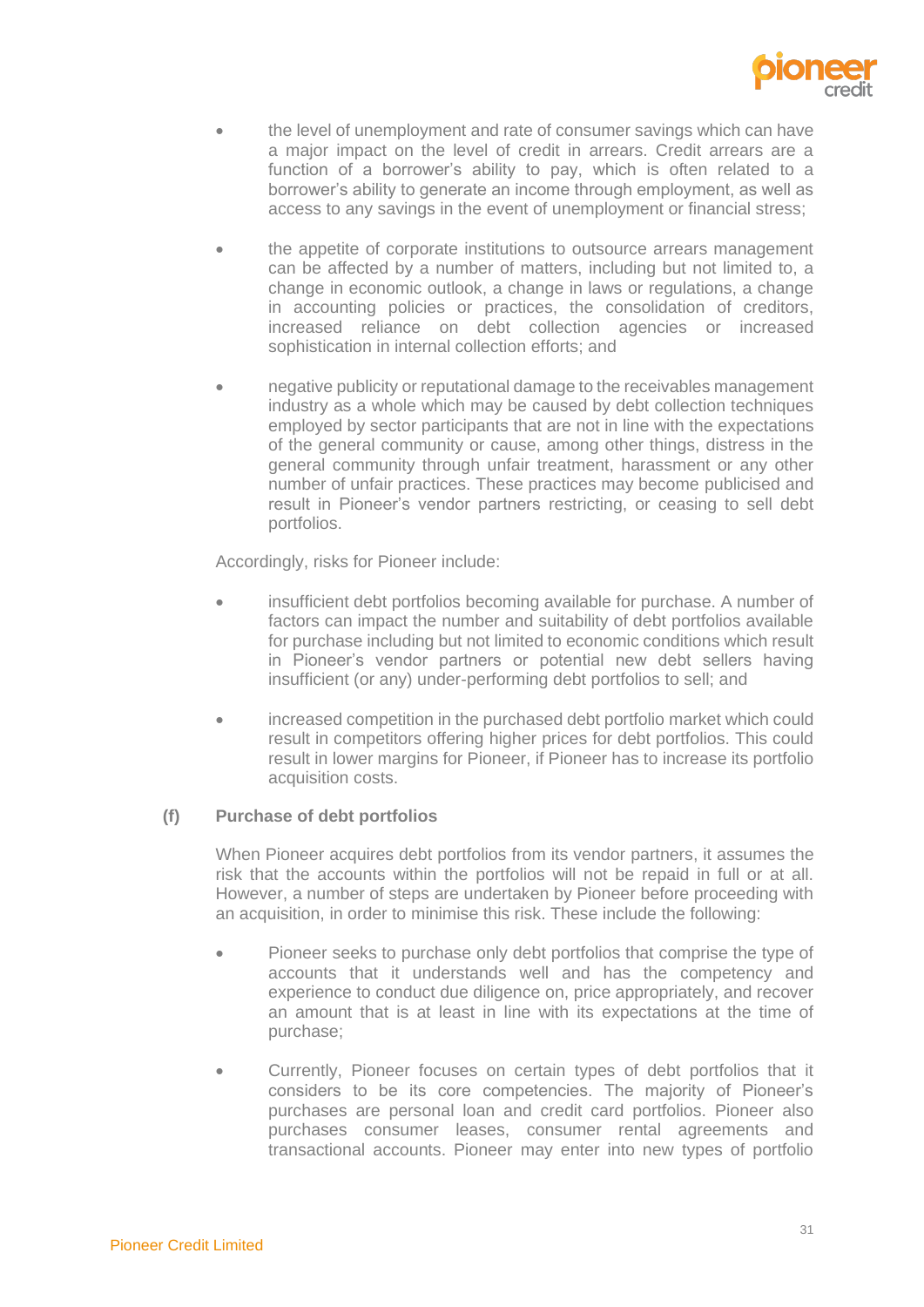

- the level of unemployment and rate of consumer savings which can have a major impact on the level of credit in arrears. Credit arrears are a function of a borrower's ability to pay, which is often related to a borrower's ability to generate an income through employment, as well as access to any savings in the event of unemployment or financial stress;
- the appetite of corporate institutions to outsource arrears management can be affected by a number of matters, including but not limited to, a change in economic outlook, a change in laws or regulations, a change in accounting policies or practices, the consolidation of creditors, increased reliance on debt collection agencies or increased sophistication in internal collection efforts; and
- negative publicity or reputational damage to the receivables management industry as a whole which may be caused by debt collection techniques employed by sector participants that are not in line with the expectations of the general community or cause, among other things, distress in the general community through unfair treatment, harassment or any other number of unfair practices. These practices may become publicised and result in Pioneer's vendor partners restricting, or ceasing to sell debt portfolios.

Accordingly, risks for Pioneer include:

- insufficient debt portfolios becoming available for purchase. A number of factors can impact the number and suitability of debt portfolios available for purchase including but not limited to economic conditions which result in Pioneer's vendor partners or potential new debt sellers having insufficient (or any) under-performing debt portfolios to sell; and
- increased competition in the purchased debt portfolio market which could result in competitors offering higher prices for debt portfolios. This could result in lower margins for Pioneer, if Pioneer has to increase its portfolio acquisition costs.

# **(f) Purchase of debt portfolios**

When Pioneer acquires debt portfolios from its vendor partners, it assumes the risk that the accounts within the portfolios will not be repaid in full or at all. However, a number of steps are undertaken by Pioneer before proceeding with an acquisition, in order to minimise this risk. These include the following:

- Pioneer seeks to purchase only debt portfolios that comprise the type of accounts that it understands well and has the competency and experience to conduct due diligence on, price appropriately, and recover an amount that is at least in line with its expectations at the time of purchase;
- Currently, Pioneer focuses on certain types of debt portfolios that it considers to be its core competencies. The majority of Pioneer's purchases are personal loan and credit card portfolios. Pioneer also purchases consumer leases, consumer rental agreements and transactional accounts. Pioneer may enter into new types of portfolio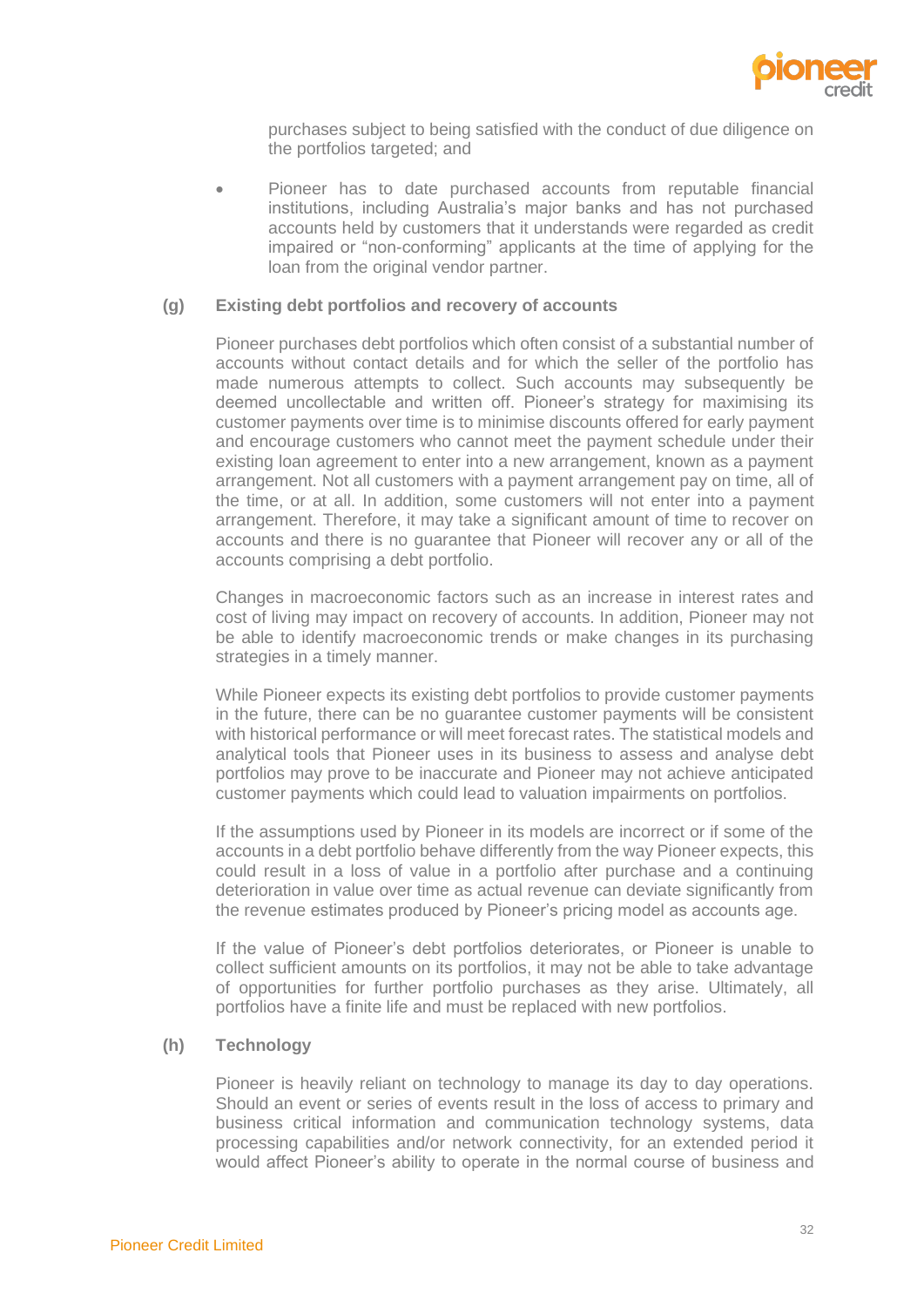

purchases subject to being satisfied with the conduct of due diligence on the portfolios targeted; and

• Pioneer has to date purchased accounts from reputable financial institutions, including Australia's major banks and has not purchased accounts held by customers that it understands were regarded as credit impaired or "non-conforming" applicants at the time of applying for the loan from the original vendor partner.

#### **(g) Existing debt portfolios and recovery of accounts**

Pioneer purchases debt portfolios which often consist of a substantial number of accounts without contact details and for which the seller of the portfolio has made numerous attempts to collect. Such accounts may subsequently be deemed uncollectable and written off. Pioneer's strategy for maximising its customer payments over time is to minimise discounts offered for early payment and encourage customers who cannot meet the payment schedule under their existing loan agreement to enter into a new arrangement, known as a payment arrangement. Not all customers with a payment arrangement pay on time, all of the time, or at all. In addition, some customers will not enter into a payment arrangement. Therefore, it may take a significant amount of time to recover on accounts and there is no guarantee that Pioneer will recover any or all of the accounts comprising a debt portfolio.

Changes in macroeconomic factors such as an increase in interest rates and cost of living may impact on recovery of accounts. In addition, Pioneer may not be able to identify macroeconomic trends or make changes in its purchasing strategies in a timely manner.

While Pioneer expects its existing debt portfolios to provide customer payments in the future, there can be no guarantee customer payments will be consistent with historical performance or will meet forecast rates. The statistical models and analytical tools that Pioneer uses in its business to assess and analyse debt portfolios may prove to be inaccurate and Pioneer may not achieve anticipated customer payments which could lead to valuation impairments on portfolios.

If the assumptions used by Pioneer in its models are incorrect or if some of the accounts in a debt portfolio behave differently from the way Pioneer expects, this could result in a loss of value in a portfolio after purchase and a continuing deterioration in value over time as actual revenue can deviate significantly from the revenue estimates produced by Pioneer's pricing model as accounts age.

If the value of Pioneer's debt portfolios deteriorates, or Pioneer is unable to collect sufficient amounts on its portfolios, it may not be able to take advantage of opportunities for further portfolio purchases as they arise. Ultimately, all portfolios have a finite life and must be replaced with new portfolios.

#### **(h) Technology**

Pioneer is heavily reliant on technology to manage its day to day operations. Should an event or series of events result in the loss of access to primary and business critical information and communication technology systems, data processing capabilities and/or network connectivity, for an extended period it would affect Pioneer's ability to operate in the normal course of business and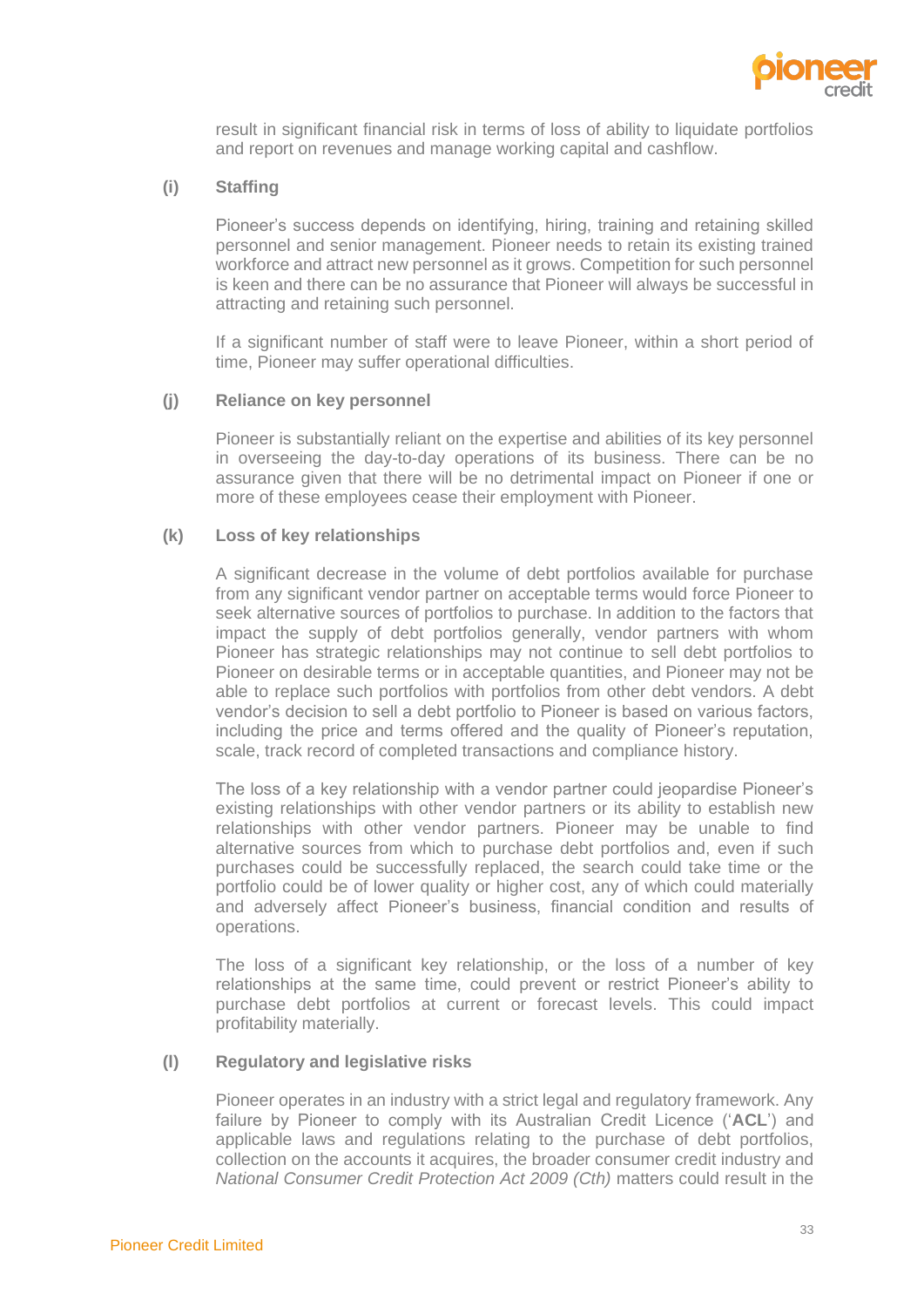

result in significant financial risk in terms of loss of ability to liquidate portfolios and report on revenues and manage working capital and cashflow.

# **(i) Staffing**

Pioneer's success depends on identifying, hiring, training and retaining skilled personnel and senior management. Pioneer needs to retain its existing trained workforce and attract new personnel as it grows. Competition for such personnel is keen and there can be no assurance that Pioneer will always be successful in attracting and retaining such personnel.

If a significant number of staff were to leave Pioneer, within a short period of time, Pioneer may suffer operational difficulties.

#### **(j) Reliance on key personnel**

Pioneer is substantially reliant on the expertise and abilities of its key personnel in overseeing the day-to-day operations of its business. There can be no assurance given that there will be no detrimental impact on Pioneer if one or more of these employees cease their employment with Pioneer.

## **(k) Loss of key relationships**

A significant decrease in the volume of debt portfolios available for purchase from any significant vendor partner on acceptable terms would force Pioneer to seek alternative sources of portfolios to purchase. In addition to the factors that impact the supply of debt portfolios generally, vendor partners with whom Pioneer has strategic relationships may not continue to sell debt portfolios to Pioneer on desirable terms or in acceptable quantities, and Pioneer may not be able to replace such portfolios with portfolios from other debt vendors. A debt vendor's decision to sell a debt portfolio to Pioneer is based on various factors, including the price and terms offered and the quality of Pioneer's reputation, scale, track record of completed transactions and compliance history.

The loss of a key relationship with a vendor partner could jeopardise Pioneer's existing relationships with other vendor partners or its ability to establish new relationships with other vendor partners. Pioneer may be unable to find alternative sources from which to purchase debt portfolios and, even if such purchases could be successfully replaced, the search could take time or the portfolio could be of lower quality or higher cost, any of which could materially and adversely affect Pioneer's business, financial condition and results of operations.

The loss of a significant key relationship, or the loss of a number of key relationships at the same time, could prevent or restrict Pioneer's ability to purchase debt portfolios at current or forecast levels. This could impact profitability materially.

# **(l) Regulatory and legislative risks**

Pioneer operates in an industry with a strict legal and regulatory framework. Any failure by Pioneer to comply with its Australian Credit Licence ('**ACL**') and applicable laws and regulations relating to the purchase of debt portfolios, collection on the accounts it acquires, the broader consumer credit industry and *National Consumer Credit Protection Act 2009 (Cth)* matters could result in the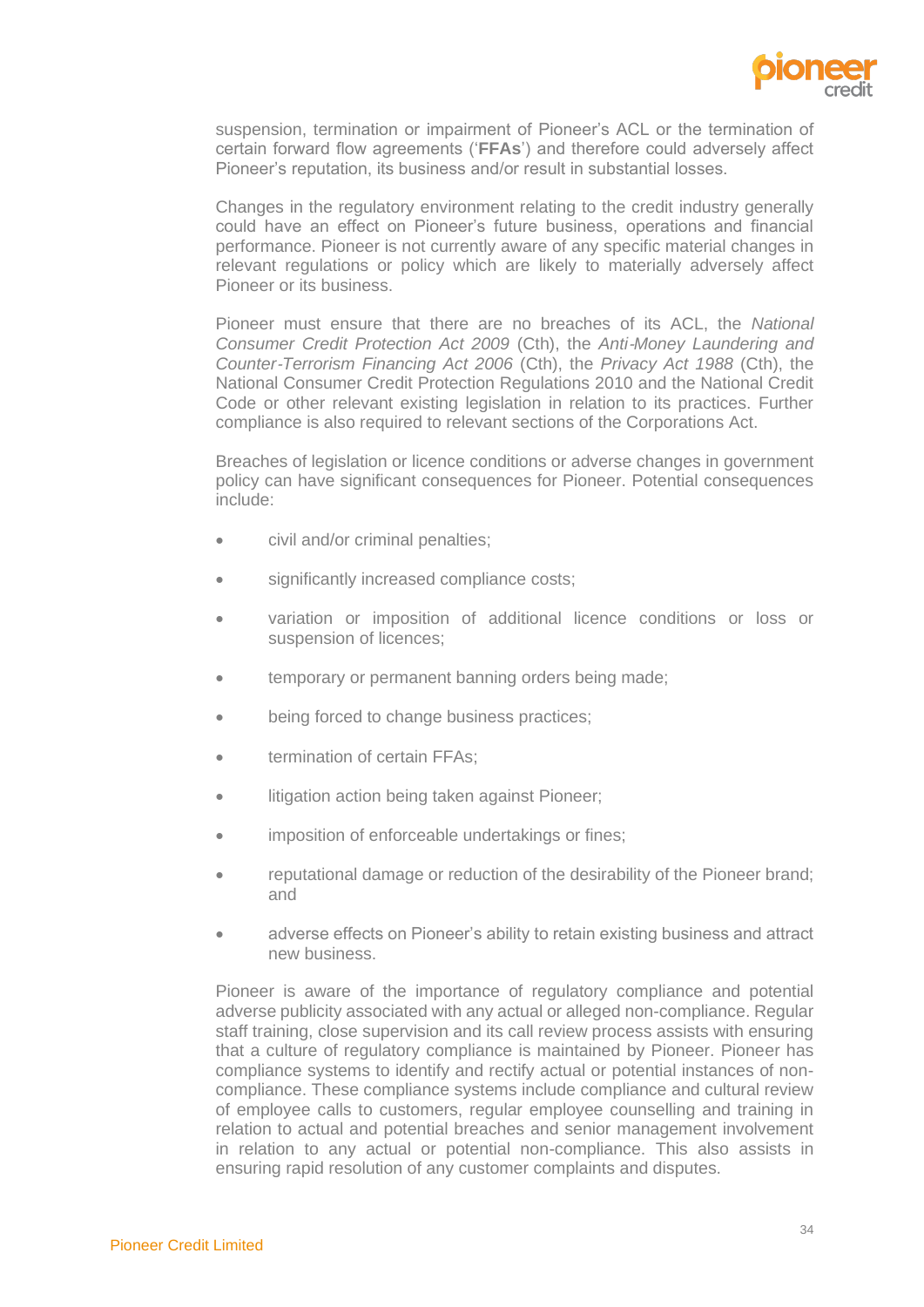

suspension, termination or impairment of Pioneer's ACL or the termination of certain forward flow agreements ('**FFAs**') and therefore could adversely affect Pioneer's reputation, its business and/or result in substantial losses.

Changes in the regulatory environment relating to the credit industry generally could have an effect on Pioneer's future business, operations and financial performance. Pioneer is not currently aware of any specific material changes in relevant regulations or policy which are likely to materially adversely affect Pioneer or its business.

Pioneer must ensure that there are no breaches of its ACL, the *National Consumer Credit Protection Act 2009* (Cth), the *Anti*‑*Money Laundering and Counter*‑*Terrorism Financing Act 2006* (Cth), the *Privacy Act 1988* (Cth), the National Consumer Credit Protection Regulations 2010 and the National Credit Code or other relevant existing legislation in relation to its practices. Further compliance is also required to relevant sections of the Corporations Act.

Breaches of legislation or licence conditions or adverse changes in government policy can have significant consequences for Pioneer. Potential consequences include:

- civil and/or criminal penalties;
- significantly increased compliance costs;
- variation or imposition of additional licence conditions or loss or suspension of licences;
- temporary or permanent banning orders being made;
- being forced to change business practices;
- termination of certain FFAs;
- litigation action being taken against Pioneer;
- imposition of enforceable undertakings or fines;
- reputational damage or reduction of the desirability of the Pioneer brand; and
- adverse effects on Pioneer's ability to retain existing business and attract new business.

Pioneer is aware of the importance of regulatory compliance and potential adverse publicity associated with any actual or alleged non-compliance. Regular staff training, close supervision and its call review process assists with ensuring that a culture of regulatory compliance is maintained by Pioneer. Pioneer has compliance systems to identify and rectify actual or potential instances of noncompliance. These compliance systems include compliance and cultural review of employee calls to customers, regular employee counselling and training in relation to actual and potential breaches and senior management involvement in relation to any actual or potential non-compliance. This also assists in ensuring rapid resolution of any customer complaints and disputes.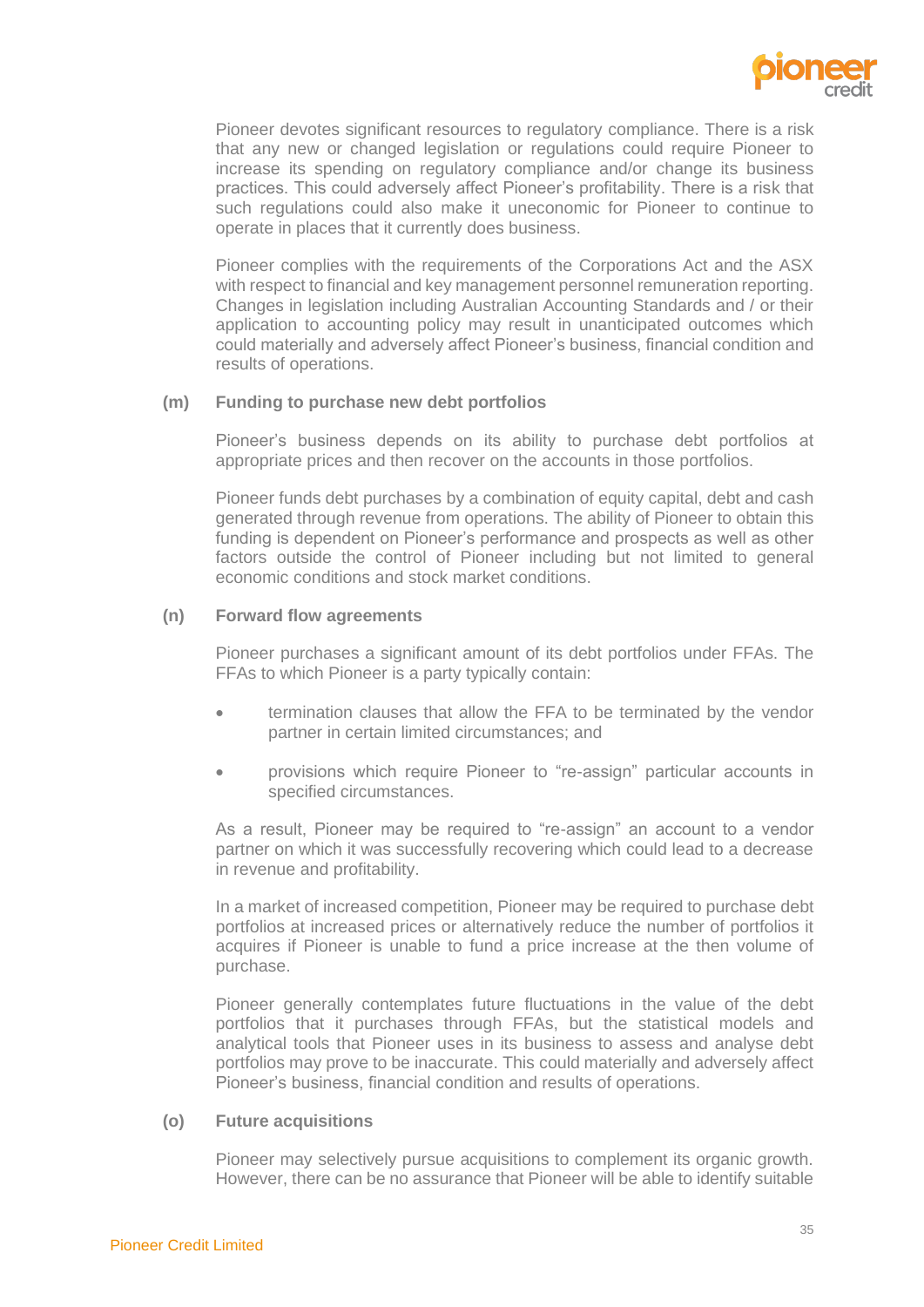

Pioneer devotes significant resources to regulatory compliance. There is a risk that any new or changed legislation or regulations could require Pioneer to increase its spending on regulatory compliance and/or change its business practices. This could adversely affect Pioneer's profitability. There is a risk that such regulations could also make it uneconomic for Pioneer to continue to operate in places that it currently does business.

Pioneer complies with the requirements of the Corporations Act and the ASX with respect to financial and key management personnel remuneration reporting. Changes in legislation including Australian Accounting Standards and / or their application to accounting policy may result in unanticipated outcomes which could materially and adversely affect Pioneer's business, financial condition and results of operations.

### **(m) Funding to purchase new debt portfolios**

Pioneer's business depends on its ability to purchase debt portfolios at appropriate prices and then recover on the accounts in those portfolios.

Pioneer funds debt purchases by a combination of equity capital, debt and cash generated through revenue from operations. The ability of Pioneer to obtain this funding is dependent on Pioneer's performance and prospects as well as other factors outside the control of Pioneer including but not limited to general economic conditions and stock market conditions.

#### **(n) Forward flow agreements**

Pioneer purchases a significant amount of its debt portfolios under FFAs. The FFAs to which Pioneer is a party typically contain:

- termination clauses that allow the FFA to be terminated by the vendor partner in certain limited circumstances; and
- provisions which require Pioneer to "re-assign" particular accounts in specified circumstances.

As a result, Pioneer may be required to "re-assign" an account to a vendor partner on which it was successfully recovering which could lead to a decrease in revenue and profitability.

In a market of increased competition, Pioneer may be required to purchase debt portfolios at increased prices or alternatively reduce the number of portfolios it acquires if Pioneer is unable to fund a price increase at the then volume of purchase.

Pioneer generally contemplates future fluctuations in the value of the debt portfolios that it purchases through FFAs, but the statistical models and analytical tools that Pioneer uses in its business to assess and analyse debt portfolios may prove to be inaccurate. This could materially and adversely affect Pioneer's business, financial condition and results of operations.

#### **(o) Future acquisitions**

Pioneer may selectively pursue acquisitions to complement its organic growth. However, there can be no assurance that Pioneer will be able to identify suitable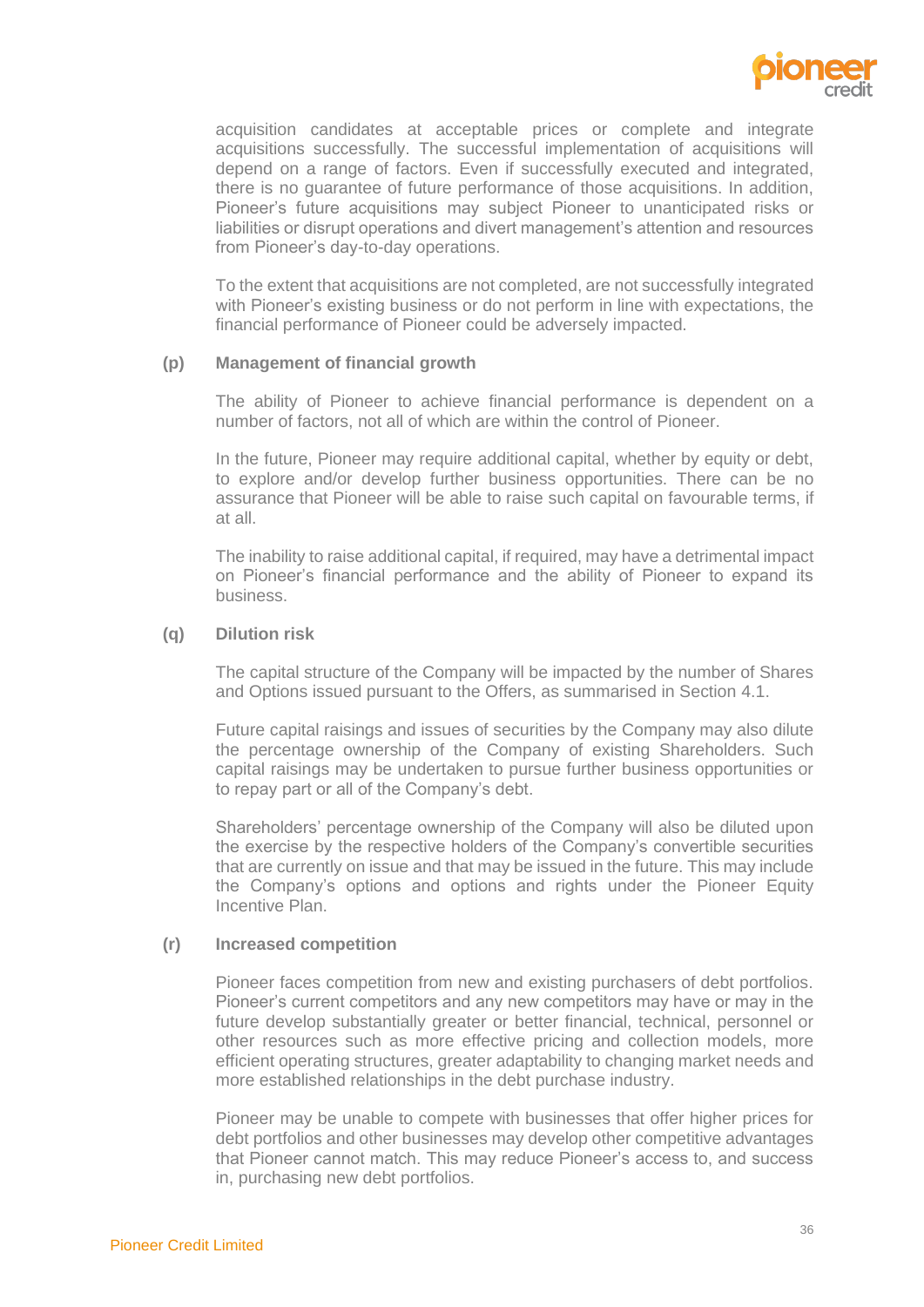

acquisition candidates at acceptable prices or complete and integrate acquisitions successfully. The successful implementation of acquisitions will depend on a range of factors. Even if successfully executed and integrated, there is no guarantee of future performance of those acquisitions. In addition, Pioneer's future acquisitions may subject Pioneer to unanticipated risks or liabilities or disrupt operations and divert management's attention and resources from Pioneer's day-to-day operations.

To the extent that acquisitions are not completed, are not successfully integrated with Pioneer's existing business or do not perform in line with expectations, the financial performance of Pioneer could be adversely impacted.

#### **(p) Management of financial growth**

The ability of Pioneer to achieve financial performance is dependent on a number of factors, not all of which are within the control of Pioneer.

In the future, Pioneer may require additional capital, whether by equity or debt, to explore and/or develop further business opportunities. There can be no assurance that Pioneer will be able to raise such capital on favourable terms, if at all.

The inability to raise additional capital, if required, may have a detrimental impact on Pioneer's financial performance and the ability of Pioneer to expand its business.

#### **(q) Dilution risk**

The capital structure of the Company will be impacted by the number of Shares and Options issued pursuant to the Offers, as summarised in Section [4.1.](#page-20-1)

Future capital raisings and issues of securities by the Company may also dilute the percentage ownership of the Company of existing Shareholders. Such capital raisings may be undertaken to pursue further business opportunities or to repay part or all of the Company's debt.

Shareholders' percentage ownership of the Company will also be diluted upon the exercise by the respective holders of the Company's convertible securities that are currently on issue and that may be issued in the future. This may include the Company's options and options and rights under the Pioneer Equity Incentive Plan.

#### **(r) Increased competition**

Pioneer faces competition from new and existing purchasers of debt portfolios. Pioneer's current competitors and any new competitors may have or may in the future develop substantially greater or better financial, technical, personnel or other resources such as more effective pricing and collection models, more efficient operating structures, greater adaptability to changing market needs and more established relationships in the debt purchase industry.

Pioneer may be unable to compete with businesses that offer higher prices for debt portfolios and other businesses may develop other competitive advantages that Pioneer cannot match. This may reduce Pioneer's access to, and success in, purchasing new debt portfolios.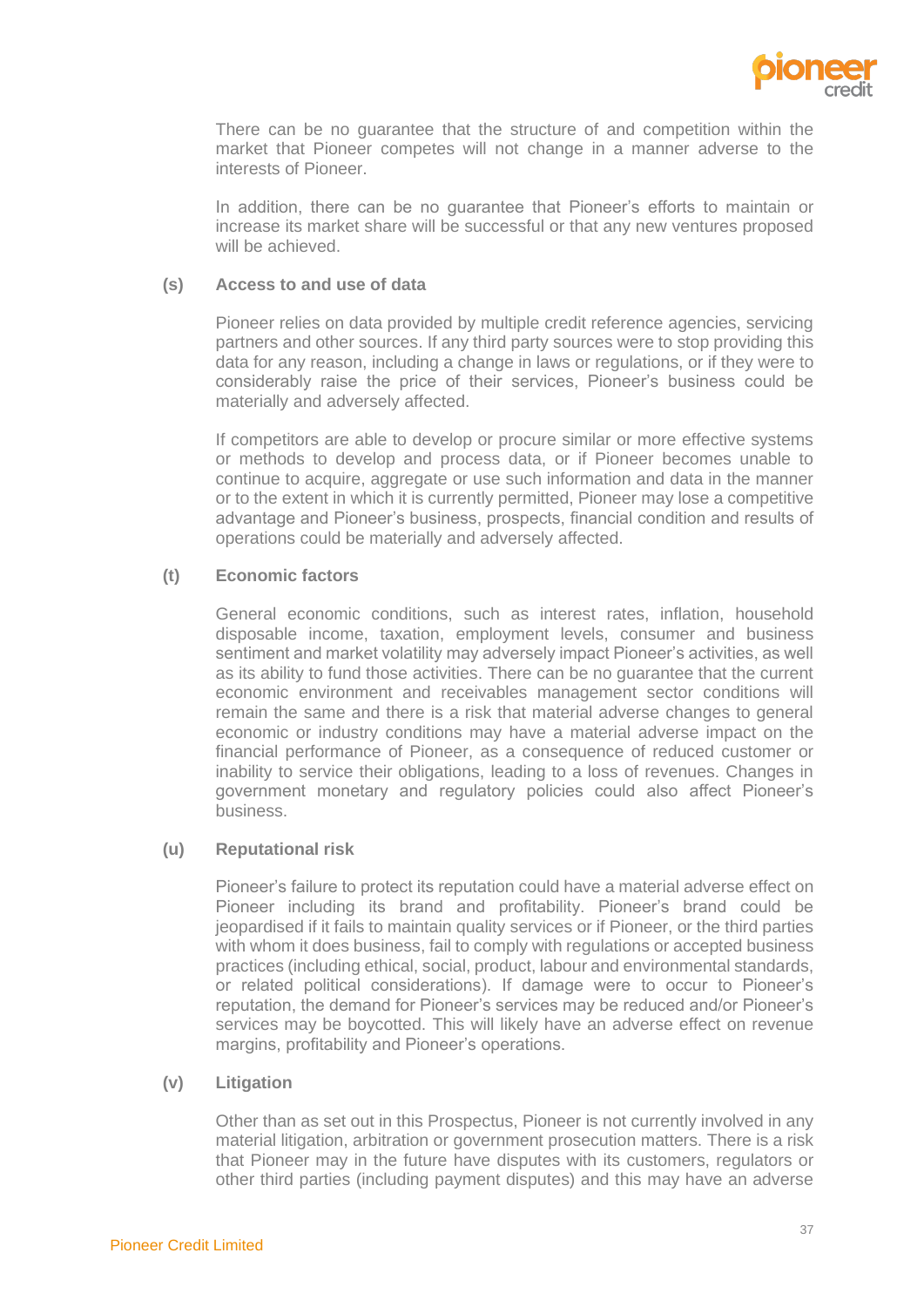

There can be no guarantee that the structure of and competition within the market that Pioneer competes will not change in a manner adverse to the interests of Pioneer.

In addition, there can be no guarantee that Pioneer's efforts to maintain or increase its market share will be successful or that any new ventures proposed will be achieved.

# **(s) Access to and use of data**

Pioneer relies on data provided by multiple credit reference agencies, servicing partners and other sources. If any third party sources were to stop providing this data for any reason, including a change in laws or regulations, or if they were to considerably raise the price of their services, Pioneer's business could be materially and adversely affected.

If competitors are able to develop or procure similar or more effective systems or methods to develop and process data, or if Pioneer becomes unable to continue to acquire, aggregate or use such information and data in the manner or to the extent in which it is currently permitted, Pioneer may lose a competitive advantage and Pioneer's business, prospects, financial condition and results of operations could be materially and adversely affected.

# **(t) Economic factors**

General economic conditions, such as interest rates, inflation, household disposable income, taxation, employment levels, consumer and business sentiment and market volatility may adversely impact Pioneer's activities, as well as its ability to fund those activities. There can be no guarantee that the current economic environment and receivables management sector conditions will remain the same and there is a risk that material adverse changes to general economic or industry conditions may have a material adverse impact on the financial performance of Pioneer, as a consequence of reduced customer or inability to service their obligations, leading to a loss of revenues. Changes in government monetary and regulatory policies could also affect Pioneer's business.

# **(u) Reputational risk**

Pioneer's failure to protect its reputation could have a material adverse effect on Pioneer including its brand and profitability. Pioneer's brand could be jeopardised if it fails to maintain quality services or if Pioneer, or the third parties with whom it does business, fail to comply with regulations or accepted business practices (including ethical, social, product, labour and environmental standards, or related political considerations). If damage were to occur to Pioneer's reputation, the demand for Pioneer's services may be reduced and/or Pioneer's services may be boycotted. This will likely have an adverse effect on revenue margins, profitability and Pioneer's operations.

# **(v) Litigation**

Other than as set out in this Prospectus, Pioneer is not currently involved in any material litigation, arbitration or government prosecution matters. There is a risk that Pioneer may in the future have disputes with its customers, regulators or other third parties (including payment disputes) and this may have an adverse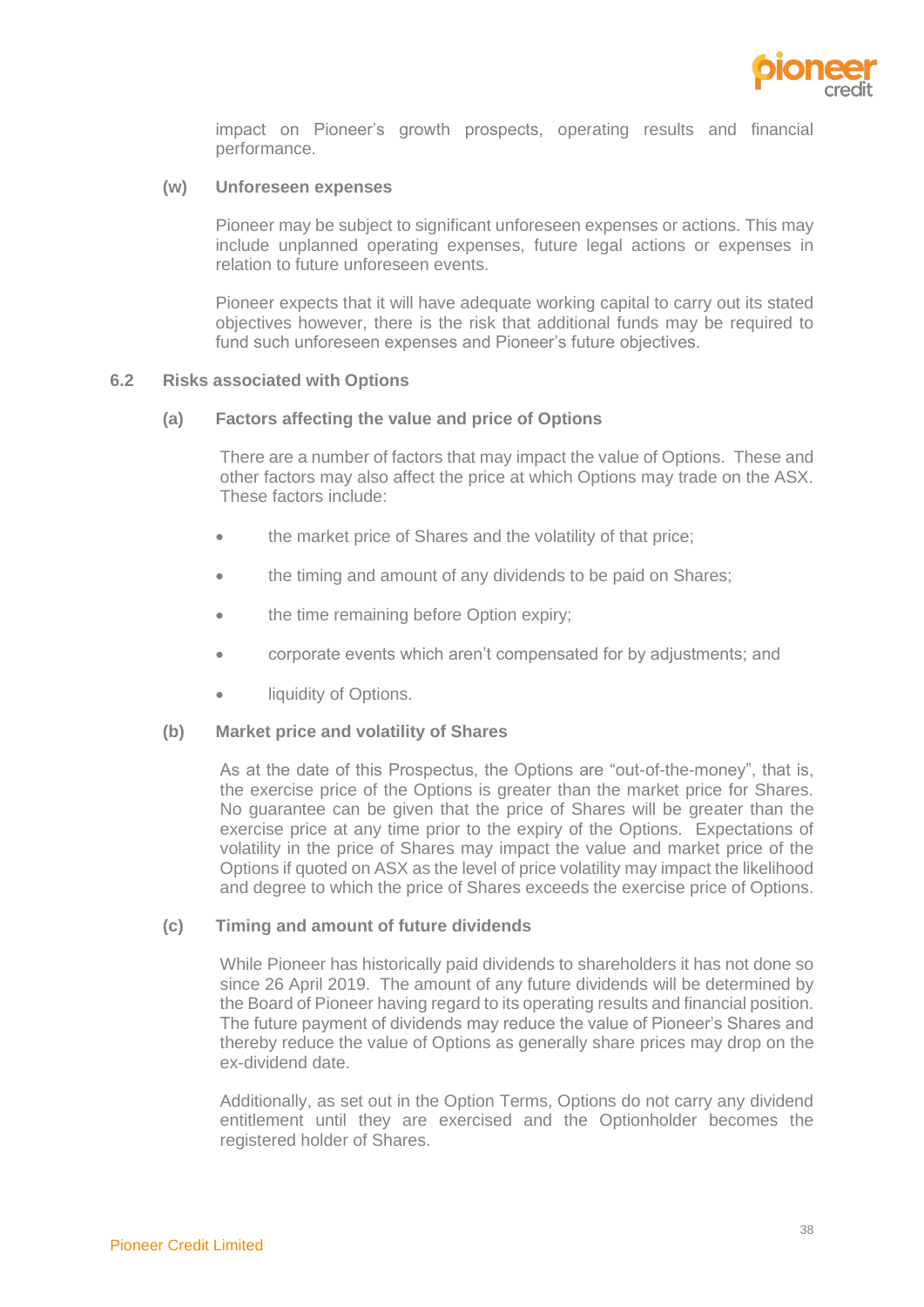

impact on Pioneer's growth prospects, operating results and financial performance.

#### **(w) Unforeseen expenses**

Pioneer may be subject to significant unforeseen expenses or actions. This may include unplanned operating expenses, future legal actions or expenses in relation to future unforeseen events.

Pioneer expects that it will have adequate working capital to carry out its stated objectives however, there is the risk that additional funds may be required to fund such unforeseen expenses and Pioneer's future objectives.

#### **6.2 Risks associated with Options**

#### **(a) Factors affecting the value and price of Options**

There are a number of factors that may impact the value of Options. These and other factors may also affect the price at which Options may trade on the ASX. These factors include:

- the market price of Shares and the volatility of that price;
- the timing and amount of any dividends to be paid on Shares;
- the time remaining before Option expiry;
- corporate events which aren't compensated for by adjustments; and
- liquidity of Options.

#### **(b) Market price and volatility of Shares**

As at the date of this Prospectus, the Options are "out-of-the-money", that is, the exercise price of the Options is greater than the market price for Shares. No guarantee can be given that the price of Shares will be greater than the exercise price at any time prior to the expiry of the Options. Expectations of volatility in the price of Shares may impact the value and market price of the Options if quoted on ASX as the level of price volatility may impact the likelihood and degree to which the price of Shares exceeds the exercise price of Options.

#### **(c) Timing and amount of future dividends**

While Pioneer has historically paid dividends to shareholders it has not done so since 26 April 2019. The amount of any future dividends will be determined by the Board of Pioneer having regard to its operating results and financial position. The future payment of dividends may reduce the value of Pioneer's Shares and thereby reduce the value of Options as generally share prices may drop on the ex-dividend date.

Additionally, as set out in the Option Terms, Options do not carry any dividend entitlement until they are exercised and the Optionholder becomes the registered holder of Shares.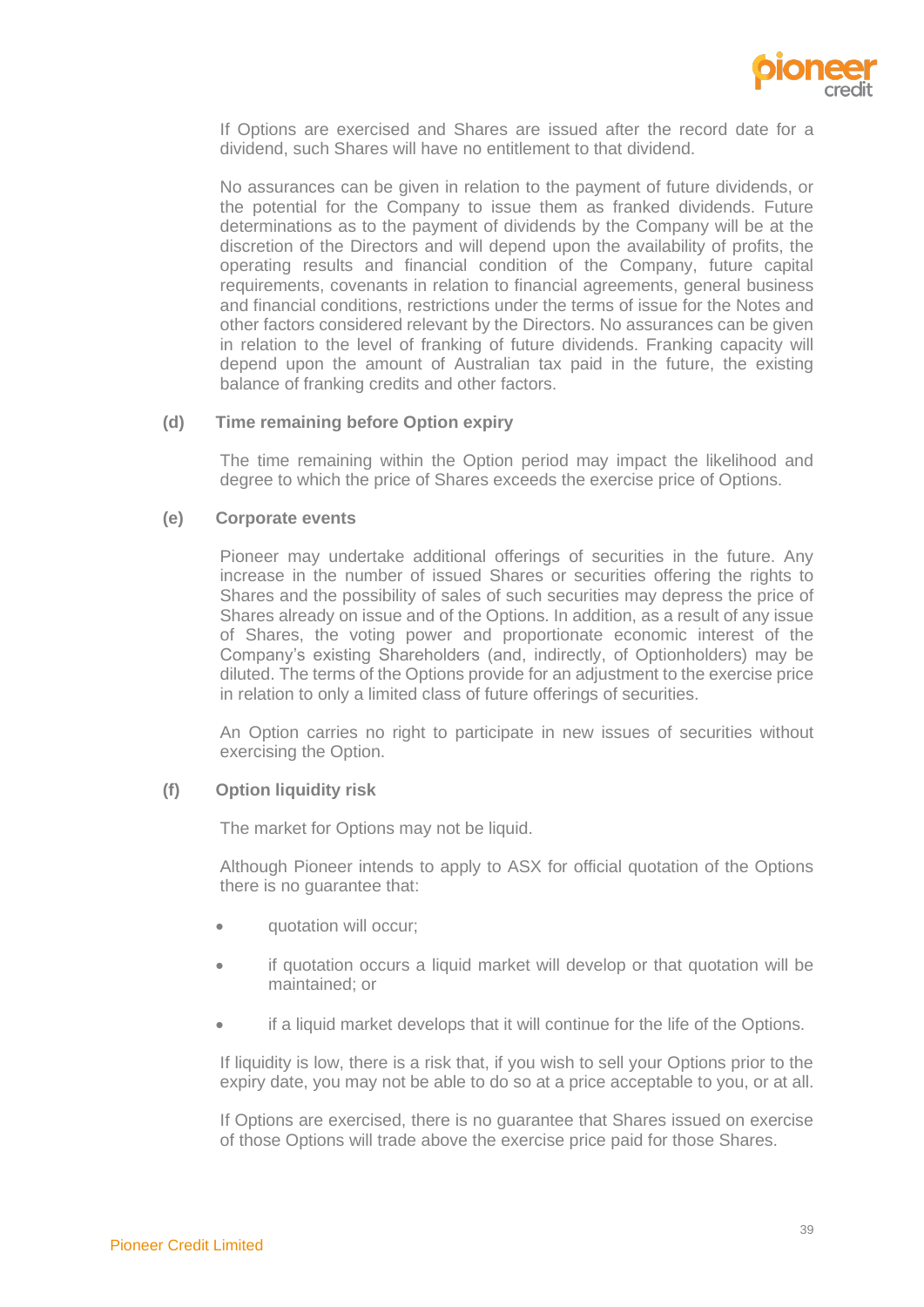

If Options are exercised and Shares are issued after the record date for a dividend, such Shares will have no entitlement to that dividend.

No assurances can be given in relation to the payment of future dividends, or the potential for the Company to issue them as franked dividends. Future determinations as to the payment of dividends by the Company will be at the discretion of the Directors and will depend upon the availability of profits, the operating results and financial condition of the Company, future capital requirements, covenants in relation to financial agreements, general business and financial conditions, restrictions under the terms of issue for the Notes and other factors considered relevant by the Directors. No assurances can be given in relation to the level of franking of future dividends. Franking capacity will depend upon the amount of Australian tax paid in the future, the existing balance of franking credits and other factors.

#### **(d) Time remaining before Option expiry**

The time remaining within the Option period may impact the likelihood and degree to which the price of Shares exceeds the exercise price of Options.

## **(e) Corporate events**

Pioneer may undertake additional offerings of securities in the future. Any increase in the number of issued Shares or securities offering the rights to Shares and the possibility of sales of such securities may depress the price of Shares already on issue and of the Options. In addition, as a result of any issue of Shares, the voting power and proportionate economic interest of the Company's existing Shareholders (and, indirectly, of Optionholders) may be diluted. The terms of the Options provide for an adjustment to the exercise price in relation to only a limited class of future offerings of securities.

An Option carries no right to participate in new issues of securities without exercising the Option.

# **(f) Option liquidity risk**

The market for Options may not be liquid.

Although Pioneer intends to apply to ASX for official quotation of the Options there is no guarantee that:

- quotation will occur;
- if quotation occurs a liquid market will develop or that quotation will be maintained; or
- if a liquid market develops that it will continue for the life of the Options.

If liquidity is low, there is a risk that, if you wish to sell your Options prior to the expiry date, you may not be able to do so at a price acceptable to you, or at all.

If Options are exercised, there is no guarantee that Shares issued on exercise of those Options will trade above the exercise price paid for those Shares.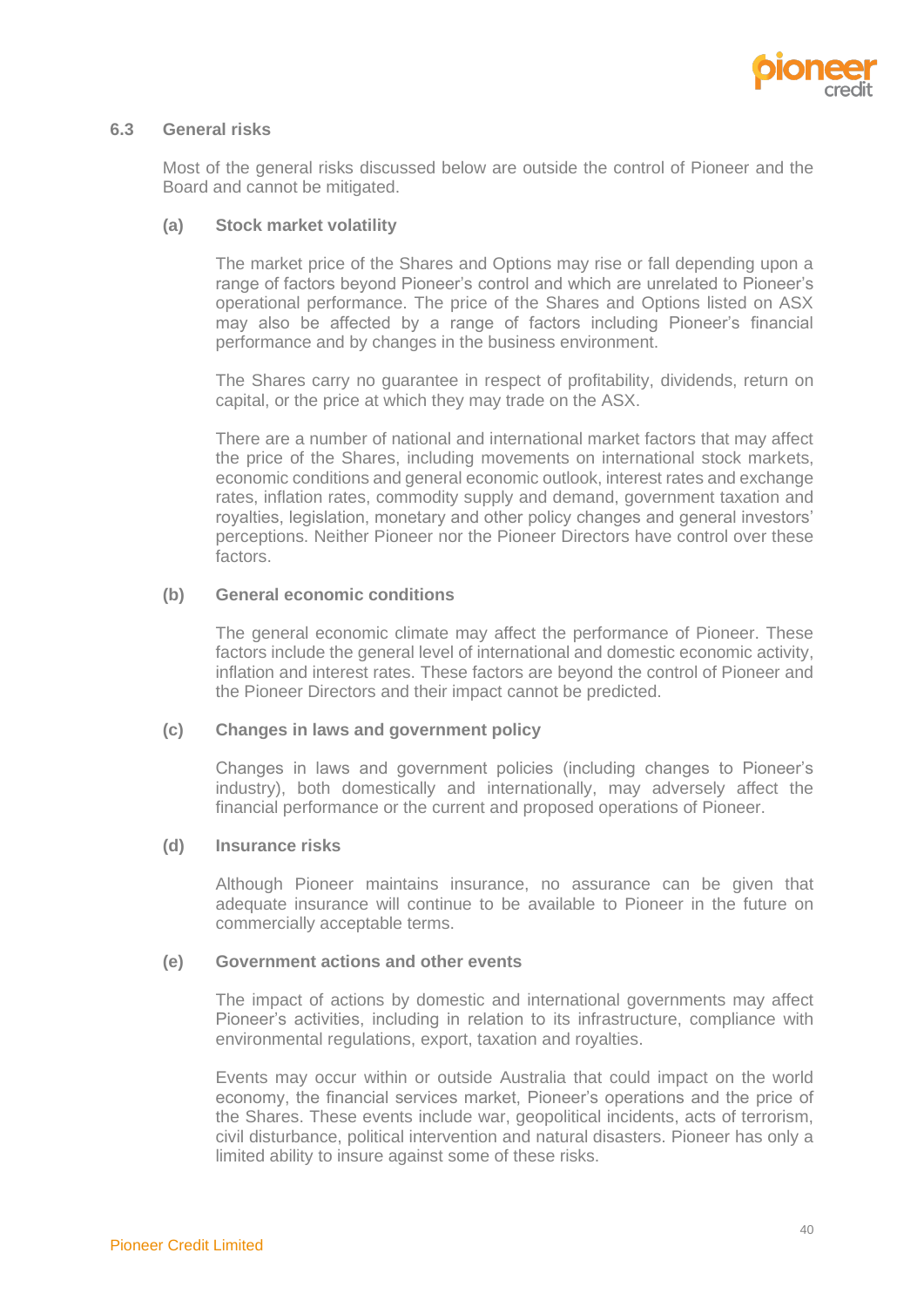

#### **6.3 General risks**

Most of the general risks discussed below are outside the control of Pioneer and the Board and cannot be mitigated.

#### **(a) Stock market volatility**

The market price of the Shares and Options may rise or fall depending upon a range of factors beyond Pioneer's control and which are unrelated to Pioneer's operational performance. The price of the Shares and Options listed on ASX may also be affected by a range of factors including Pioneer's financial performance and by changes in the business environment.

The Shares carry no guarantee in respect of profitability, dividends, return on capital, or the price at which they may trade on the ASX.

There are a number of national and international market factors that may affect the price of the Shares, including movements on international stock markets, economic conditions and general economic outlook, interest rates and exchange rates, inflation rates, commodity supply and demand, government taxation and royalties, legislation, monetary and other policy changes and general investors' perceptions. Neither Pioneer nor the Pioneer Directors have control over these factors.

## **(b) General economic conditions**

The general economic climate may affect the performance of Pioneer. These factors include the general level of international and domestic economic activity, inflation and interest rates. These factors are beyond the control of Pioneer and the Pioneer Directors and their impact cannot be predicted.

#### **(c) Changes in laws and government policy**

Changes in laws and government policies (including changes to Pioneer's industry), both domestically and internationally, may adversely affect the financial performance or the current and proposed operations of Pioneer.

#### **(d) Insurance risks**

Although Pioneer maintains insurance, no assurance can be given that adequate insurance will continue to be available to Pioneer in the future on commercially acceptable terms.

## **(e) Government actions and other events**

The impact of actions by domestic and international governments may affect Pioneer's activities, including in relation to its infrastructure, compliance with environmental regulations, export, taxation and royalties.

Events may occur within or outside Australia that could impact on the world economy, the financial services market, Pioneer's operations and the price of the Shares. These events include war, geopolitical incidents, acts of terrorism, civil disturbance, political intervention and natural disasters. Pioneer has only a limited ability to insure against some of these risks.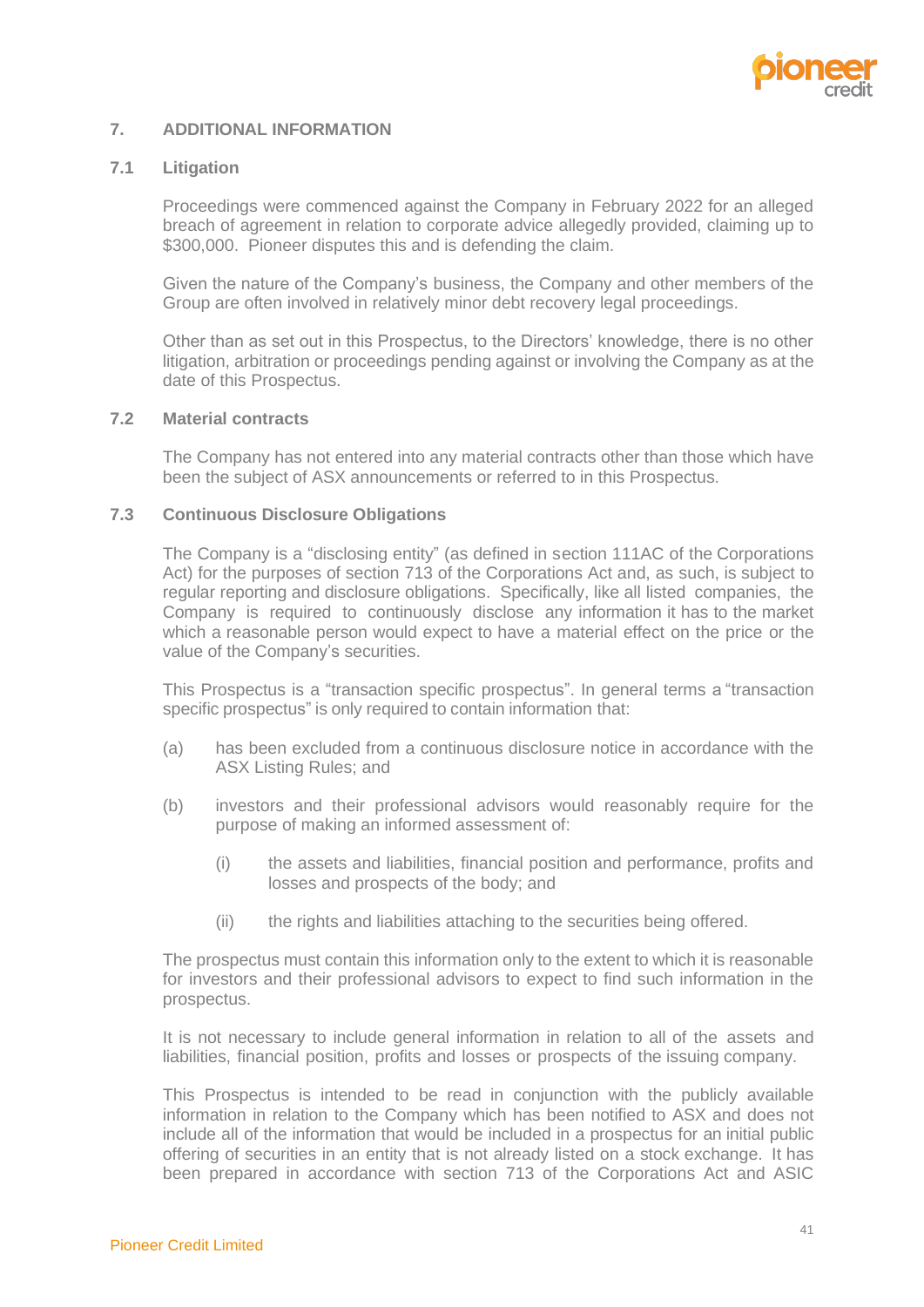

# <span id="page-43-0"></span>**7. ADDITIONAL INFORMATION**

# **7.1 Litigation**

Proceedings were commenced against the Company in February 2022 for an alleged breach of agreement in relation to corporate advice allegedly provided, claiming up to \$300,000. Pioneer disputes this and is defending the claim.

Given the nature of the Company's business, the Company and other members of the Group are often involved in relatively minor debt recovery legal proceedings.

Other than as set out in this Prospectus, to the Directors' knowledge, there is no other litigation, arbitration or proceedings pending against or involving the Company as at the date of this Prospectus.

#### **7.2 Material contracts**

The Company has not entered into any material contracts other than those which have been the subject of ASX announcements or referred to in this Prospectus.

#### **7.3 Continuous Disclosure Obligations**

The Company is a "disclosing entity" (as defined in section 111AC of the Corporations Act) for the purposes of section 713 of the Corporations Act and, as such, is subject to regular reporting and disclosure obligations. Specifically, like all listed companies, the Company is required to continuously disclose any information it has to the market which a reasonable person would expect to have a material effect on the price or the value of the Company's securities.

This Prospectus is a "transaction specific prospectus". In general terms a "transaction specific prospectus" is only required to contain information that:

- (a) has been excluded from a continuous disclosure notice in accordance with the ASX Listing Rules; and
- (b) investors and their professional advisors would reasonably require for the purpose of making an informed assessment of:
	- (i) the assets and liabilities, financial position and performance, profits and losses and prospects of the body; and
	- (ii) the rights and liabilities attaching to the securities being offered.

The prospectus must contain this information only to the extent to which it is reasonable for investors and their professional advisors to expect to find such information in the prospectus.

It is not necessary to include general information in relation to all of the assets and liabilities, financial position, profits and losses or prospects of the issuing company.

This Prospectus is intended to be read in conjunction with the publicly available information in relation to the Company which has been notified to ASX and does not include all of the information that would be included in a prospectus for an initial public offering of securities in an entity that is not already listed on a stock exchange. It has been prepared in accordance with section 713 of the Corporations Act and ASIC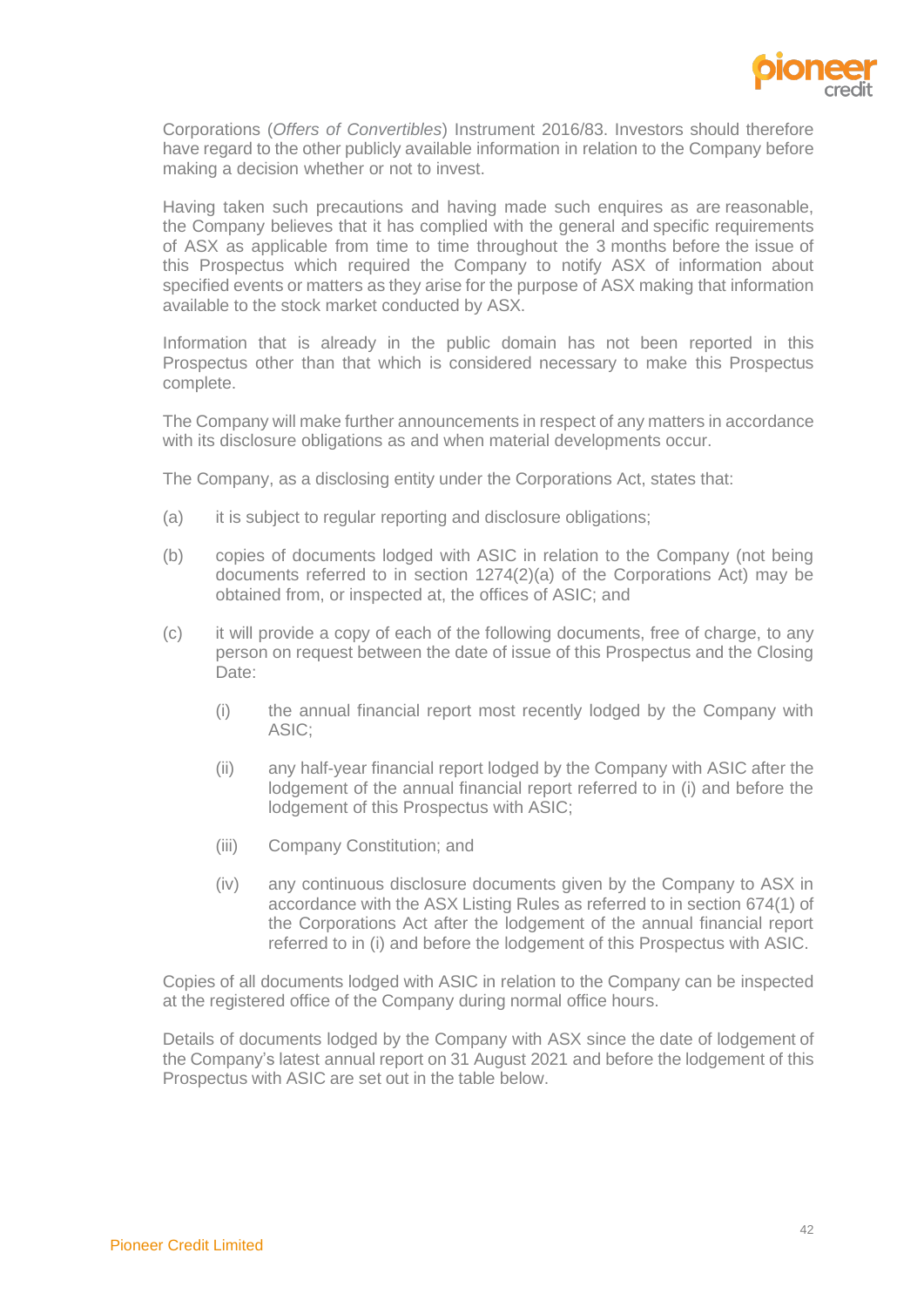

Corporations (*Offers of Convertibles*) Instrument 2016/83. Investors should therefore have regard to the other publicly available information in relation to the Company before making a decision whether or not to invest.

Having taken such precautions and having made such enquires as are reasonable, the Company believes that it has complied with the general and specific requirements of ASX as applicable from time to time throughout the 3 months before the issue of this Prospectus which required the Company to notify ASX of information about specified events or matters as they arise for the purpose of ASX making that information available to the stock market conducted by ASX.

Information that is already in the public domain has not been reported in this Prospectus other than that which is considered necessary to make this Prospectus complete.

The Company will make further announcements in respect of any matters in accordance with its disclosure obligations as and when material developments occur.

The Company, as a disclosing entity under the Corporations Act, states that:

- (a) it is subject to regular reporting and disclosure obligations;
- (b) copies of documents lodged with ASIC in relation to the Company (not being documents referred to in section  $1274(2)(a)$  of the Corporations Act) may be obtained from, or inspected at, the offices of ASIC; and
- (c) it will provide a copy of each of the following documents, free of charge, to any person on request between the date of issue of this Prospectus and the Closing Date:
	- (i) the annual financial report most recently lodged by the Company with ASIC;
	- (ii) any half-year financial report lodged by the Company with ASIC after the lodgement of the annual financial report referred to in (i) and before the lodgement of this Prospectus with ASIC;
	- (iii) Company Constitution; and
	- (iv) any continuous disclosure documents given by the Company to ASX in accordance with the ASX Listing Rules as referred to in section 674(1) of the Corporations Act after the lodgement of the annual financial report referred to in (i) and before the lodgement of this Prospectus with ASIC.

Copies of all documents lodged with ASIC in relation to the Company can be inspected at the registered office of the Company during normal office hours.

Details of documents lodged by the Company with ASX since the date of lodgement of the Company's latest annual report on 31 August 2021 and before the lodgement of this Prospectus with ASIC are set out in the table below.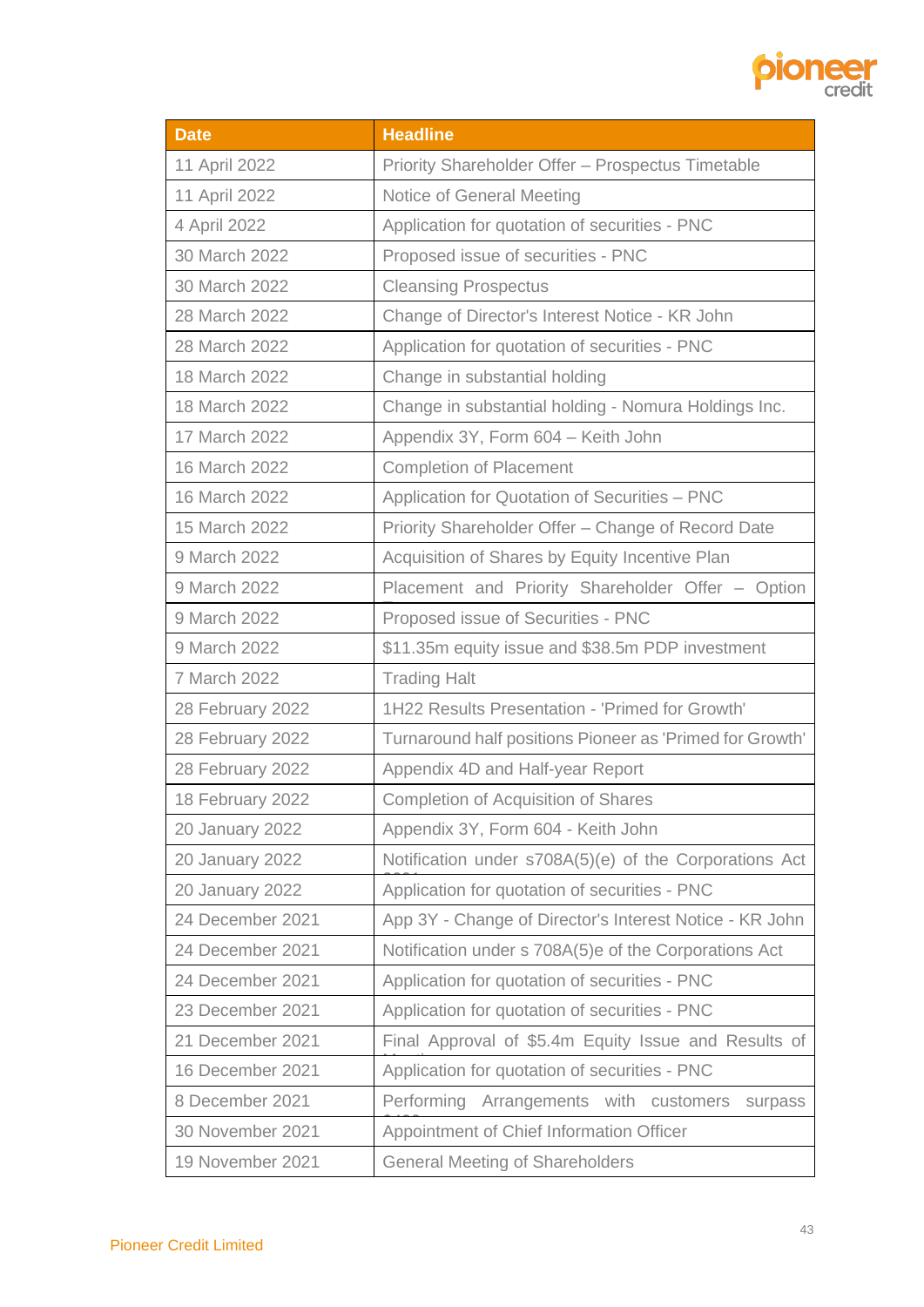

| <b>Date</b>                                                                  | <b>Headline</b>                                         |  |
|------------------------------------------------------------------------------|---------------------------------------------------------|--|
| 11 April 2022                                                                | Priority Shareholder Offer - Prospectus Timetable       |  |
| 11 April 2022                                                                | Notice of General Meeting                               |  |
| 4 April 2022                                                                 | Application for quotation of securities - PNC           |  |
| 30 March 2022                                                                | Proposed issue of securities - PNC                      |  |
| 30 March 2022                                                                | <b>Cleansing Prospectus</b>                             |  |
| 28 March 2022                                                                | Change of Director's Interest Notice - KR John          |  |
| 28 March 2022                                                                | Application for quotation of securities - PNC           |  |
| 18 March 2022                                                                | Change in substantial holding                           |  |
| 18 March 2022                                                                | Change in substantial holding - Nomura Holdings Inc.    |  |
| 17 March 2022                                                                | Appendix 3Y, Form 604 - Keith John                      |  |
| 16 March 2022                                                                | <b>Completion of Placement</b>                          |  |
| 16 March 2022                                                                | Application for Quotation of Securities - PNC           |  |
| 15 March 2022                                                                | Priority Shareholder Offer - Change of Record Date      |  |
| 9 March 2022                                                                 | Acquisition of Shares by Equity Incentive Plan          |  |
| 9 March 2022                                                                 | Placement and Priority Shareholder Offer - Option       |  |
| 9 March 2022                                                                 | Proposed issue of Securities - PNC                      |  |
| 9 March 2022                                                                 | \$11.35m equity issue and \$38.5m PDP investment        |  |
| 7 March 2022                                                                 | <b>Trading Halt</b>                                     |  |
| 28 February 2022                                                             | 1H22 Results Presentation - 'Primed for Growth'         |  |
| 28 February 2022<br>Turnaround half positions Pioneer as 'Primed for Growth' |                                                         |  |
| 28 February 2022                                                             | Appendix 4D and Half-year Report                        |  |
| 18 February 2022                                                             | <b>Completion of Acquisition of Shares</b>              |  |
| <b>20 January 2022</b>                                                       | Appendix 3Y, Form 604 - Keith John                      |  |
| 20 January 2022                                                              | Notification under s708A(5)(e) of the Corporations Act  |  |
| <b>20 January 2022</b>                                                       | Application for quotation of securities - PNC           |  |
| 24 December 2021                                                             | App 3Y - Change of Director's Interest Notice - KR John |  |
| 24 December 2021                                                             | Notification under s 708A(5)e of the Corporations Act   |  |
| 24 December 2021                                                             | Application for quotation of securities - PNC           |  |
| 23 December 2021                                                             | Application for quotation of securities - PNC           |  |
| 21 December 2021                                                             | Final Approval of \$5.4m Equity Issue and Results of    |  |
| 16 December 2021                                                             | Application for quotation of securities - PNC           |  |
| 8 December 2021                                                              | Performing<br>Arrangements with customers<br>surpass    |  |
| 30 November 2021                                                             | Appointment of Chief Information Officer                |  |
| 19 November 2021                                                             | <b>General Meeting of Shareholders</b>                  |  |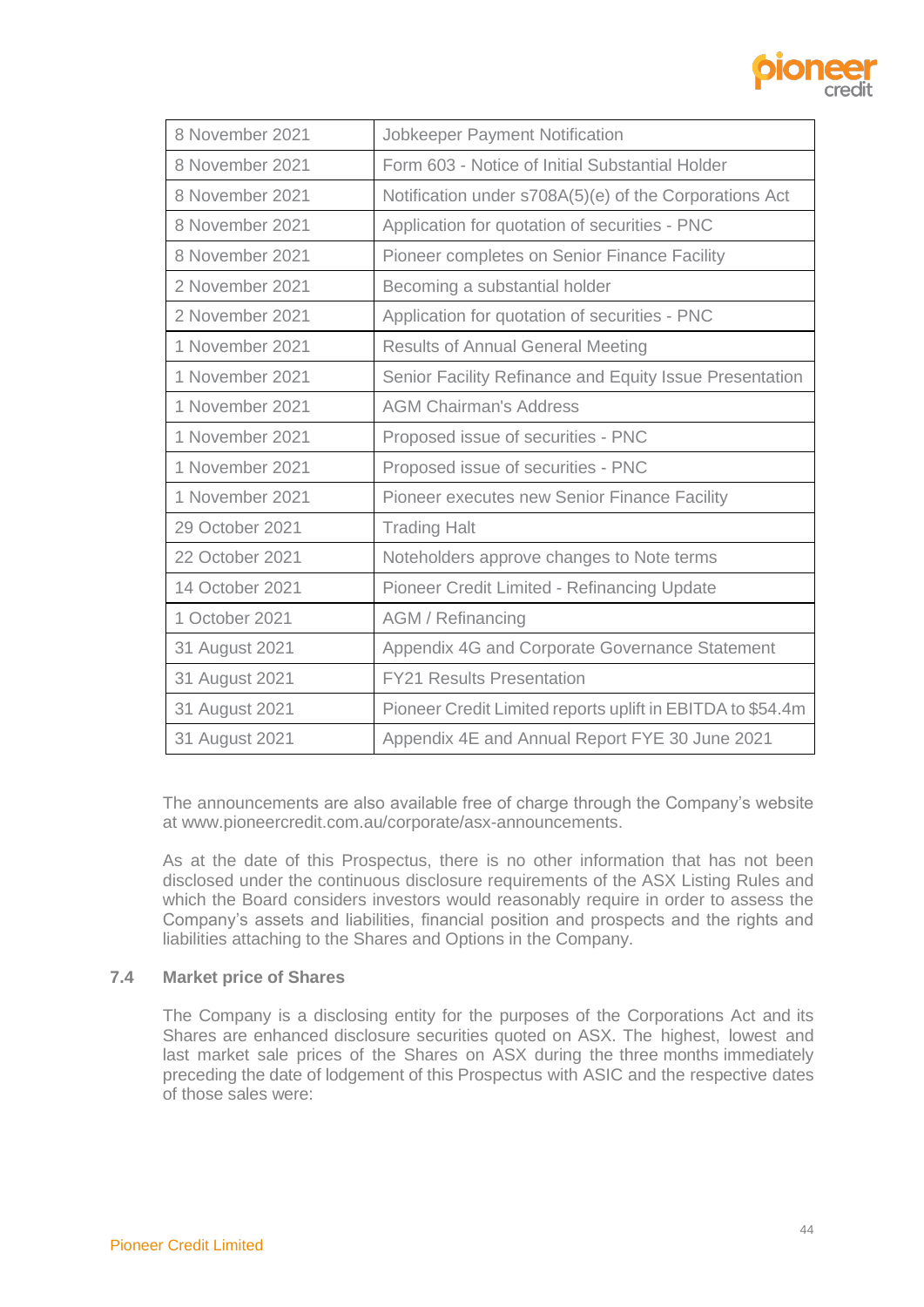

| 8 November 2021 | Jobkeeper Payment Notification                             |  |
|-----------------|------------------------------------------------------------|--|
| 8 November 2021 | Form 603 - Notice of Initial Substantial Holder            |  |
| 8 November 2021 | Notification under s708A(5)(e) of the Corporations Act     |  |
| 8 November 2021 | Application for quotation of securities - PNC              |  |
| 8 November 2021 | Pioneer completes on Senior Finance Facility               |  |
| 2 November 2021 | Becoming a substantial holder                              |  |
| 2 November 2021 | Application for quotation of securities - PNC              |  |
| 1 November 2021 | <b>Results of Annual General Meeting</b>                   |  |
| 1 November 2021 | Senior Facility Refinance and Equity Issue Presentation    |  |
| 1 November 2021 | <b>AGM Chairman's Address</b>                              |  |
| 1 November 2021 | Proposed issue of securities - PNC                         |  |
| 1 November 2021 | Proposed issue of securities - PNC                         |  |
| 1 November 2021 | Pioneer executes new Senior Finance Facility               |  |
| 29 October 2021 | <b>Trading Halt</b>                                        |  |
| 22 October 2021 | Noteholders approve changes to Note terms                  |  |
| 14 October 2021 | Pioneer Credit Limited - Refinancing Update                |  |
| 1 October 2021  | <b>AGM / Refinancing</b>                                   |  |
| 31 August 2021  | Appendix 4G and Corporate Governance Statement             |  |
| 31 August 2021  | <b>FY21 Results Presentation</b>                           |  |
| 31 August 2021  | Pioneer Credit Limited reports uplift in EBITDA to \$54.4m |  |
| 31 August 2021  | Appendix 4E and Annual Report FYE 30 June 2021             |  |

The announcements are also available free of charge through the Company's website at www.pioneercredit.com.au/corporate/asx-announcements.

As at the date of this Prospectus, there is no other information that has not been disclosed under the continuous disclosure requirements of the ASX Listing Rules and which the Board considers investors would reasonably require in order to assess the Company's assets and liabilities, financial position and prospects and the rights and liabilities attaching to the Shares and Options in the Company.

# **7.4 Market price of Shares**

The Company is a disclosing entity for the purposes of the Corporations Act and its Shares are enhanced disclosure securities quoted on ASX. The highest, lowest and last market sale prices of the Shares on ASX during the three months immediately preceding the date of lodgement of this Prospectus with ASIC and the respective dates of those sales were: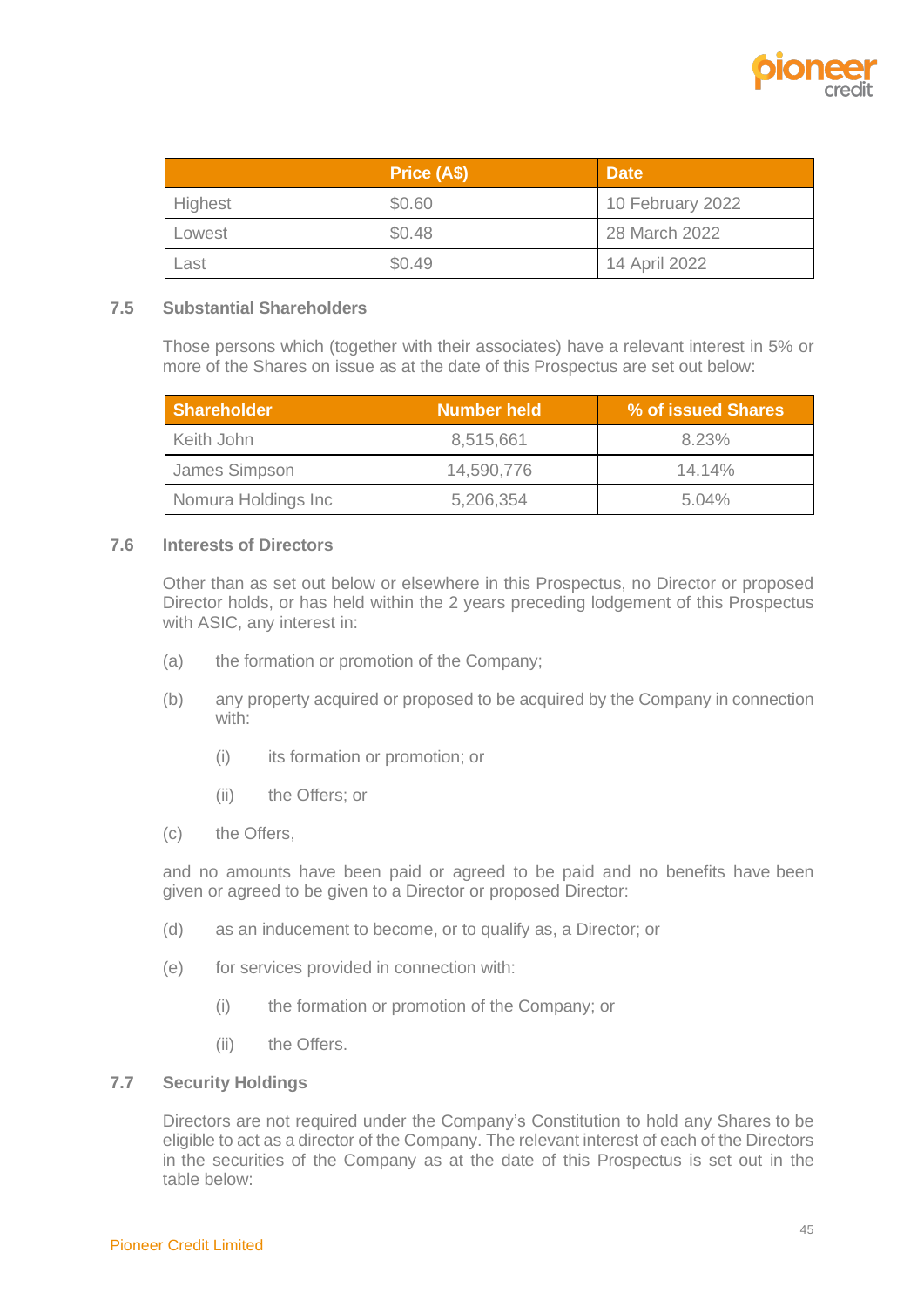

|         | Price (A\$) | <b>Date</b>      |
|---------|-------------|------------------|
| Highest | \$0.60      | 10 February 2022 |
| Lowest  | \$0.48      | 28 March 2022    |
| Last    | \$0.49      | 14 April 2022    |

#### <span id="page-47-1"></span>**7.5 Substantial Shareholders**

Those persons which (together with their associates) have a relevant interest in 5% or more of the Shares on issue as at the date of this Prospectus are set out below:

| <b>Shareholder</b>  | <b>Number held</b> | % of issued Shares |
|---------------------|--------------------|--------------------|
| Keith John          | 8,515,661          | 8.23%              |
| James Simpson       | 14,590,776         | $14.14\%$          |
| Nomura Holdings Inc | 5,206,354          | $5.04\%$           |

# **7.6 Interests of Directors**

Other than as set out below or elsewhere in this Prospectus, no Director or proposed Director holds, or has held within the 2 years preceding lodgement of this Prospectus with ASIC, any interest in:

- (a) the formation or promotion of the Company;
- (b) any property acquired or proposed to be acquired by the Company in connection with:
	- (i) its formation or promotion; or
	- (ii) the Offers; or
- (c) the Offers,

and no amounts have been paid or agreed to be paid and no benefits have been given or agreed to be given to a Director or proposed Director:

- (d) as an inducement to become, or to qualify as, a Director; or
- (e) for services provided in connection with:
	- (i) the formation or promotion of the Company; or
	- (ii) the Offers.

# <span id="page-47-0"></span>**7.7 Security Holdings**

Directors are not required under the Company's Constitution to hold any Shares to be eligible to act as a director of the Company. The relevant interest of each of the Directors in the securities of the Company as at the date of this Prospectus is set out in the table below: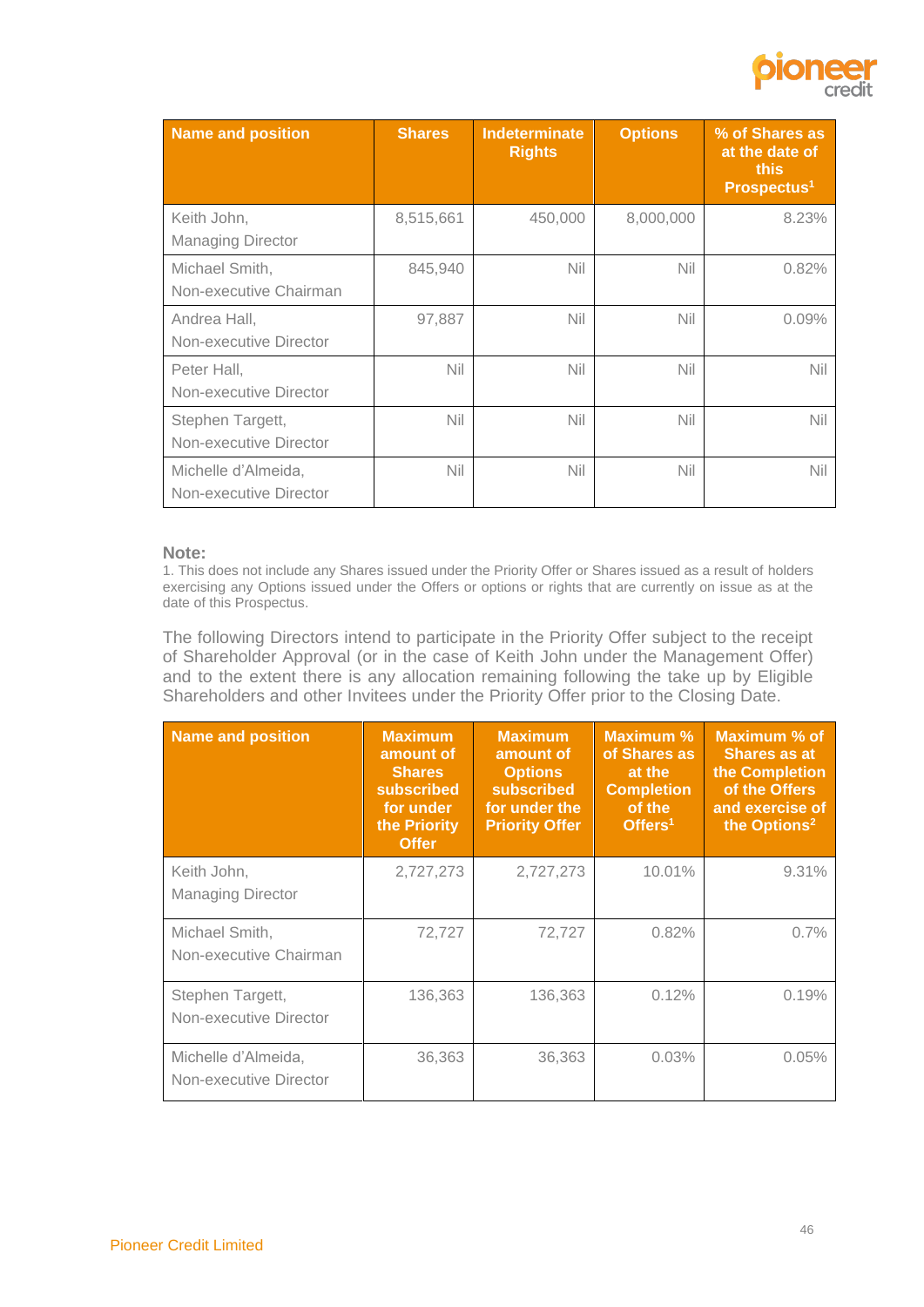

| Name and position                             | <b>Shares</b> | <b>Indeterminate</b><br><b>Rights</b> | <b>Options</b> | % of Shares as<br>at the date of<br>this<br>Prospectus <sup>1</sup> |
|-----------------------------------------------|---------------|---------------------------------------|----------------|---------------------------------------------------------------------|
| Keith John,<br><b>Managing Director</b>       | 8,515,661     | 450,000                               | 8,000,000      | 8.23%                                                               |
| Michael Smith,<br>Non-executive Chairman      | 845,940       | Nil                                   | Nil            | 0.82%                                                               |
| Andrea Hall,<br>Non-executive Director        | 97,887        | Nil                                   | Nil            | 0.09%                                                               |
| Peter Hall,<br>Non-executive Director         | <b>Nil</b>    | Nil                                   | Nil            | Nil                                                                 |
| Stephen Targett,<br>Non-executive Director    | <b>Nil</b>    | Nil                                   | Nil            | <b>Nil</b>                                                          |
| Michelle d'Almeida,<br>Non-executive Director | Nil           | Nil                                   | Nil            | <b>Nil</b>                                                          |

#### **Note:**

1. This does not include any Shares issued under the Priority Offer or Shares issued as a result of holders exercising any Options issued under the Offers or options or rights that are currently on issue as at the date of this Prospectus.

The following Directors intend to participate in the Priority Offer subject to the receipt of Shareholder Approval (or in the case of Keith John under the Management Offer) and to the extent there is any allocation remaining following the take up by Eligible Shareholders and other Invitees under the Priority Offer prior to the Closing Date.

| Name and position                             | <b>Maximum</b><br>amount of<br><b>Shares</b><br>subscribed<br>for under<br>the Priority<br><b>Offer</b> | <b>Maximum</b><br>amount of<br><b>Options</b><br><b>subscribed</b><br>for under the<br><b>Priority Offer</b> | <b>Maximum %</b><br>of Shares as<br>at the<br><b>Completion</b><br>of the<br>Offers <sup>1</sup> | Maximum % of<br><b>Shares as at</b><br>the Completion<br>of the Offers<br>and exercise of<br>the Options <sup>2</sup> |
|-----------------------------------------------|---------------------------------------------------------------------------------------------------------|--------------------------------------------------------------------------------------------------------------|--------------------------------------------------------------------------------------------------|-----------------------------------------------------------------------------------------------------------------------|
| Keith John,<br><b>Managing Director</b>       | 2,727,273                                                                                               | 2,727,273                                                                                                    | 10.01%                                                                                           | 9.31%                                                                                                                 |
| Michael Smith,<br>Non-executive Chairman      | 72,727                                                                                                  | 72,727                                                                                                       | 0.82%                                                                                            | 0.7%                                                                                                                  |
| Stephen Targett,<br>Non-executive Director    | 136,363                                                                                                 | 136,363                                                                                                      | 0.12%                                                                                            | 0.19%                                                                                                                 |
| Michelle d'Almeida,<br>Non-executive Director | 36,363                                                                                                  | 36,363                                                                                                       | 0.03%                                                                                            | 0.05%                                                                                                                 |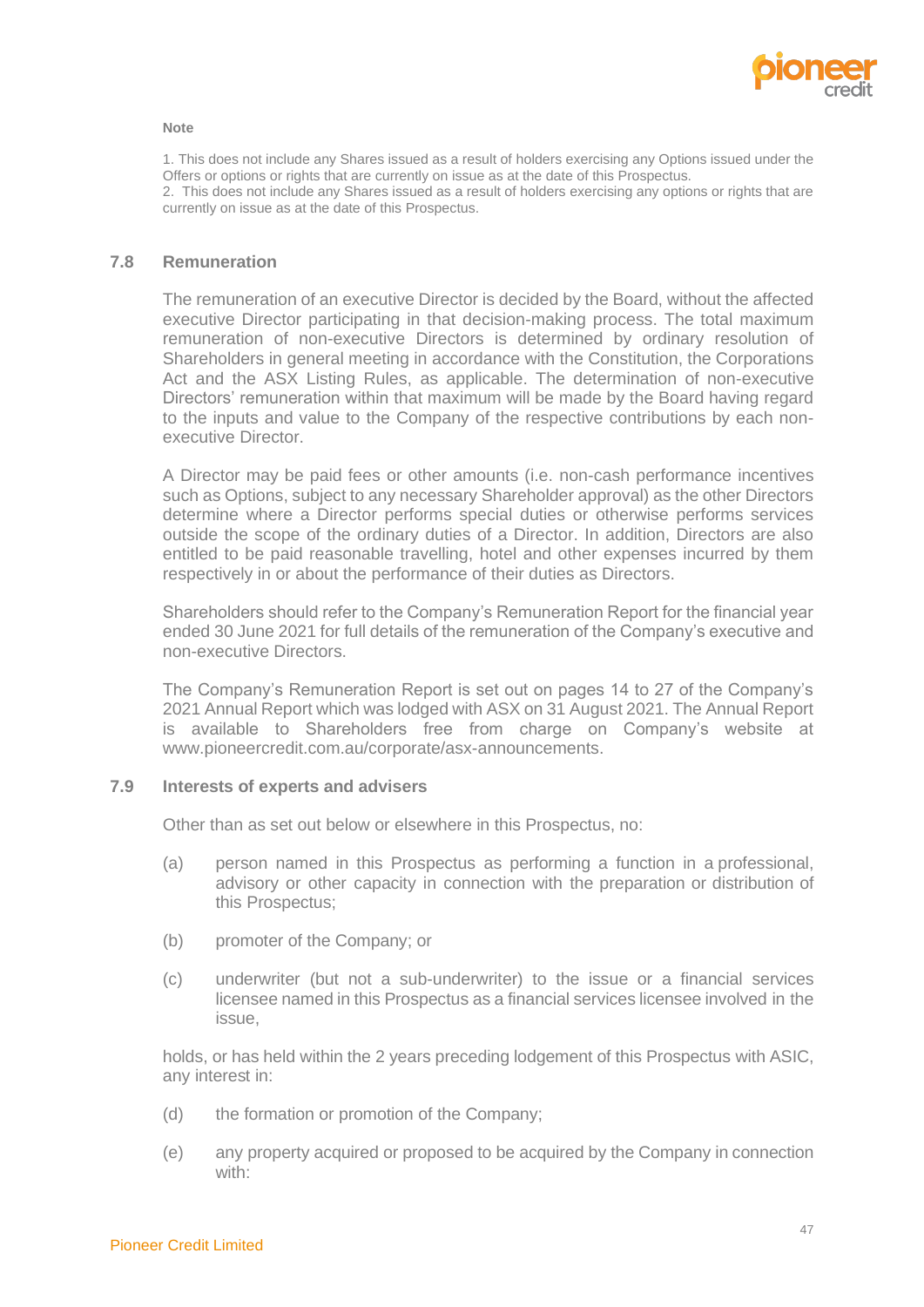

#### **Note**

1. This does not include any Shares issued as a result of holders exercising any Options issued under the Offers or options or rights that are currently on issue as at the date of this Prospectus. 2. This does not include any Shares issued as a result of holders exercising any options or rights that are currently on issue as at the date of this Prospectus.

#### **7.8 Remuneration**

The remuneration of an executive Director is decided by the Board, without the affected executive Director participating in that decision-making process. The total maximum remuneration of non-executive Directors is determined by ordinary resolution of Shareholders in general meeting in accordance with the Constitution, the Corporations Act and the ASX Listing Rules, as applicable. The determination of non-executive Directors' remuneration within that maximum will be made by the Board having regard to the inputs and value to the Company of the respective contributions by each nonexecutive Director.

A Director may be paid fees or other amounts (i.e. non-cash performance incentives such as Options, subject to any necessary Shareholder approval) as the other Directors determine where a Director performs special duties or otherwise performs services outside the scope of the ordinary duties of a Director. In addition, Directors are also entitled to be paid reasonable travelling, hotel and other expenses incurred by them respectively in or about the performance of their duties as Directors.

Shareholders should refer to the Company's Remuneration Report for the financial year ended 30 June 2021 for full details of the remuneration of the Company's executive and non-executive Directors.

The Company's Remuneration Report is set out on pages 14 to 27 of the Company's 2021 Annual Report which was lodged with ASX on 31 August 2021. The Annual Report is available to Shareholders free from charge on Company's website at www.pioneercredit.com.au/corporate/asx-announcements.

#### **7.9 Interests of experts and advisers**

Other than as set out below or elsewhere in this Prospectus, no:

- (a) person named in this Prospectus as performing a function in a professional, advisory or other capacity in connection with the preparation or distribution of this Prospectus;
- (b) promoter of the Company; or
- (c) underwriter (but not a sub-underwriter) to the issue or a financial services licensee named in this Prospectus as a financial services licensee involved in the issue,

holds, or has held within the 2 years preceding lodgement of this Prospectus with ASIC, any interest in:

- (d) the formation or promotion of the Company;
- (e) any property acquired or proposed to be acquired by the Company in connection with: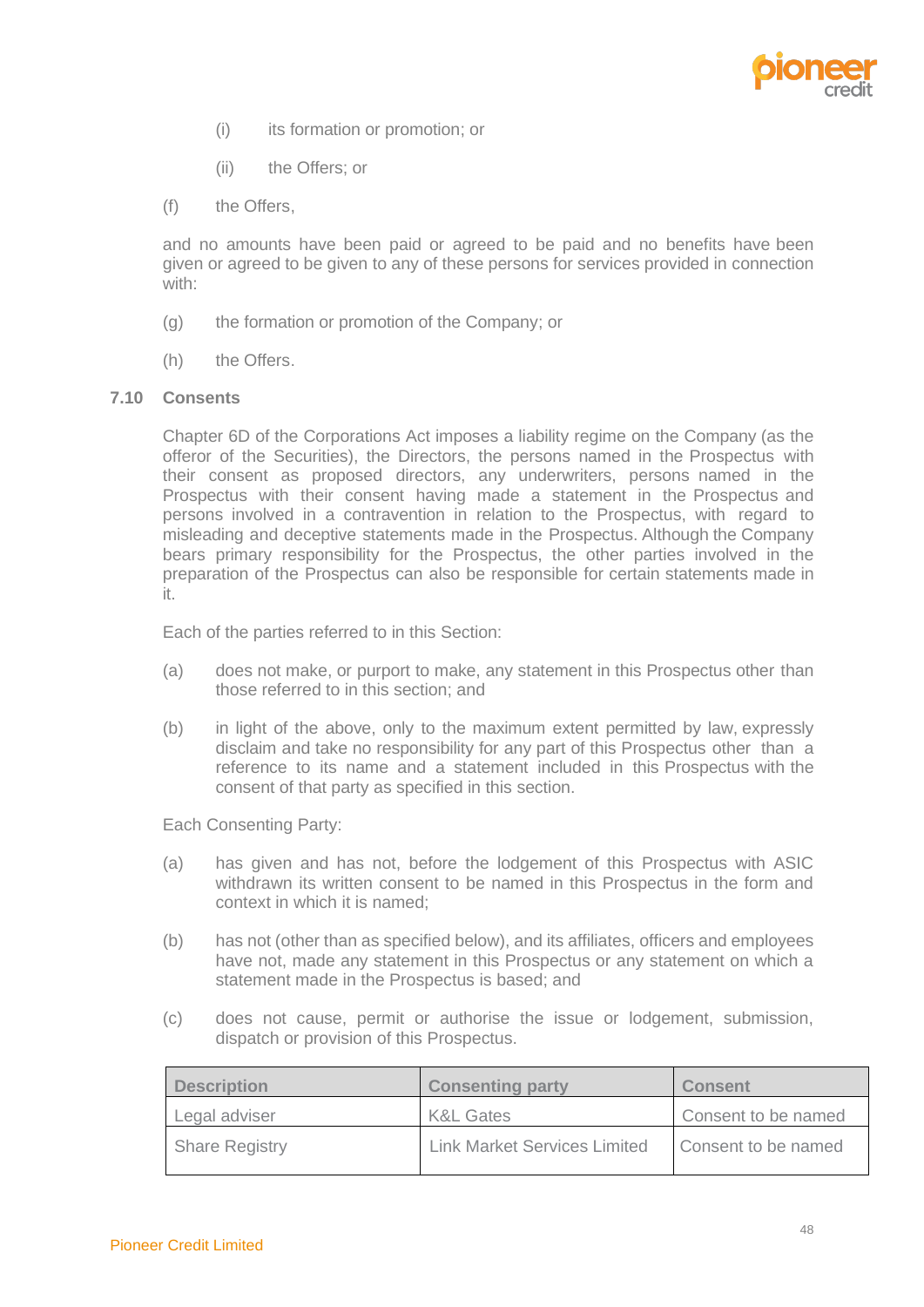

- (i) its formation or promotion; or
- (ii) the Offers; or
- (f) the Offers,

and no amounts have been paid or agreed to be paid and no benefits have been given or agreed to be given to any of these persons for services provided in connection with:

- (g) the formation or promotion of the Company; or
- (h) the Offers.

#### **7.10 Consents**

Chapter 6D of the Corporations Act imposes a liability regime on the Company (as the offeror of the Securities), the Directors, the persons named in the Prospectus with their consent as proposed directors, any underwriters, persons named in the Prospectus with their consent having made a statement in the Prospectus and persons involved in a contravention in relation to the Prospectus, with regard to misleading and deceptive statements made in the Prospectus. Although the Company bears primary responsibility for the Prospectus, the other parties involved in the preparation of the Prospectus can also be responsible for certain statements made in it.

Each of the parties referred to in this Section:

- (a) does not make, or purport to make, any statement in this Prospectus other than those referred to in this section; and
- (b) in light of the above, only to the maximum extent permitted by law, expressly disclaim and take no responsibility for any part of this Prospectus other than a reference to its name and a statement included in this Prospectus with the consent of that party as specified in this section.

Each Consenting Party:

- (a) has given and has not, before the lodgement of this Prospectus with ASIC withdrawn its written consent to be named in this Prospectus in the form and context in which it is named;
- (b) has not (other than as specified below), and its affiliates, officers and employees have not, made any statement in this Prospectus or any statement on which a statement made in the Prospectus is based; and
- (c) does not cause, permit or authorise the issue or lodgement, submission, dispatch or provision of this Prospectus.

| <b>Description</b>    | <b>Consenting party</b>             | <b>Consent</b>      |
|-----------------------|-------------------------------------|---------------------|
| Legal adviser         | <b>K&amp;L Gates</b>                | Consent to be named |
| <b>Share Registry</b> | <b>Link Market Services Limited</b> | Consent to be named |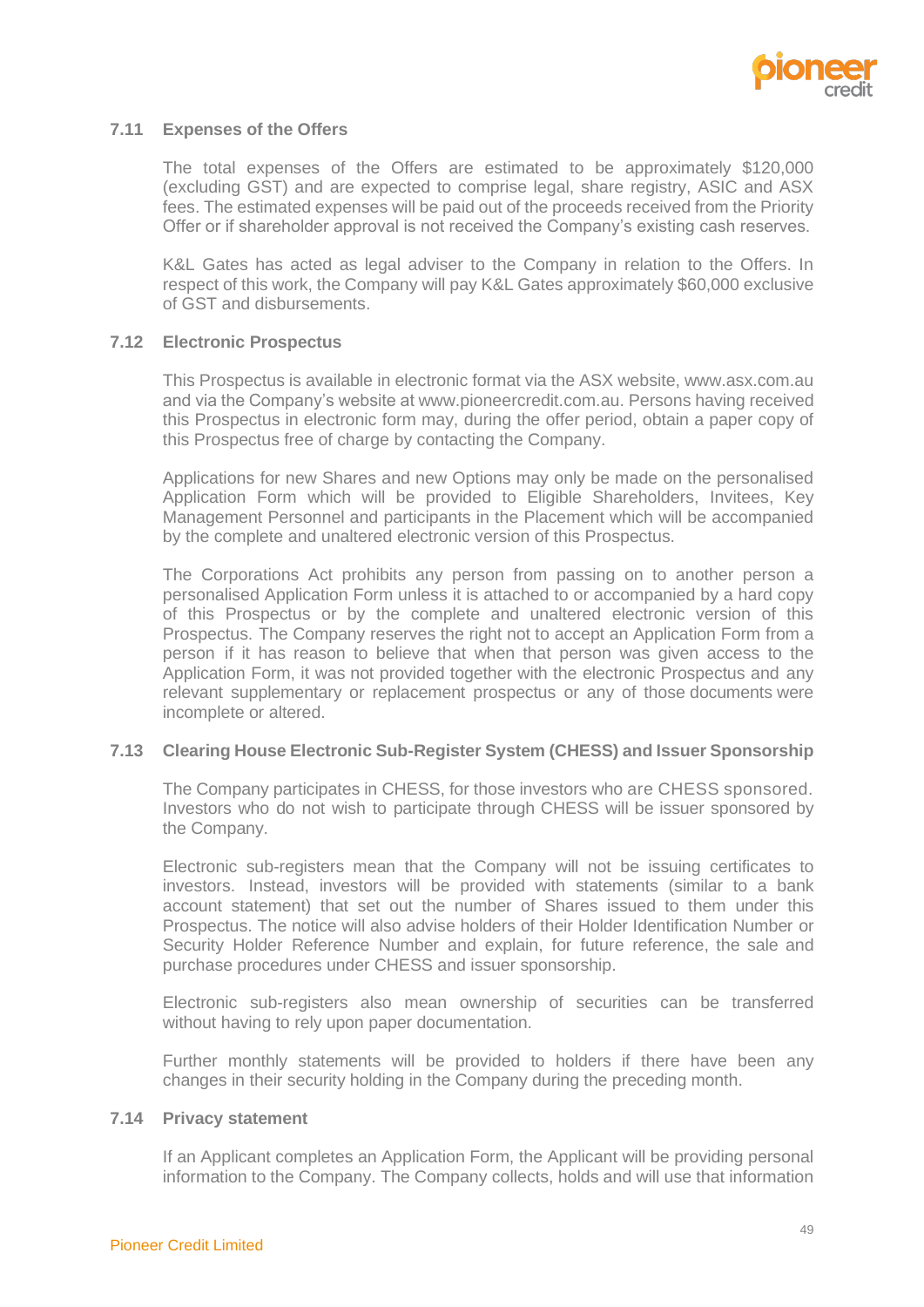

#### **7.11 Expenses of the Offers**

The total expenses of the Offers are estimated to be approximately \$120,000 (excluding GST) and are expected to comprise legal, share registry, ASIC and ASX fees. The estimated expenses will be paid out of the proceeds received from the Priority Offer or if shareholder approval is not received the Company's existing cash reserves.

K&L Gates has acted as legal adviser to the Company in relation to the Offers. In respect of this work, the Company will pay K&L Gates approximately \$60,000 exclusive of GST and disbursements.

## **7.12 Electronic Prospectus**

This Prospectus is available in electronic format via the ASX website, www.asx.com.au and via the Company's website a[t www.pioneercredit.com.au.](http://www.pioneercredit.com.au/) Persons having received this Prospectus in electronic form may, during the offer period, obtain a paper copy of this Prospectus free of charge by contacting the Company.

Applications for new Shares and new Options may only be made on the personalised Application Form which will be provided to Eligible Shareholders, Invitees, Key Management Personnel and participants in the Placement which will be accompanied by the complete and unaltered electronic version of this Prospectus.

The Corporations Act prohibits any person from passing on to another person a personalised Application Form unless it is attached to or accompanied by a hard copy of this Prospectus or by the complete and unaltered electronic version of this Prospectus. The Company reserves the right not to accept an Application Form from a person if it has reason to believe that when that person was given access to the Application Form, it was not provided together with the electronic Prospectus and any relevant supplementary or replacement prospectus or any of those documents were incomplete or altered.

# **7.13 Clearing House Electronic Sub-Register System (CHESS) and Issuer Sponsorship**

The Company participates in CHESS, for those investors who are CHESS sponsored. Investors who do not wish to participate through CHESS will be issuer sponsored by the Company.

Electronic sub-registers mean that the Company will not be issuing certificates to investors. Instead, investors will be provided with statements (similar to a bank account statement) that set out the number of Shares issued to them under this Prospectus. The notice will also advise holders of their Holder Identification Number or Security Holder Reference Number and explain, for future reference, the sale and purchase procedures under CHESS and issuer sponsorship.

Electronic sub-registers also mean ownership of securities can be transferred without having to rely upon paper documentation.

Further monthly statements will be provided to holders if there have been any changes in their security holding in the Company during the preceding month.

#### **7.14 Privacy statement**

If an Applicant completes an Application Form, the Applicant will be providing personal information to the Company. The Company collects, holds and will use that information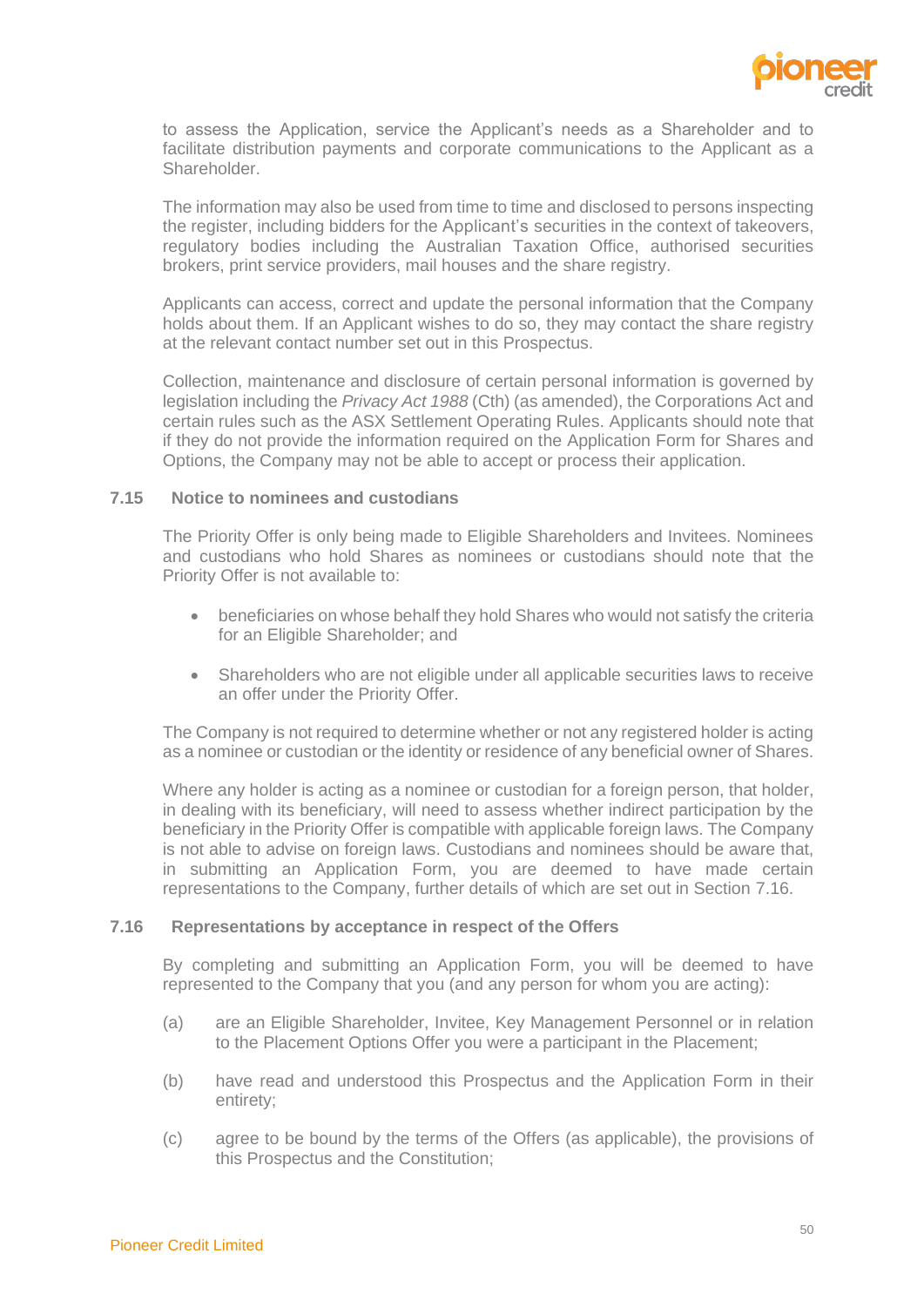

to assess the Application, service the Applicant's needs as a Shareholder and to facilitate distribution payments and corporate communications to the Applicant as a Shareholder.

The information may also be used from time to time and disclosed to persons inspecting the register, including bidders for the Applicant's securities in the context of takeovers, regulatory bodies including the Australian Taxation Office, authorised securities brokers, print service providers, mail houses and the share registry.

Applicants can access, correct and update the personal information that the Company holds about them. If an Applicant wishes to do so, they may contact the share registry at the relevant contact number set out in this Prospectus.

Collection, maintenance and disclosure of certain personal information is governed by legislation including the *Privacy Act 1988* (Cth) (as amended), the Corporations Act and certain rules such as the ASX Settlement Operating Rules. Applicants should note that if they do not provide the information required on the Application Form for Shares and Options, the Company may not be able to accept or process their application.

#### **7.15 Notice to nominees and custodians**

The Priority Offer is only being made to Eligible Shareholders and Invitees. Nominees and custodians who hold Shares as nominees or custodians should note that the Priority Offer is not available to:

- beneficiaries on whose behalf they hold Shares who would not satisfy the criteria for an Eligible Shareholder; and
- Shareholders who are not eligible under all applicable securities laws to receive an offer under the Priority Offer.

The Company is not required to determine whether or not any registered holder is acting as a nominee or custodian or the identity or residence of any beneficial owner of Shares.

Where any holder is acting as a nominee or custodian for a foreign person, that holder, in dealing with its beneficiary, will need to assess whether indirect participation by the beneficiary in the Priority Offer is compatible with applicable foreign laws. The Company is not able to advise on foreign laws. Custodians and nominees should be aware that, in submitting an Application Form, you are deemed to have made certain representations to the Company, further details of which are set out in Section [7.16.](#page-52-0)

#### <span id="page-52-0"></span>**7.16 Representations by acceptance in respect of the Offers**

By completing and submitting an Application Form, you will be deemed to have represented to the Company that you (and any person for whom you are acting):

- (a) are an Eligible Shareholder, Invitee, Key Management Personnel or in relation to the Placement Options Offer you were a participant in the Placement;
- (b) have read and understood this Prospectus and the Application Form in their entirety;
- (c) agree to be bound by the terms of the Offers (as applicable), the provisions of this Prospectus and the Constitution;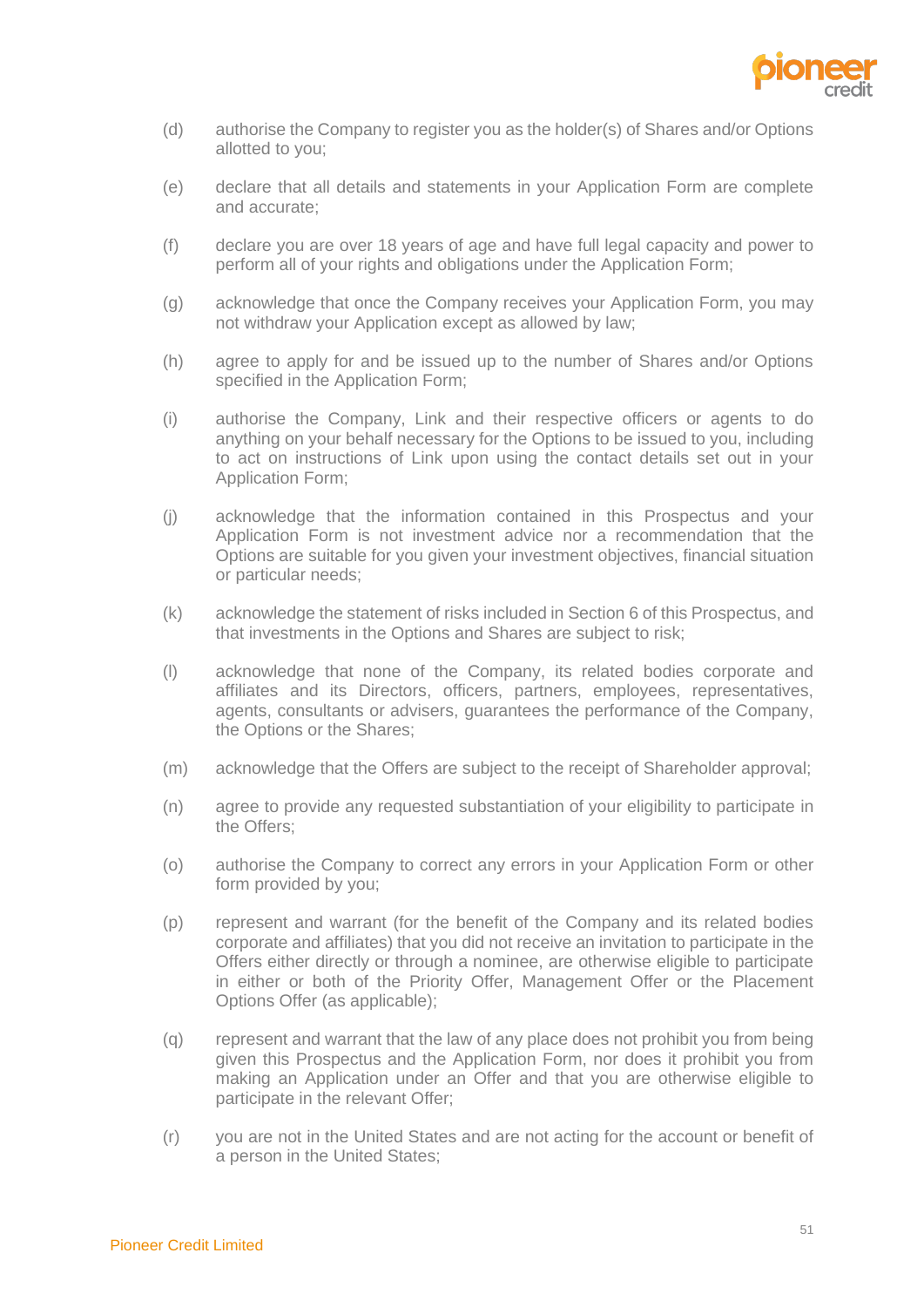

- (d) authorise the Company to register you as the holder(s) of Shares and/or Options allotted to you;
- (e) declare that all details and statements in your Application Form are complete and accurate;
- (f) declare you are over 18 years of age and have full legal capacity and power to perform all of your rights and obligations under the Application Form;
- (g) acknowledge that once the Company receives your Application Form, you may not withdraw your Application except as allowed by law;
- (h) agree to apply for and be issued up to the number of Shares and/or Options specified in the Application Form;
- (i) authorise the Company, Link and their respective officers or agents to do anything on your behalf necessary for the Options to be issued to you, including to act on instructions of Link upon using the contact details set out in your Application Form;
- (j) acknowledge that the information contained in this Prospectus and your Application Form is not investment advice nor a recommendation that the Options are suitable for you given your investment objectives, financial situation or particular needs;
- (k) acknowledge the statement of risks included in Section [6](#page-30-0) of this Prospectus, and that investments in the Options and Shares are subject to risk;
- (l) acknowledge that none of the Company, its related bodies corporate and affiliates and its Directors, officers, partners, employees, representatives, agents, consultants or advisers, guarantees the performance of the Company, the Options or the Shares;
- (m) acknowledge that the Offers are subject to the receipt of Shareholder approval;
- (n) agree to provide any requested substantiation of your eligibility to participate in the Offers;
- (o) authorise the Company to correct any errors in your Application Form or other form provided by you;
- (p) represent and warrant (for the benefit of the Company and its related bodies corporate and affiliates) that you did not receive an invitation to participate in the Offers either directly or through a nominee, are otherwise eligible to participate in either or both of the Priority Offer, Management Offer or the Placement Options Offer (as applicable);
- (q) represent and warrant that the law of any place does not prohibit you from being given this Prospectus and the Application Form, nor does it prohibit you from making an Application under an Offer and that you are otherwise eligible to participate in the relevant Offer;
- (r) you are not in the United States and are not acting for the account or benefit of a person in the United States;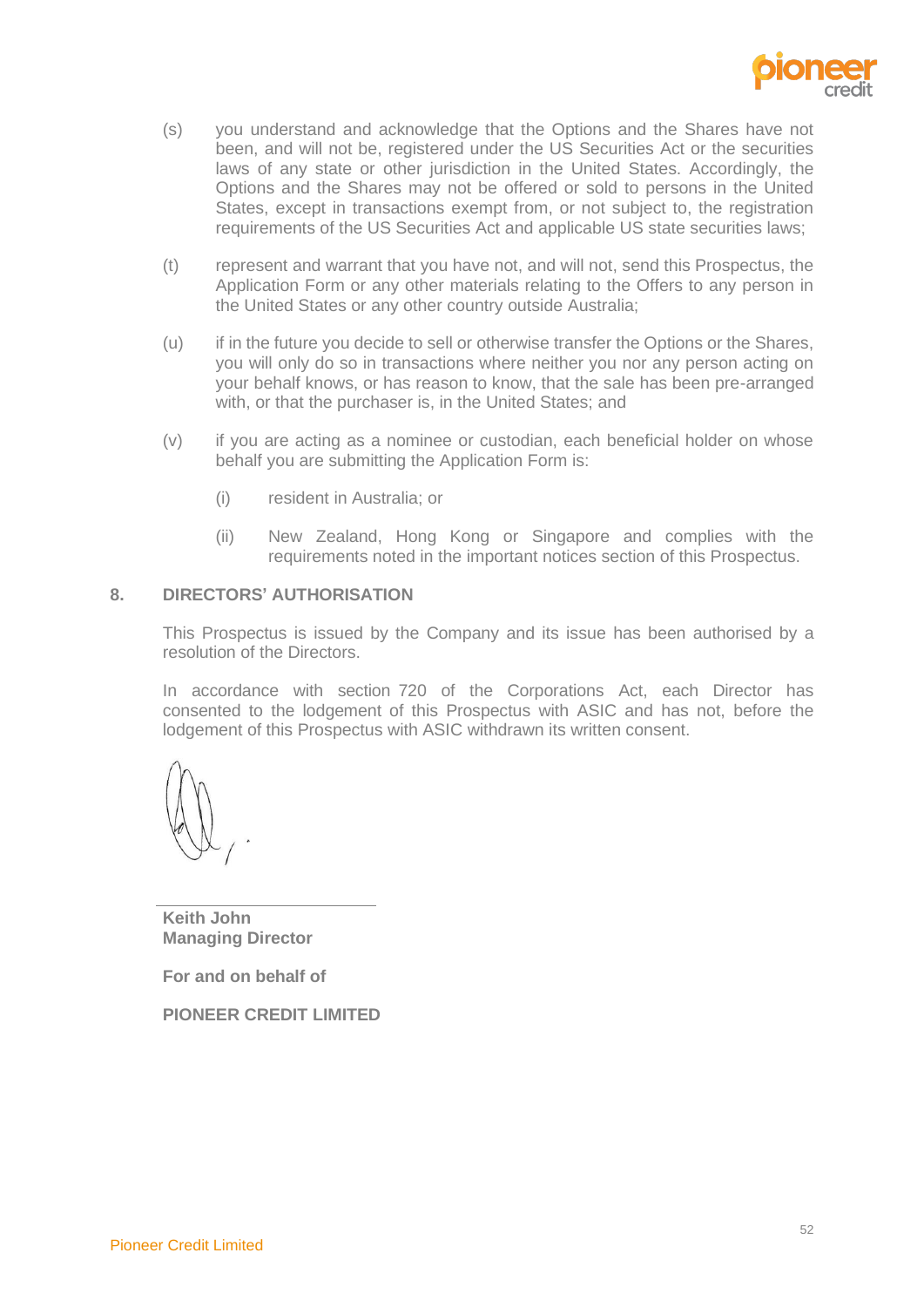

- (s) you understand and acknowledge that the Options and the Shares have not been, and will not be, registered under the US Securities Act or the securities laws of any state or other jurisdiction in the United States. Accordingly, the Options and the Shares may not be offered or sold to persons in the United States, except in transactions exempt from, or not subject to, the registration requirements of the US Securities Act and applicable US state securities laws;
- (t) represent and warrant that you have not, and will not, send this Prospectus, the Application Form or any other materials relating to the Offers to any person in the United States or any other country outside Australia;
- (u) if in the future you decide to sell or otherwise transfer the Options or the Shares, you will only do so in transactions where neither you nor any person acting on your behalf knows, or has reason to know, that the sale has been pre-arranged with, or that the purchaser is, in the United States; and
- (v) if you are acting as a nominee or custodian, each beneficial holder on whose behalf you are submitting the Application Form is:
	- (i) resident in Australia; or
	- (ii) New Zealand, Hong Kong or Singapore and complies with the requirements noted in the important notices section of this Prospectus.

## <span id="page-54-0"></span>**8. DIRECTORS' AUTHORISATION**

This Prospectus is issued by the Company and its issue has been authorised by a resolution of the Directors.

In accordance with section 720 of the Corporations Act, each Director has consented to the lodgement of this Prospectus with ASIC and has not, before the lodgement of this Prospectus with ASIC withdrawn its written consent.

**Keith John Managing Director** 

**For and on behalf of**

**PIONEER CREDIT LIMITED**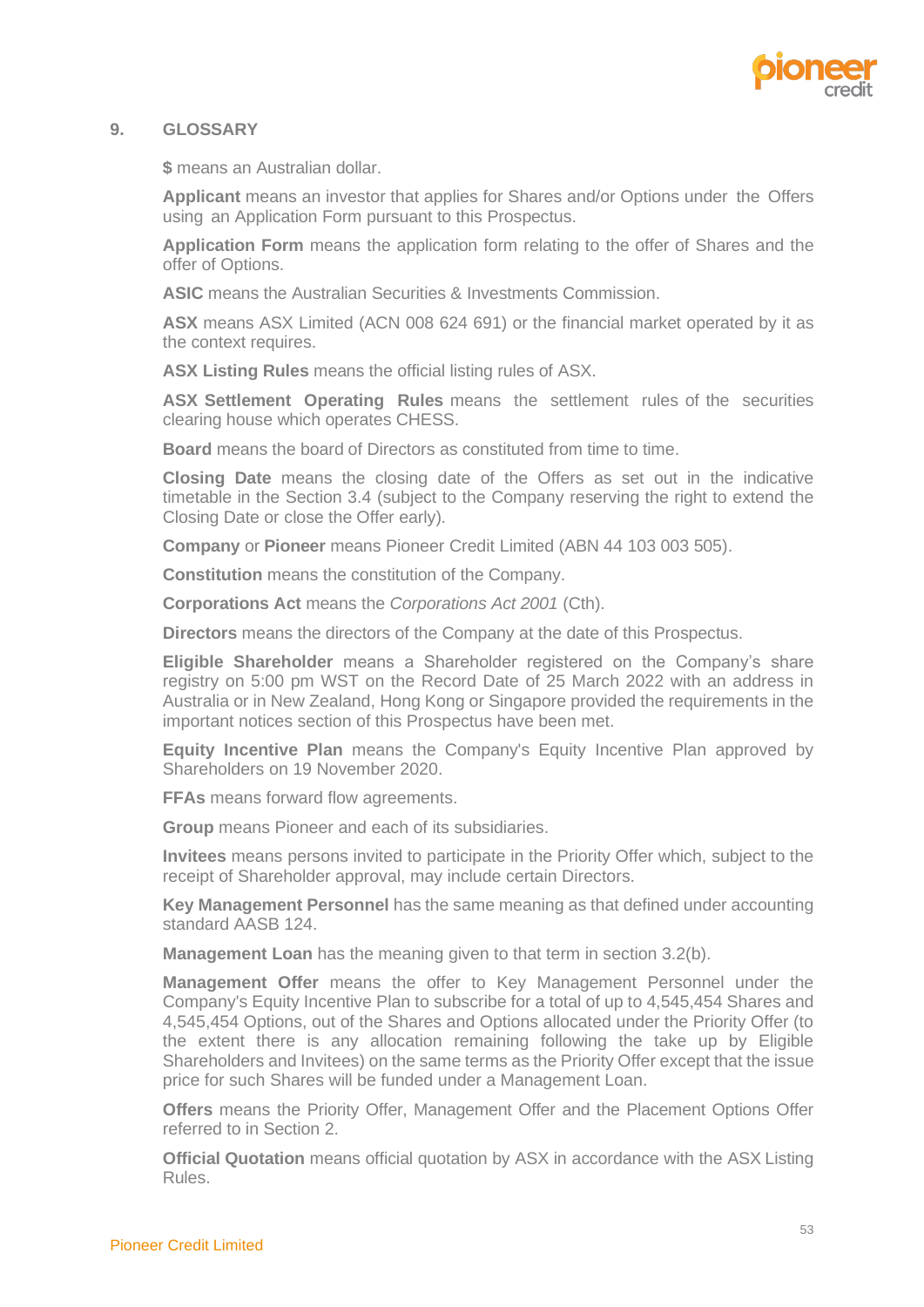

## <span id="page-55-0"></span>**9. GLOSSARY**

**\$** means an Australian dollar.

**Applicant** means an investor that applies for Shares and/or Options under the Offers using an Application Form pursuant to this Prospectus.

**Application Form** means the application form relating to the offer of Shares and the offer of Options.

**ASIC** means the Australian Securities & Investments Commission.

**ASX** means ASX Limited (ACN 008 624 691) or the financial market operated by it as the context requires.

**ASX Listing Rules** means the official listing rules of ASX.

**ASX Settlement Operating Rules** means the settlement rules of the securities clearing house which operates CHESS.

**Board** means the board of Directors as constituted from time to time.

**Closing Date** means the closing date of the Offers as set out in the indicative timetable in the Section 3.4 (subject to the Company reserving the right to extend the Closing Date or close the Offer early).

**Company** or **Pioneer** means Pioneer Credit Limited (ABN 44 103 003 505).

**Constitution** means the constitution of the Company.

**Corporations Act** means the *Corporations Act 2001* (Cth).

**Directors** means the directors of the Company at the date of this Prospectus.

**Eligible Shareholder** means a Shareholder registered on the Company's share registry on 5:00 pm WST on the Record Date of 25 March 2022 with an address in Australia or in New Zealand, Hong Kong or Singapore provided the requirements in the important notices section of this Prospectus have been met.

**Equity Incentive Plan** means the Company's Equity Incentive Plan approved by Shareholders on 19 November 2020.

**FFAs** means forward flow agreements.

**Group** means Pioneer and each of its subsidiaries.

**Invitees** means persons invited to participate in the Priority Offer which, subject to the receipt of Shareholder approval, may include certain Directors.

**Key Management Personnel** has the same meaning as that defined under accounting standard AASB 124.

**Management Loan** has the meaning given to that term in section [3.2\(b\).](#page-12-2)

**Management Offer** means the offer to Key Management Personnel under the Company's Equity Incentive Plan to subscribe for a total of up to 4,545,454 Shares and 4,545,454 Options, out of the Shares and Options allocated under the Priority Offer (to the extent there is any allocation remaining following the take up by Eligible Shareholders and Invitees) on the same terms as the Priority Offer except that the issue price for such Shares will be funded under a Management Loan.

**Offers** means the Priority Offer, Management Offer and the Placement Options Offer referred to in Section 2.

**Official Quotation** means official quotation by ASX in accordance with the ASX Listing Rules.